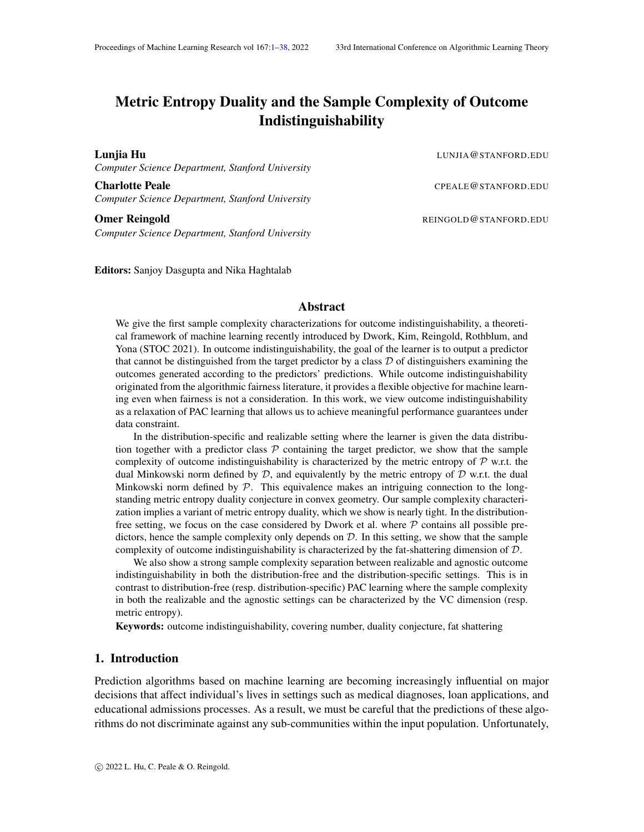# <span id="page-0-0"></span>Metric Entropy Duality and the Sample Complexity of Outcome Indistinguishability

*Computer Science Department, Stanford University*

Charlotte Peale **Charlotte Peale** CPEALE@STANFORD.EDU *Computer Science Department, Stanford University*

*Computer Science Department, Stanford University*

Editors: Sanjoy Dasgupta and Nika Haghtalab

#### Abstract

We give the first sample complexity characterizations for outcome indistinguishability, a theoretical framework of machine learning recently introduced by Dwork, Kim, Reingold, Rothblum, and Yona (STOC 2021). In outcome indistinguishability, the goal of the learner is to output a predictor that cannot be distinguished from the target predictor by a class  $D$  of distinguishers examining the outcomes generated according to the predictors' predictions. While outcome indistinguishability originated from the algorithmic fairness literature, it provides a flexible objective for machine learning even when fairness is not a consideration. In this work, we view outcome indistinguishability as a relaxation of PAC learning that allows us to achieve meaningful performance guarantees under data constraint.

In the distribution-specific and realizable setting where the learner is given the data distribution together with a predictor class  $P$  containing the target predictor, we show that the sample complexity of outcome indistinguishability is characterized by the metric entropy of  $P$  w.r.t. the dual Minkowski norm defined by  $D$ , and equivalently by the metric entropy of  $D$  w.r.t. the dual Minkowski norm defined by  $P$ . This equivalence makes an intriguing connection to the longstanding metric entropy duality conjecture in convex geometry. Our sample complexity characterization implies a variant of metric entropy duality, which we show is nearly tight. In the distributionfree setting, we focus on the case considered by Dwork et al. where  $P$  contains all possible predictors, hence the sample complexity only depends on  $D$ . In this setting, we show that the sample complexity of outcome indistinguishability is characterized by the fat-shattering dimension of D.

We also show a strong sample complexity separation between realizable and agnostic outcome indistinguishability in both the distribution-free and the distribution-specific settings. This is in contrast to distribution-free (resp. distribution-specific) PAC learning where the sample complexity in both the realizable and the agnostic settings can be characterized by the VC dimension (resp. metric entropy).

Keywords: outcome indistinguishability, covering number, duality conjecture, fat shattering

# 1. Introduction

Prediction algorithms based on machine learning are becoming increasingly influential on major decisions that affect individual's lives in settings such as medical diagnoses, loan applications, and educational admissions processes. As a result, we must be careful that the predictions of these algorithms do not discriminate against any sub-communities within the input population. Unfortunately,

Lunjia Hu LUNJIA@STANFORD.EDU

Omer Reingold **REINGOLD@STANFORD.EDU**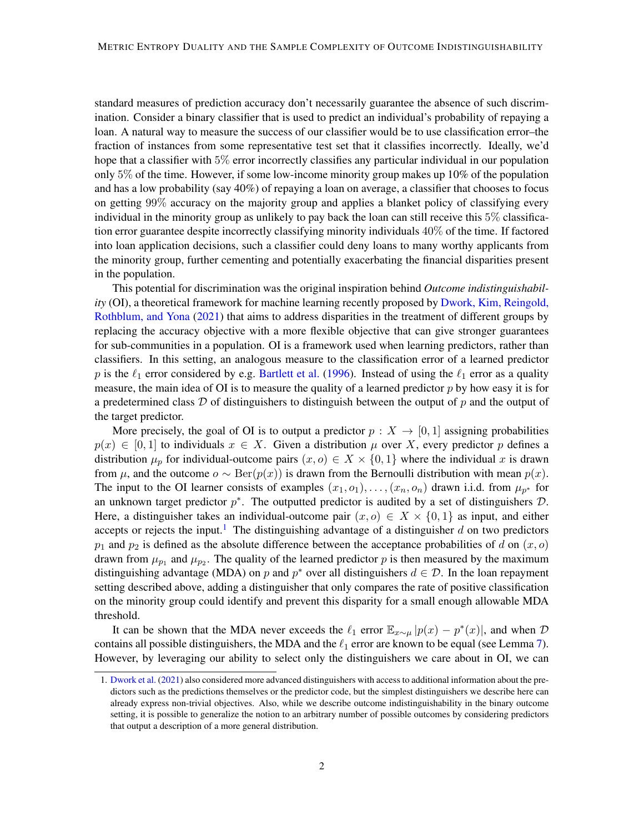standard measures of prediction accuracy don't necessarily guarantee the absence of such discrimination. Consider a binary classifier that is used to predict an individual's probability of repaying a loan. A natural way to measure the success of our classifier would be to use classification error–the fraction of instances from some representative test set that it classifies incorrectly. Ideally, we'd hope that a classifier with 5% error incorrectly classifies any particular individual in our population only  $5\%$  of the time. However, if some low-income minority group makes up  $10\%$  of the population and has a low probability (say 40%) of repaying a loan on average, a classifier that chooses to focus on getting 99% accuracy on the majority group and applies a blanket policy of classifying every individual in the minority group as unlikely to pay back the loan can still receive this 5% classification error guarantee despite incorrectly classifying minority individuals 40% of the time. If factored into loan application decisions, such a classifier could deny loans to many worthy applicants from the minority group, further cementing and potentially exacerbating the financial disparities present in the population.

This potential for discrimination was the original inspiration behind *Outcome indistinguishability* (OI), a theoretical framework for machine learning recently proposed by [Dwork, Kim, Reingold,](#page-33-0) [Rothblum, and Yona](#page-33-0) [\(2021\)](#page-33-0) that aims to address disparities in the treatment of different groups by replacing the accuracy objective with a more flexible objective that can give stronger guarantees for sub-communities in a population. OI is a framework used when learning predictors, rather than classifiers. In this setting, an analogous measure to the classification error of a learned predictor p is the  $\ell_1$  error considered by e.g. [Bartlett et al.](#page-32-0) [\(1996\)](#page-32-0). Instead of using the  $\ell_1$  error as a quality measure, the main idea of OI is to measure the quality of a learned predictor  $p$  by how easy it is for a predetermined class  $\mathcal D$  of distinguishers to distinguish between the output of  $p$  and the output of the target predictor.

More precisely, the goal of OI is to output a predictor  $p : X \to [0,1]$  assigning probabilities  $p(x) \in [0, 1]$  to individuals  $x \in X$ . Given a distribution  $\mu$  over X, every predictor p defines a distribution  $\mu_p$  for individual-outcome pairs  $(x, o) \in X \times \{0, 1\}$  where the individual x is drawn from  $\mu$ , and the outcome  $o \sim \text{Ber}(p(x))$  is drawn from the Bernoulli distribution with mean  $p(x)$ . The input to the OI learner consists of examples  $(x_1, o_1), \ldots, (x_n, o_n)$  drawn i.i.d. from  $\mu_{p^*}$  for an unknown target predictor  $p^*$ . The outputted predictor is audited by a set of distinguishers  $\mathcal{D}$ . Here, a distinguisher takes an individual-outcome pair  $(x, o) \in X \times \{0, 1\}$  as input, and either accepts or rejects the input.<sup>[1](#page-1-0)</sup> The distinguishing advantage of a distinguisher d on two predictors  $p_1$  and  $p_2$  is defined as the absolute difference between the acceptance probabilities of d on  $(x, o)$ drawn from  $\mu_{p_1}$  and  $\mu_{p_2}$ . The quality of the learned predictor p is then measured by the maximum distinguishing advantage (MDA) on p and  $p^*$  over all distinguishers  $d \in \mathcal{D}$ . In the loan repayment setting described above, adding a distinguisher that only compares the rate of positive classification on the minority group could identify and prevent this disparity for a small enough allowable MDA threshold.

It can be shown that the MDA never exceeds the  $\ell_1$  error  $\mathbb{E}_{x \sim \mu} |p(x) - p^*(x)|$ , and when  $\mathcal{D}$ contains all possible distinguishers, the MDA and the  $\ell_1$  error are known to be equal (see Lemma [7\)](#page-12-0). However, by leveraging our ability to select only the distinguishers we care about in OI, we can

<span id="page-1-0"></span><sup>1.</sup> [Dwork et al.](#page-33-0) [\(2021\)](#page-33-0) also considered more advanced distinguishers with access to additional information about the predictors such as the predictions themselves or the predictor code, but the simplest distinguishers we describe here can already express non-trivial objectives. Also, while we describe outcome indistinguishability in the binary outcome setting, it is possible to generalize the notion to an arbitrary number of possible outcomes by considering predictors that output a description of a more general distribution.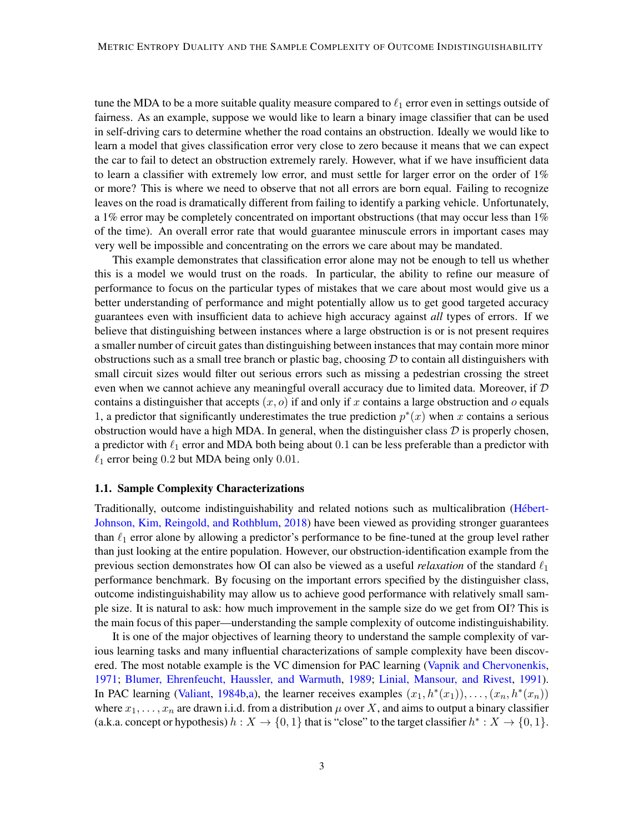tune the MDA to be a more suitable quality measure compared to  $\ell_1$  error even in settings outside of fairness. As an example, suppose we would like to learn a binary image classifier that can be used in self-driving cars to determine whether the road contains an obstruction. Ideally we would like to learn a model that gives classification error very close to zero because it means that we can expect the car to fail to detect an obstruction extremely rarely. However, what if we have insufficient data to learn a classifier with extremely low error, and must settle for larger error on the order of 1% or more? This is where we need to observe that not all errors are born equal. Failing to recognize leaves on the road is dramatically different from failing to identify a parking vehicle. Unfortunately, a 1% error may be completely concentrated on important obstructions (that may occur less than  $1\%$ ) of the time). An overall error rate that would guarantee minuscule errors in important cases may very well be impossible and concentrating on the errors we care about may be mandated.

This example demonstrates that classification error alone may not be enough to tell us whether this is a model we would trust on the roads. In particular, the ability to refine our measure of performance to focus on the particular types of mistakes that we care about most would give us a better understanding of performance and might potentially allow us to get good targeted accuracy guarantees even with insufficient data to achieve high accuracy against *all* types of errors. If we believe that distinguishing between instances where a large obstruction is or is not present requires a smaller number of circuit gates than distinguishing between instances that may contain more minor obstructions such as a small tree branch or plastic bag, choosing  $D$  to contain all distinguishers with small circuit sizes would filter out serious errors such as missing a pedestrian crossing the street even when we cannot achieve any meaningful overall accuracy due to limited data. Moreover, if  $D$ contains a distinguisher that accepts  $(x, o)$  if and only if x contains a large obstruction and o equals 1, a predictor that significantly underestimates the true prediction  $p^*(x)$  when x contains a serious obstruction would have a high MDA. In general, when the distinguisher class  $D$  is properly chosen, a predictor with  $\ell_1$  error and MDA both being about 0.1 can be less preferable than a predictor with  $\ell_1$  error being 0.2 but MDA being only 0.01.

### <span id="page-2-0"></span>1.1. Sample Complexity Characterizations

Traditionally, outcome indistinguishability and related notions such as multicalibration [\(Hebert-](#page-33-1) ´ [Johnson, Kim, Reingold, and Rothblum,](#page-33-1) [2018\)](#page-33-1) have been viewed as providing stronger guarantees than  $\ell_1$  error alone by allowing a predictor's performance to be fine-tuned at the group level rather than just looking at the entire population. However, our obstruction-identification example from the previous section demonstrates how OI can also be viewed as a useful *relaxation* of the standard  $\ell_1$ performance benchmark. By focusing on the important errors specified by the distinguisher class, outcome indistinguishability may allow us to achieve good performance with relatively small sample size. It is natural to ask: how much improvement in the sample size do we get from OI? This is the main focus of this paper—understanding the sample complexity of outcome indistinguishability.

It is one of the major objectives of learning theory to understand the sample complexity of various learning tasks and many influential characterizations of sample complexity have been discovered. The most notable example is the VC dimension for PAC learning [\(Vapnik and Chervonenkis,](#page-34-0) [1971;](#page-34-0) [Blumer, Ehrenfeucht, Haussler, and Warmuth,](#page-32-1) [1989;](#page-32-1) [Linial, Mansour, and Rivest,](#page-33-2) [1991\)](#page-33-2). In PAC learning [\(Valiant,](#page-34-1) [1984b,](#page-34-1)[a\)](#page-34-2), the learner receives examples  $(x_1, h^*(x_1)), \ldots, (x_n, h^*(x_n))$ where  $x_1, \ldots, x_n$  are drawn i.i.d. from a distribution  $\mu$  over X, and aims to output a binary classifier (a.k.a. concept or hypothesis)  $h: X \to \{0, 1\}$  that is "close" to the target classifier  $h^*: X \to \{0, 1\}$ .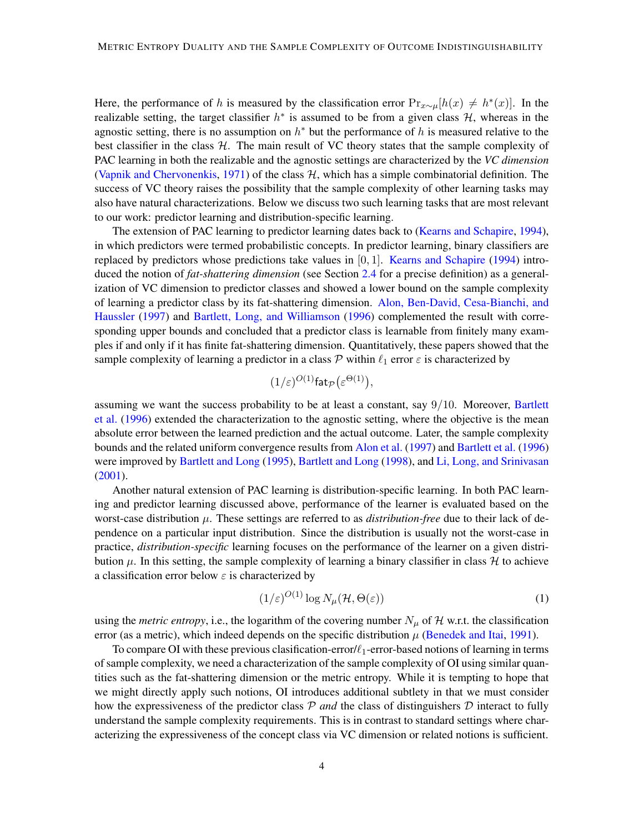Here, the performance of h is measured by the classification error  $Pr_{x\sim \mu}[h(x) \neq h^*(x)]$ . In the realizable setting, the target classifier  $h^*$  is assumed to be from a given class  $H$ , whereas in the agnostic setting, there is no assumption on  $h^*$  but the performance of h is measured relative to the best classifier in the class  $H$ . The main result of VC theory states that the sample complexity of PAC learning in both the realizable and the agnostic settings are characterized by the *VC dimension* [\(Vapnik and Chervonenkis,](#page-34-0) [1971\)](#page-34-0) of the class  $H$ , which has a simple combinatorial definition. The success of VC theory raises the possibility that the sample complexity of other learning tasks may also have natural characterizations. Below we discuss two such learning tasks that are most relevant to our work: predictor learning and distribution-specific learning.

The extension of PAC learning to predictor learning dates back to [\(Kearns and Schapire,](#page-33-3) [1994\)](#page-33-3), in which predictors were termed probabilistic concepts. In predictor learning, binary classifiers are replaced by predictors whose predictions take values in  $[0, 1]$ . [Kearns and Schapire](#page-33-3) [\(1994\)](#page-33-3) introduced the notion of *fat-shattering dimension* (see Section [2.4](#page-13-0) for a precise definition) as a generalization of VC dimension to predictor classes and showed a lower bound on the sample complexity of learning a predictor class by its fat-shattering dimension. [Alon, Ben-David, Cesa-Bianchi, and](#page-32-2) [Haussler](#page-32-2) [\(1997\)](#page-32-2) and [Bartlett, Long, and Williamson](#page-32-0) [\(1996\)](#page-32-0) complemented the result with corresponding upper bounds and concluded that a predictor class is learnable from finitely many examples if and only if it has finite fat-shattering dimension. Quantitatively, these papers showed that the sample complexity of learning a predictor in a class  $P$  within  $\ell_1$  error  $\varepsilon$  is characterized by

$$
(1/\varepsilon)^{O(1)} \mathsf{fat}_{\mathcal{P}}(\varepsilon^{\Theta(1)}),
$$

assuming we want the success probability to be at least a constant, say  $9/10$ . Moreover, [Bartlett](#page-32-0) [et al.](#page-32-0) [\(1996\)](#page-32-0) extended the characterization to the agnostic setting, where the objective is the mean absolute error between the learned prediction and the actual outcome. Later, the sample complexity bounds and the related uniform convergence results from [Alon et al.](#page-32-2) [\(1997\)](#page-32-2) and [Bartlett et al.](#page-32-0) [\(1996\)](#page-32-0) were improved by [Bartlett and Long](#page-32-3) [\(1995\)](#page-32-3), [Bartlett and Long](#page-32-4) [\(1998\)](#page-32-4), and [Li, Long, and Srinivasan](#page-33-4) [\(2001\)](#page-33-4).

Another natural extension of PAC learning is distribution-specific learning. In both PAC learning and predictor learning discussed above, performance of the learner is evaluated based on the worst-case distribution  $\mu$ . These settings are referred to as *distribution-free* due to their lack of dependence on a particular input distribution. Since the distribution is usually not the worst-case in practice, *distribution-specific* learning focuses on the performance of the learner on a given distribution  $\mu$ . In this setting, the sample complexity of learning a binary classifier in class  $\mathcal H$  to achieve a classification error below  $\varepsilon$  is characterized by

<span id="page-3-0"></span>
$$
(1/\varepsilon)^{O(1)} \log N_{\mu}(\mathcal{H}, \Theta(\varepsilon)) \tag{1}
$$

using the *metric entropy*, i.e., the logarithm of the covering number  $N_{\mu}$  of H w.r.t. the classification error (as a metric), which indeed depends on the specific distribution  $\mu$  [\(Benedek and Itai,](#page-32-5) [1991\)](#page-32-5).

To compare OI with these previous clasification-error/ $\ell_1$ -error-based notions of learning in terms of sample complexity, we need a characterization of the sample complexity of OI using similar quantities such as the fat-shattering dimension or the metric entropy. While it is tempting to hope that we might directly apply such notions, OI introduces additional subtlety in that we must consider how the expressiveness of the predictor class  $P$  *and* the class of distinguishers  $D$  interact to fully understand the sample complexity requirements. This is in contrast to standard settings where characterizing the expressiveness of the concept class via VC dimension or related notions is sufficient.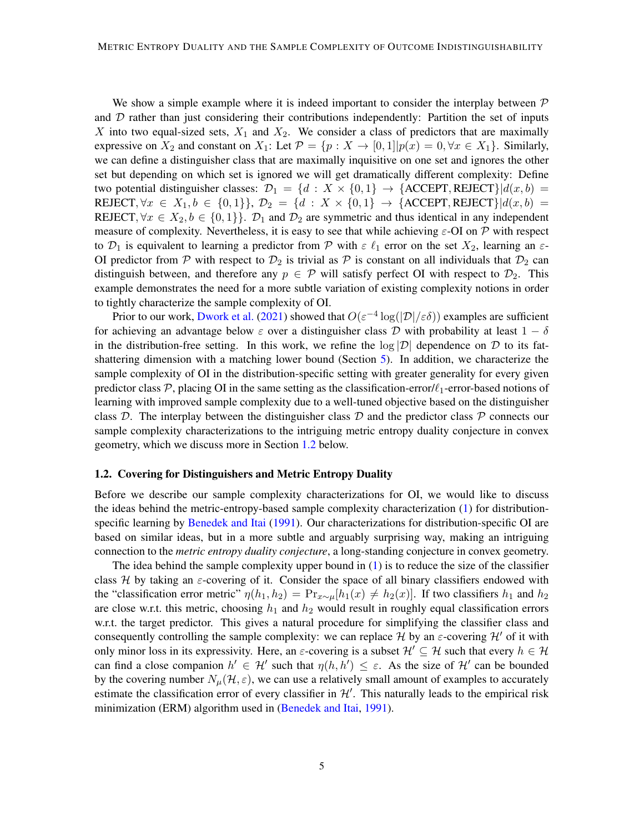We show a simple example where it is indeed important to consider the interplay between  $\mathcal P$ and  $D$  rather than just considering their contributions independently: Partition the set of inputs X into two equal-sized sets,  $X_1$  and  $X_2$ . We consider a class of predictors that are maximally expressive on  $X_2$  and constant on  $X_1$ : Let  $\mathcal{P} = \{p : X \to [0,1] | p(x) = 0, \forall x \in X_1 \}$ . Similarly, we can define a distinguisher class that are maximally inquisitive on one set and ignores the other set but depending on which set is ignored we will get dramatically different complexity: Define two potential distinguisher classes:  $\mathcal{D}_1 = \{d : X \times \{0,1\} \rightarrow \{\text{ACCEPT}, \text{REIECT}\}\; | d(x, b) =$ REJECT,  $\forall x \in X_1, b \in \{0,1\}$ ,  $\mathcal{D}_2 = \{d : X \times \{0,1\} \to \{\text{ACCEPT}, \text{REJECT}\} | d(x, b) =$ REJECT,  $\forall x \in X_2, b \in \{0,1\}\}\$ .  $\mathcal{D}_1$  and  $\mathcal{D}_2$  are symmetric and thus identical in any independent measure of complexity. Nevertheless, it is easy to see that while achieving  $\varepsilon$ -OI on P with respect to  $\mathcal{D}_1$  is equivalent to learning a predictor from  $\mathcal P$  with  $\varepsilon \ell_1$  error on the set  $X_2$ , learning an  $\varepsilon$ -OI predictor from P with respect to  $\mathcal{D}_2$  is trivial as P is constant on all individuals that  $\mathcal{D}_2$  can distinguish between, and therefore any  $p \in \mathcal{P}$  will satisfy perfect OI with respect to  $\mathcal{D}_2$ . This example demonstrates the need for a more subtle variation of existing complexity notions in order to tightly characterize the sample complexity of OI.

Prior to our work, [Dwork et al.](#page-33-0) [\(2021\)](#page-33-0) showed that  $O(\varepsilon^{-4} \log(|\mathcal{D}|/\varepsilon\delta))$  examples are sufficient for achieving an advantage below  $\varepsilon$  over a distinguisher class D with probability at least  $1 - \delta$ in the distribution-free setting. In this work, we refine the  $log |\mathcal{D}|$  dependence on  $\mathcal D$  to its fatshattering dimension with a matching lower bound (Section [5\)](#page-20-0). In addition, we characterize the sample complexity of OI in the distribution-specific setting with greater generality for every given predictor class  $P$ , placing OI in the same setting as the classification-error/ $\ell_1$ -error-based notions of learning with improved sample complexity due to a well-tuned objective based on the distinguisher class  $\mathcal{D}$ . The interplay between the distinguisher class  $\mathcal{D}$  and the predictor class  $\mathcal{P}$  connects our sample complexity characterizations to the intriguing metric entropy duality conjecture in convex geometry, which we discuss more in Section [1.2](#page-4-0) below.

### <span id="page-4-0"></span>1.2. Covering for Distinguishers and Metric Entropy Duality

Before we describe our sample complexity characterizations for OI, we would like to discuss the ideas behind the metric-entropy-based sample complexity characterization [\(1\)](#page-3-0) for distributionspecific learning by [Benedek and Itai](#page-32-5) [\(1991\)](#page-32-5). Our characterizations for distribution-specific OI are based on similar ideas, but in a more subtle and arguably surprising way, making an intriguing connection to the *metric entropy duality conjecture*, a long-standing conjecture in convex geometry.

The idea behind the sample complexity upper bound in  $(1)$  is to reduce the size of the classifier class H by taking an  $\varepsilon$ -covering of it. Consider the space of all binary classifiers endowed with the "classification error metric"  $\eta(h_1, h_2) = \Pr_{x \sim \mu}[h_1(x) \neq h_2(x)]$ . If two classifiers  $h_1$  and  $h_2$ are close w.r.t. this metric, choosing  $h_1$  and  $h_2$  would result in roughly equal classification errors w.r.t. the target predictor. This gives a natural procedure for simplifying the classifier class and consequently controlling the sample complexity: we can replace H by an  $\varepsilon$ -covering H' of it with only minor loss in its expressivity. Here, an  $\varepsilon$ -covering is a subset  $\mathcal{H}' \subseteq \mathcal{H}$  such that every  $h \in \mathcal{H}$ can find a close companion  $h' \in \mathcal{H}'$  such that  $\eta(h, h') \leq \varepsilon$ . As the size of  $\mathcal{H}'$  can be bounded by the covering number  $N_{\mu}(\mathcal{H}, \varepsilon)$ , we can use a relatively small amount of examples to accurately estimate the classification error of every classifier in  $\mathcal{H}'$ . This naturally leads to the empirical risk minimization (ERM) algorithm used in [\(Benedek and Itai,](#page-32-5) [1991\)](#page-32-5).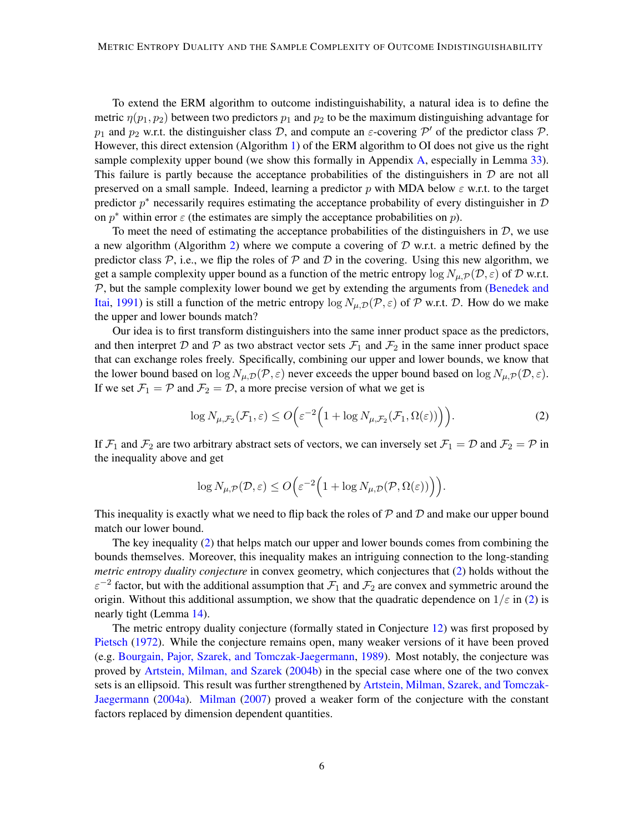To extend the ERM algorithm to outcome indistinguishability, a natural idea is to define the metric  $\eta(p_1, p_2)$  between two predictors  $p_1$  and  $p_2$  to be the maximum distinguishing advantage for  $p_1$  and  $p_2$  w.r.t. the distinguisher class D, and compute an  $\varepsilon$ -covering  $\mathcal{P}'$  of the predictor class P. However, this direct extension (Algorithm [1\)](#page-15-0) of the ERM algorithm to OI does not give us the right sample complexity upper bound (we show this formally in Appendix [A,](#page-34-3) especially in Lemma [33\)](#page-35-0). This failure is partly because the acceptance probabilities of the distinguishers in  $D$  are not all preserved on a small sample. Indeed, learning a predictor p with MDA below  $\varepsilon$  w.r.t. to the target predictor  $p^*$  necessarily requires estimating the acceptance probability of every distinguisher in  $\mathcal D$ on  $p^*$  within error  $\varepsilon$  (the estimates are simply the acceptance probabilities on  $p$ ).

To meet the need of estimating the acceptance probabilities of the distinguishers in  $D$ , we use a new algorithm (Algorithm [2\)](#page-15-1) where we compute a covering of  $D$  w.r.t. a metric defined by the predictor class  $P$ , i.e., we flip the roles of  $P$  and  $D$  in the covering. Using this new algorithm, we get a sample complexity upper bound as a function of the metric entropy  $\log N_{\mu,\mathcal{P}}(\mathcal{D},\varepsilon)$  of D w.r.t. P, but the sample complexity lower bound we get by extending the arguments from [\(Benedek and](#page-32-5) [Itai,](#page-32-5) [1991\)](#page-32-5) is still a function of the metric entropy  $\log N_{\mu,\mathcal{D}}(\mathcal{P},\varepsilon)$  of  $\mathcal P$  w.r.t.  $\mathcal D$ . How do we make the upper and lower bounds match?

Our idea is to first transform distinguishers into the same inner product space as the predictors, and then interpret D and P as two abstract vector sets  $\mathcal{F}_1$  and  $\mathcal{F}_2$  in the same inner product space that can exchange roles freely. Specifically, combining our upper and lower bounds, we know that the lower bound based on  $\log N_{\mu,\mathcal{D}}(\mathcal{P},\varepsilon)$  never exceeds the upper bound based on  $\log N_{\mu,\mathcal{P}}(\mathcal{D},\varepsilon)$ . If we set  $\mathcal{F}_1 = \mathcal{P}$  and  $\mathcal{F}_2 = \mathcal{D}$ , a more precise version of what we get is

<span id="page-5-0"></span>
$$
\log N_{\mu,\mathcal{F}_2}(\mathcal{F}_1,\varepsilon) \le O\Big(\varepsilon^{-2}\Big(1 + \log N_{\mu,\mathcal{F}_2}(\mathcal{F}_1,\Omega(\varepsilon))\Big)\Big). \tag{2}
$$

If  $\mathcal{F}_1$  and  $\mathcal{F}_2$  are two arbitrary abstract sets of vectors, we can inversely set  $\mathcal{F}_1 = \mathcal{D}$  and  $\mathcal{F}_2 = \mathcal{P}$  in the inequality above and get

$$
\log N_{\mu,\mathcal{P}}(\mathcal{D},\varepsilon) \le O\Big(\varepsilon^{-2}\Big(1 + \log N_{\mu,\mathcal{D}}(\mathcal{P},\Omega(\varepsilon))\Big)\Big).
$$

This inequality is exactly what we need to flip back the roles of  $\mathcal P$  and  $\mathcal D$  and make our upper bound match our lower bound.

The key inequality [\(2\)](#page-5-0) that helps match our upper and lower bounds comes from combining the bounds themselves. Moreover, this inequality makes an intriguing connection to the long-standing *metric entropy duality conjecture* in convex geometry, which conjectures that [\(2\)](#page-5-0) holds without the  $\varepsilon^{-2}$  factor, but with the additional assumption that  $\mathcal{F}_1$  and  $\mathcal{F}_2$  are convex and symmetric around the origin. Without this additional assumption, we show that the quadratic dependence on  $1/\epsilon$  in [\(2\)](#page-5-0) is nearly tight (Lemma [14\)](#page-19-0).

The metric entropy duality conjecture (formally stated in Conjecture [12\)](#page-17-0) was first proposed by [Pietsch](#page-34-4) [\(1972\)](#page-34-4). While the conjecture remains open, many weaker versions of it have been proved (e.g. [Bourgain, Pajor, Szarek, and Tomczak-Jaegermann,](#page-33-5) [1989\)](#page-33-5). Most notably, the conjecture was proved by [Artstein, Milman, and Szarek](#page-32-6) [\(2004b\)](#page-32-6) in the special case where one of the two convex sets is an ellipsoid. This result was further strengthened by [Artstein, Milman, Szarek, and Tomczak-](#page-32-7)[Jaegermann](#page-32-7) [\(2004a\)](#page-32-7). [Milman](#page-33-6) [\(2007\)](#page-33-6) proved a weaker form of the conjecture with the constant factors replaced by dimension dependent quantities.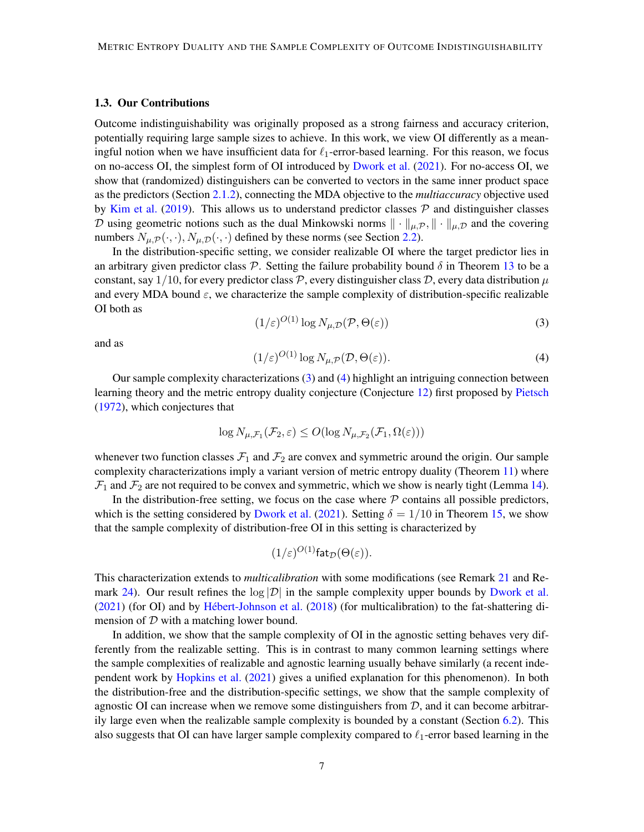#### 1.3. Our Contributions

Outcome indistinguishability was originally proposed as a strong fairness and accuracy criterion, potentially requiring large sample sizes to achieve. In this work, we view OI differently as a meaningful notion when we have insufficient data for  $\ell_1$ -error-based learning. For this reason, we focus on no-access OI, the simplest form of OI introduced by [Dwork et al.](#page-33-0) [\(2021\)](#page-33-0). For no-access OI, we show that (randomized) distinguishers can be converted to vectors in the same inner product space as the predictors (Section [2.1.2\)](#page-10-0), connecting the MDA objective to the *multiaccuracy* objective used by [Kim et al.](#page-33-7) [\(2019\)](#page-33-7). This allows us to understand predictor classes  $P$  and distinguisher classes D using geometric notions such as the dual Minkowski norms  $\|\cdot\|_{\mu,\mathcal{P}}, \|\cdot\|_{\mu,\mathcal{D}}$  and the covering numbers  $N_{\mu,\mathcal{P}}(\cdot,\cdot), N_{\mu,\mathcal{D}}(\cdot,\cdot)$  defined by these norms (see Section [2.2\)](#page-11-0).

In the distribution-specific setting, we consider realizable OI where the target predictor lies in an arbitrary given predictor class  $P$ . Setting the failure probability bound  $\delta$  in Theorem [13](#page-18-0) to be a constant, say 1/10, for every predictor class  $\mathcal{P}$ , every distinguisher class  $\mathcal{D}$ , every data distribution  $\mu$ and every MDA bound  $\varepsilon$ , we characterize the sample complexity of distribution-specific realizable OI both as

<span id="page-6-0"></span>
$$
(1/\varepsilon)^{O(1)} \log N_{\mu,\mathcal{D}}(\mathcal{P}, \Theta(\varepsilon))
$$
\n(3)

and as

<span id="page-6-1"></span>
$$
(1/\varepsilon)^{O(1)} \log N_{\mu,\mathcal{P}}(\mathcal{D}, \Theta(\varepsilon)).\tag{4}
$$

Our sample complexity characterizations [\(3\)](#page-6-0) and [\(4\)](#page-6-1) highlight an intriguing connection between learning theory and the metric entropy duality conjecture (Conjecture [12\)](#page-17-0) first proposed by [Pietsch](#page-34-4) [\(1972\)](#page-34-4), which conjectures that

$$
\log N_{\mu,\mathcal{F}_1}(\mathcal{F}_2,\varepsilon) \le O(\log N_{\mu,\mathcal{F}_2}(\mathcal{F}_1,\Omega(\varepsilon)))
$$

whenever two function classes  $\mathcal{F}_1$  and  $\mathcal{F}_2$  are convex and symmetric around the origin. Our sample complexity characterizations imply a variant version of metric entropy duality (Theorem [11\)](#page-17-1) where  $\mathcal{F}_1$  and  $\mathcal{F}_2$  are not required to be convex and symmetric, which we show is nearly tight (Lemma [14\)](#page-19-0).

In the distribution-free setting, we focus on the case where  $P$  contains all possible predictors, which is the setting considered by [Dwork et al.](#page-33-0) [\(2021\)](#page-33-0). Setting  $\delta = 1/10$  in Theorem [15,](#page-20-1) we show that the sample complexity of distribution-free OI in this setting is characterized by

$$
(1/\varepsilon)^{O(1)}\mathsf{fat}_{\mathcal{D}}(\Theta(\varepsilon)).
$$

This characterization extends to *multicalibration* with some modifications (see Remark [21](#page-24-0) and Re-mark [24\)](#page-26-0). Our result refines the  $log |D|$  in the sample complexity upper bounds by [Dwork et al.](#page-33-0)  $(2021)$  (for OI) and by Hébert-Johnson et al.  $(2018)$  (for multicalibration) to the fat-shattering dimension of D with a matching lower bound.

In addition, we show that the sample complexity of OI in the agnostic setting behaves very differently from the realizable setting. This is in contrast to many common learning settings where the sample complexities of realizable and agnostic learning usually behave similarly (a recent independent work by [Hopkins et al.](#page-33-8) [\(2021\)](#page-33-8) gives a unified explanation for this phenomenon). In both the distribution-free and the distribution-specific settings, we show that the sample complexity of agnostic OI can increase when we remove some distinguishers from  $D$ , and it can become arbitrarily large even when the realizable sample complexity is bounded by a constant (Section [6.2\)](#page-28-0). This also suggests that OI can have larger sample complexity compared to  $\ell_1$ -error based learning in the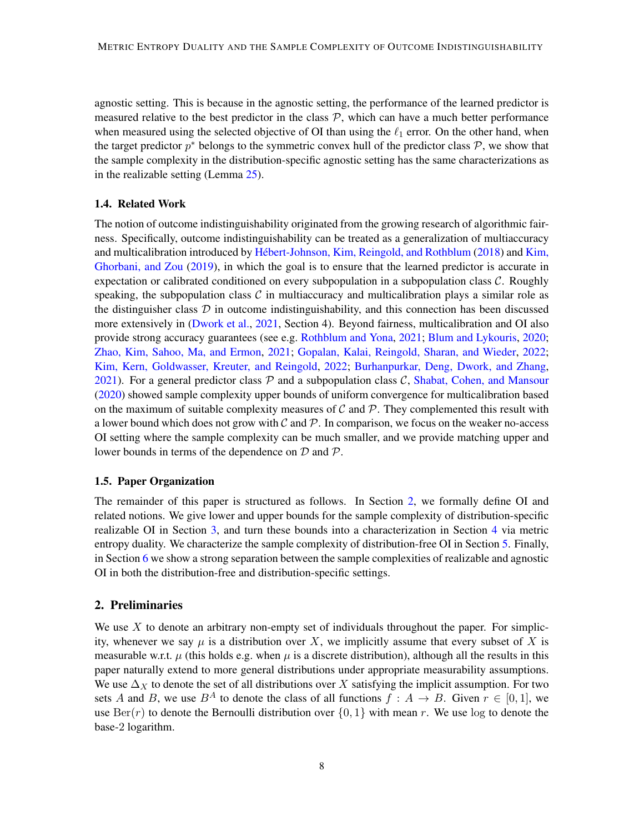agnostic setting. This is because in the agnostic setting, the performance of the learned predictor is measured relative to the best predictor in the class  $P$ , which can have a much better performance when measured using the selected objective of OI than using the  $\ell_1$  error. On the other hand, when the target predictor  $p^*$  belongs to the symmetric convex hull of the predictor class  $\mathcal{P}$ , we show that the sample complexity in the distribution-specific agnostic setting has the same characterizations as in the realizable setting (Lemma [25\)](#page-26-1).

### 1.4. Related Work

The notion of outcome indistinguishability originated from the growing research of algorithmic fairness. Specifically, outcome indistinguishability can be treated as a generalization of multiaccuracy and multicalibration introduced by Hébert-Johnson, Kim, Reingold, and Rothblum [\(2018\)](#page-33-1) and [Kim,](#page-33-7) [Ghorbani, and Zou](#page-33-7) [\(2019\)](#page-33-7), in which the goal is to ensure that the learned predictor is accurate in expectation or calibrated conditioned on every subpopulation in a subpopulation class  $C$ . Roughly speaking, the subpopulation class  $\mathcal C$  in multiaccuracy and multicalibration plays a similar role as the distinguisher class  $D$  in outcome indistinguishability, and this connection has been discussed more extensively in [\(Dwork et al.,](#page-33-0) [2021,](#page-33-0) Section 4). Beyond fairness, multicalibration and OI also provide strong accuracy guarantees (see e.g. [Rothblum and Yona,](#page-34-5) [2021;](#page-34-5) [Blum and Lykouris,](#page-32-8) [2020;](#page-32-8) [Zhao, Kim, Sahoo, Ma, and Ermon,](#page-34-6) [2021;](#page-34-6) [Gopalan, Kalai, Reingold, Sharan, and Wieder,](#page-33-9) [2022;](#page-33-9) [Kim, Kern, Goldwasser, Kreuter, and Reingold,](#page-33-10) [2022;](#page-33-10) [Burhanpurkar, Deng, Dwork, and Zhang,](#page-33-11) [2021\)](#page-33-11). For a general predictor class  $P$  and a subpopulation class  $C$ , [Shabat, Cohen, and Mansour](#page-34-7) [\(2020\)](#page-34-7) showed sample complexity upper bounds of uniform convergence for multicalibration based on the maximum of suitable complexity measures of  $\mathcal C$  and  $\mathcal P$ . They complemented this result with a lower bound which does not grow with  $\mathcal C$  and  $\mathcal P$ . In comparison, we focus on the weaker no-access OI setting where the sample complexity can be much smaller, and we provide matching upper and lower bounds in terms of the dependence on  $D$  and  $P$ .

#### 1.5. Paper Organization

The remainder of this paper is structured as follows. In Section [2,](#page-7-0) we formally define OI and related notions. We give lower and upper bounds for the sample complexity of distribution-specific realizable OI in Section [3,](#page-13-1) and turn these bounds into a characterization in Section [4](#page-17-2) via metric entropy duality. We characterize the sample complexity of distribution-free OI in Section [5.](#page-20-0) Finally, in Section [6](#page-26-2) we show a strong separation between the sample complexities of realizable and agnostic OI in both the distribution-free and distribution-specific settings.

### <span id="page-7-0"></span>2. Preliminaries

We use  $X$  to denote an arbitrary non-empty set of individuals throughout the paper. For simplicity, whenever we say  $\mu$  is a distribution over X, we implicitly assume that every subset of X is measurable w.r.t.  $\mu$  (this holds e.g. when  $\mu$  is a discrete distribution), although all the results in this paper naturally extend to more general distributions under appropriate measurability assumptions. We use  $\Delta_X$  to denote the set of all distributions over X satisfying the implicit assumption. For two sets A and B, we use  $B^A$  to denote the class of all functions  $f : A \to B$ . Given  $r \in [0,1]$ , we use  $\text{Ber}(r)$  to denote the Bernoulli distribution over  $\{0, 1\}$  with mean r. We use log to denote the base-2 logarithm.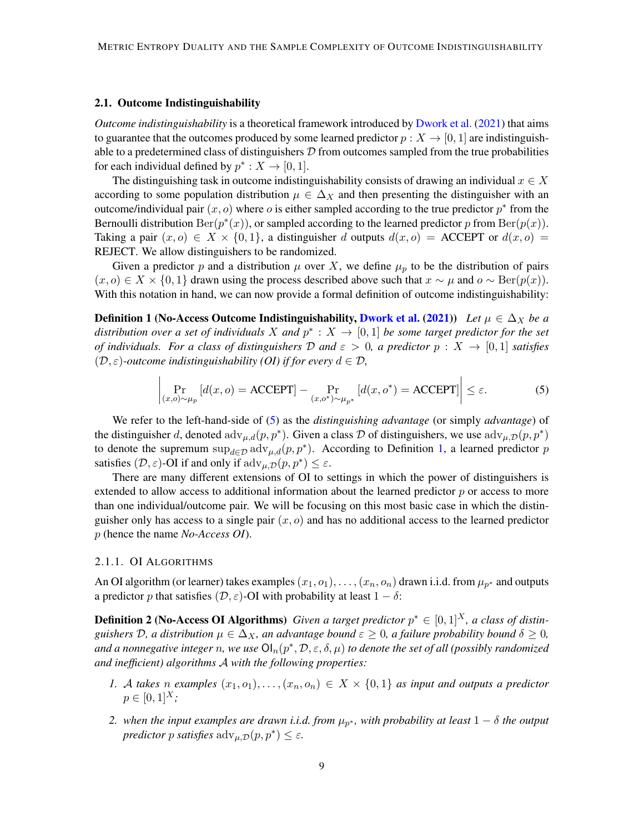### 2.1. Outcome Indistinguishability

*Outcome indistinguishability* is a theoretical framework introduced by [Dwork et al.](#page-33-0) [\(2021\)](#page-33-0) that aims to guarantee that the outcomes produced by some learned predictor  $p : X \to [0, 1]$  are indistinguishable to a predetermined class of distinguishers  $\mathcal D$  from outcomes sampled from the true probabilities for each individual defined by  $p^* : X \to [0,1]$ .

The distinguishing task in outcome indistinguishability consists of drawing an individual  $x \in X$ according to some population distribution  $\mu \in \Delta_X$  and then presenting the distinguisher with an outcome/individual pair  $(x, o)$  where o is either sampled according to the true predictor  $p^*$  from the Bernoulli distribution  $\text{Ber}(p^*(x))$ , or sampled according to the learned predictor p from  $\text{Ber}(p(x))$ . Taking a pair  $(x, o) \in X \times \{0, 1\}$ , a distinguisher d outputs  $d(x, o) =$  ACCEPT or  $d(x, o) =$ REJECT. We allow distinguishers to be randomized.

Given a predictor p and a distribution  $\mu$  over X, we define  $\mu_p$  to be the distribution of pairs  $(x, o) \in X \times \{0, 1\}$  drawn using the process described above such that  $x \sim \mu$  and  $o \sim \text{Ber}(p(x))$ . With this notation in hand, we can now provide a formal definition of outcome indistinguishability:

<span id="page-8-1"></span>Definition 1 (No-Access Outcome Indistinguishability, [Dwork et al.](#page-33-0) [\(2021\)](#page-33-0)) *Let*  $\mu \in \Delta_X$  *be a* distribution over a set of individuals X and  $p^*$  :  $X \to [0,1]$  be some target predictor for the set *of individuals. For a class of distinguishers*  $D$  *and*  $\varepsilon > 0$ , *a predictor*  $p : X \to [0,1]$  *satisfies*  $(D, \varepsilon)$ -outcome indistinguishability (OI) if for every  $d \in \mathcal{D}$ ,

$$
\left| \Pr_{(x,o)\sim\mu_p} \left[ d(x,o) = \text{ACCEPT} \right] - \Pr_{(x,o^*)\sim\mu_{p^*}} \left[ d(x,o^*) = \text{ACCEPT} \right] \right| \le \varepsilon. \tag{5}
$$

We refer to the left-hand-side of [\(5\)](#page-8-0) as the *distinguishing advantage* (or simply *advantage*) of the distinguisher d, denoted  $adv_{\mu,d}(p,p^*)$ . Given a class D of distinguishers, we use  $adv_{\mu,D}(p,p^*)$ to denote the supremum  $\sup_{d \in \mathcal{D}} \text{adv}_{\mu,d}(p, p^*)$ . According to Definition [1,](#page-8-1) a learned predictor p satisfies  $(D, \varepsilon)$ -OI if and only if  $\text{adv}_{\mu, \mathcal{D}}(p, p^*) \leq \varepsilon$ .

There are many different extensions of OI to settings in which the power of distinguishers is extended to allow access to additional information about the learned predictor  $p$  or access to more than one individual/outcome pair. We will be focusing on this most basic case in which the distinguisher only has access to a single pair  $(x, o)$  and has no additional access to the learned predictor p (hence the name *No-Access OI*).

#### 2.1.1. OI ALGORITHMS

<span id="page-8-0"></span> $\mathbf{I}$ 

An OI algorithm (or learner) takes examples  $(x_1, o_1), \ldots, (x_n, o_n)$  drawn i.i.d. from  $\mu_{p^*}$  and outputs a predictor p that satisfies  $(D, \varepsilon)$ -OI with probability at least  $1 - \delta$ :

**Definition 2 (No-Access OI Algorithms)** *Given a target predictor*  $p^* \in [0,1]^X$ *, a class of distinguishers*  $\mathcal{D}$ *, a distribution*  $\mu \in \Delta_X$ *, an advantage bound*  $\varepsilon \geq 0$ *, a failure probability bound*  $\delta \geq 0$ *,* and a nonnegative integer  $n$ , we use  $\mathsf{Ol}_n(p^*,\mathcal{D},\varepsilon,\delta,\mu)$  to denote the set of all (possibly randomized *and inefficient) algorithms* A *with the following properties:*

- *1.* A *takes n examples*  $(x_1, o_1), \ldots, (x_n, o_n) \in X \times \{0, 1\}$  *as input and outputs a predictor*  $p \in [0, 1]^{X}$ ;
- 2. when the input examples are drawn i.i.d. from  $\mu_{p^*}$ , with probability at least  $1 \delta$  the output *predictor p satisfies*  $\text{adv}_{\mu, \mathcal{D}}(p, p^*) \leq \varepsilon$ .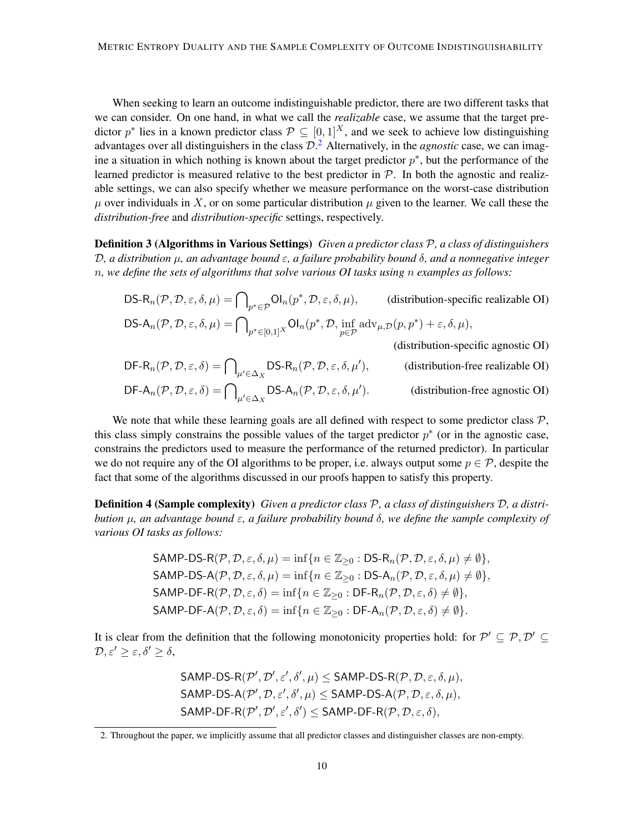When seeking to learn an outcome indistinguishable predictor, there are two different tasks that we can consider. On one hand, in what we call the *realizable* case, we assume that the target predictor  $p^*$  lies in a known predictor class  $P \subseteq [0,1]^X$ , and we seek to achieve low distinguishing advantages over all distinguishers in the class  $\mathcal{D}^2$  $\mathcal{D}^2$ . Alternatively, in the *agnostic* case, we can imagine a situation in which nothing is known about the target predictor  $p^*$ , but the performance of the learned predictor is measured relative to the best predictor in  $P$ . In both the agnostic and realizable settings, we can also specify whether we measure performance on the worst-case distribution  $\mu$  over individuals in X, or on some particular distribution  $\mu$  given to the learner. We call these the *distribution-free* and *distribution-specific* settings, respectively.

Definition 3 (Algorithms in Various Settings) *Given a predictor class* P*, a class of distinguishers* D*, a distribution* µ*, an advantage bound* ε*, a failure probability bound* δ*, and a nonnegative integer* n*, we define the sets of algorithms that solve various OI tasks using* n *examples as follows:*

DS-R<sub>n</sub>(
$$
\mathcal{P}, \mathcal{D}, \varepsilon, \delta, \mu
$$
) =  $\bigcap_{p^* \in \mathcal{P}} \text{Ol}_n(p^*, \mathcal{D}, \varepsilon, \delta, \mu)$ , (distribution-specific realizable OI)  
DS-A<sub>n</sub>( $\mathcal{P}, \mathcal{D}, \varepsilon, \delta, \mu$ ) =  $\bigcap_{p^* \in [0,1]^X} \text{Ol}_n(p^*, \mathcal{D}, \inf_{p \in \mathcal{P}} \text{adv}_{\mu, \mathcal{D}}(p, p^*) + \varepsilon, \delta, \mu)$ , (distribution, possible)

(distribution-specific agnostic OI)

$$
DF-R_n(\mathcal{P}, \mathcal{D}, \varepsilon, \delta) = \bigcap_{\mu' \in \Delta_X} DS-R_n(\mathcal{P}, \mathcal{D}, \varepsilon, \delta, \mu'), \qquad \text{(distribution-free realizable OI)}
$$
  
DF-A<sub>n</sub> $(\mathcal{P}, \mathcal{D}, \varepsilon, \delta) = \bigcap_{\mu' \in \Delta_X} DS-A_n(\mathcal{P}, \mathcal{D}, \varepsilon, \delta, \mu'). \qquad \text{(distribution-free agnostic OI)}$ 

We note that while these learning goals are all defined with respect to some predictor class  $P$ , this class simply constrains the possible values of the target predictor  $p^*$  (or in the agnostic case, constrains the predictors used to measure the performance of the returned predictor). In particular we do not require any of the OI algorithms to be proper, i.e. always output some  $p \in \mathcal{P}$ , despite the fact that some of the algorithms discussed in our proofs happen to satisfy this property.

Definition 4 (Sample complexity) *Given a predictor class* P*, a class of distinguishers* D*, a distribution* µ*, an advantage bound* ε*, a failure probability bound* δ*, we define the sample complexity of various OI tasks as follows:*

$$
SAMP-DS-R(P, D, \varepsilon, \delta, \mu) = \inf \{ n \in \mathbb{Z}_{\geq 0} : DS-R_n(P, D, \varepsilon, \delta, \mu) \neq \emptyset \},
$$
  
\n
$$
SAMP-DS-A(P, D, \varepsilon, \delta, \mu) = \inf \{ n \in \mathbb{Z}_{\geq 0} : DS-A_n(P, D, \varepsilon, \delta, \mu) \neq \emptyset \},
$$
  
\n
$$
SAMP-DF-R(P, D, \varepsilon, \delta) = \inf \{ n \in \mathbb{Z}_{\geq 0} : DF-R_n(P, D, \varepsilon, \delta) \neq \emptyset \},
$$
  
\n
$$
SAMP-DF-A(P, D, \varepsilon, \delta) = \inf \{ n \in \mathbb{Z}_{\geq 0} : DF-A_n(P, D, \varepsilon, \delta) \neq \emptyset \}.
$$

It is clear from the definition that the following monotonicity properties hold: for  $\mathcal{P}' \subseteq \mathcal{P}, \mathcal{D}' \subseteq$  $\mathcal{D}, \varepsilon' \geq \varepsilon, \delta' \geq \delta,$ 

> $\mathsf{SAMP\text{-}DS\text{-}R}(\mathcal{P}', \mathcal{D}', \varepsilon', \delta', \mu) \leq \mathsf{SAMP\text{-}DS\text{-}R}(\mathcal{P}, \mathcal{D}, \varepsilon, \delta, \mu),$  $\mathsf{SAMP}\text{-}\mathsf{DS-A}(\mathcal{P}', \mathcal{D}, \varepsilon', \delta', \mu) \leq \mathsf{SAMP}\text{-}\mathsf{DS-A}(\mathcal{P}, \mathcal{D}, \varepsilon, \delta, \mu),$  $\mathsf{SAMP}\text{-}\mathsf{DF}\text{-}\mathsf{R}(\mathcal{P}', \mathcal{D}', \varepsilon', \delta') \leq \mathsf{SAMP}\text{-}\mathsf{DF}\text{-}\mathsf{R}(\mathcal{P}, \mathcal{D}, \varepsilon, \delta),$

<span id="page-9-0"></span><sup>2.</sup> Throughout the paper, we implicitly assume that all predictor classes and distinguisher classes are non-empty.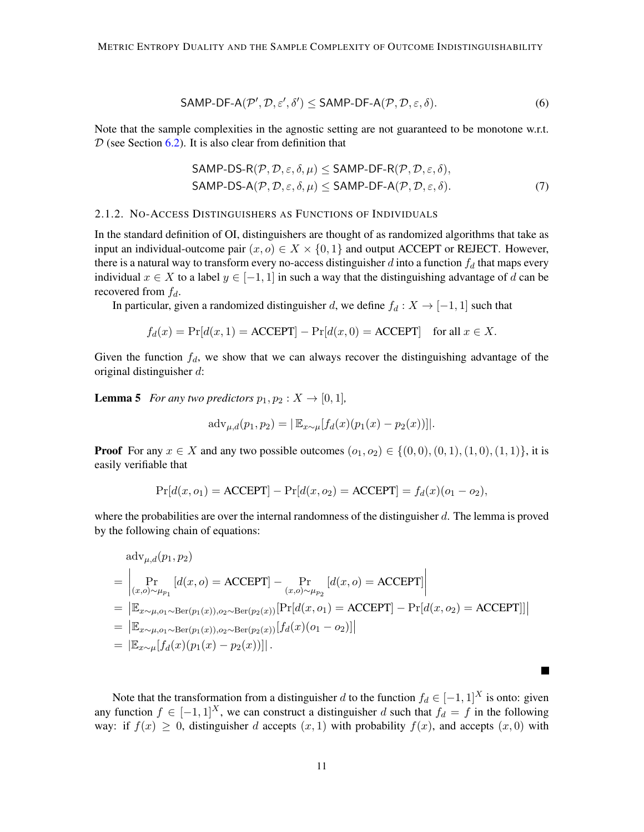$$
SAMP-DF-A(\mathcal{P}', \mathcal{D}, \varepsilon', \delta') \leq SAMP-DF-A(\mathcal{P}, \mathcal{D}, \varepsilon, \delta).
$$
\n
$$
(6)
$$

Note that the sample complexities in the agnostic setting are not guaranteed to be monotone w.r.t.  $D$  (see Section [6.2\)](#page-28-0). It is also clear from definition that

<span id="page-10-3"></span><span id="page-10-2"></span>
$$
SAMP-DS-R(P, D, \varepsilon, \delta, \mu) \leq SAMP-DF-R(P, D, \varepsilon, \delta),
$$
  
\n
$$
SAMP-DS-A(P, D, \varepsilon, \delta, \mu) \leq SAMP-DF-A(P, D, \varepsilon, \delta).
$$
 (7)

#### <span id="page-10-0"></span>2.1.2. NO-ACCESS DISTINGUISHERS AS FUNCTIONS OF INDIVIDUALS

In the standard definition of OI, distinguishers are thought of as randomized algorithms that take as input an individual-outcome pair  $(x, o) \in X \times \{0, 1\}$  and output ACCEPT or REJECT. However, there is a natural way to transform every no-access distinguisher  $d$  into a function  $f_d$  that maps every individual  $x \in X$  to a label  $y \in [-1, 1]$  in such a way that the distinguishing advantage of d can be recovered from  $f_d$ .

In particular, given a randomized distinguisher d, we define  $f_d : X \to [-1,1]$  such that

$$
f_d(x) = \Pr[d(x, 1) = \text{ACCEPT}] - \Pr[d(x, 0) = \text{ACCEPT}] \quad \text{for all } x \in X.
$$

Given the function  $f_d$ , we show that we can always recover the distinguishing advantage of the original distinguisher d:

<span id="page-10-1"></span>**Lemma 5** *For any two predictors*  $p_1, p_2 : X \rightarrow [0, 1]$ *,* 

$$
adv_{\mu,d}(p_1, p_2) = |\mathbb{E}_{x \sim \mu}[f_d(x)(p_1(x) - p_2(x))]|.
$$

**Proof** For any  $x \in X$  and any two possible outcomes  $(o_1, o_2) \in \{(0, 0), (0, 1), (1, 0), (1, 1)\}\)$ , it is easily verifiable that

$$
Pr[d(x, o_1) = ACCEPT] - Pr[d(x, o_2) = ACCEPT] = f_d(x)(o_1 - o_2),
$$

where the probabilities are over the internal randomness of the distinguisher  $d$ . The lemma is proved by the following chain of equations:

$$
adv_{\mu,d}(p_1, p_2)
$$
  
=  $\left| \Pr_{(x,o)\sim\mu_{p_1}} [d(x,o) = \text{ACCEPT}] - \Pr_{(x,o)\sim\mu_{p_2}} [d(x,o) = \text{ACCEPT}] \right|$   
=  $\left| \mathbb{E}_{x\sim\mu,o_1\sim\text{Ber}(p_1(x)),o_2\sim\text{Ber}(p_2(x))} [\Pr[d(x,o_1) = \text{ACCEPT}] - \Pr[d(x,o_2) = \text{ACCEPT}] \right|$   
=  $\left| \mathbb{E}_{x\sim\mu,o_1\sim\text{Ber}(p_1(x)),o_2\sim\text{Ber}(p_2(x))} [f_d(x)(o_1 - o_2)] \right|$   
=  $\left| \mathbb{E}_{x\sim\mu} [f_d(x)(p_1(x) - p_2(x))] \right|$ .

Note that the transformation from a distinguisher d to the function  $f_d \in [-1, 1]^X$  is onto: given any function  $f \in [-1, 1]^X$ , we can construct a distinguisher d such that  $f_d = f$  in the following way: if  $f(x) \geq 0$ , distinguisher d accepts  $(x, 1)$  with probability  $f(x)$ , and accepts  $(x, 0)$  with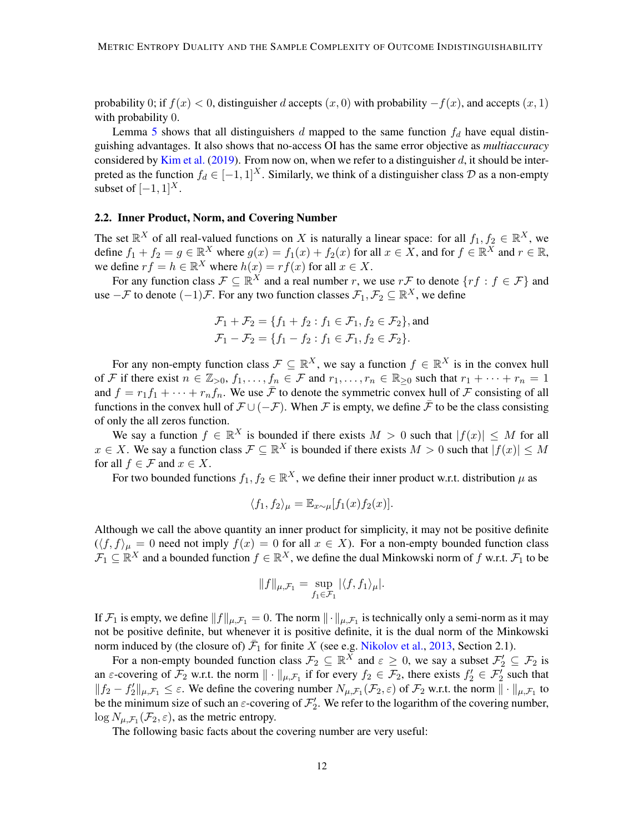probability 0; if  $f(x) < 0$ , distinguisher d accepts  $(x, 0)$  with probability  $-f(x)$ , and accepts  $(x, 1)$ with probability 0.

Lemma [5](#page-10-1) shows that all distinguishers d mapped to the same function  $f_d$  have equal distinguishing advantages. It also shows that no-access OI has the same error objective as *multiaccuracy* considered by [Kim et al.](#page-33-7) [\(2019\)](#page-33-7). From now on, when we refer to a distinguisher  $d$ , it should be interpreted as the function  $f_d \in [-1, 1]^X$ . Similarly, we think of a distinguisher class  $D$  as a non-empty subset of  $[-1, 1]^{X}$ .

### <span id="page-11-0"></span>2.2. Inner Product, Norm, and Covering Number

The set  $\mathbb{R}^X$  of all real-valued functions on X is naturally a linear space: for all  $f_1, f_2 \in \mathbb{R}^X$ , we define  $f_1 + f_2 = g \in \mathbb{R}^X$  where  $g(x) = f_1(x) + f_2(x)$  for all  $x \in X$ , and for  $f \in \mathbb{R}^X$  and  $r \in \mathbb{R}$ , we define  $rf = h \in \mathbb{R}^X$  where  $h(x) = rf(x)$  for all  $x \in X$ .

For any function class  $\mathcal{F} \subseteq \mathbb{R}^X$  and a real number r, we use  $r\mathcal{F}$  to denote  $\{rf : f \in \mathcal{F}\}\$  and use  $-\mathcal{F}$  to denote  $(-1)\mathcal{F}$ . For any two function classes  $\mathcal{F}_1, \mathcal{F}_2 \subseteq \mathbb{R}^X$ , we define

$$
\mathcal{F}_1 + \mathcal{F}_2 = \{ f_1 + f_2 : f_1 \in \mathcal{F}_1, f_2 \in \mathcal{F}_2 \}, \text{and}
$$
  

$$
\mathcal{F}_1 - \mathcal{F}_2 = \{ f_1 - f_2 : f_1 \in \mathcal{F}_1, f_2 \in \mathcal{F}_2 \}.
$$

For any non-empty function class  $\mathcal{F} \subseteq \mathbb{R}^X$ , we say a function  $f \in \mathbb{R}^X$  is in the convex hull of F if there exist  $n \in \mathbb{Z}_{>0}$ ,  $f_1, \ldots, f_n \in \mathcal{F}$  and  $r_1, \ldots, r_n \in \mathbb{R}_{\geq 0}$  such that  $r_1 + \cdots + r_n = 1$ and  $f = r_1 f_1 + \cdots + r_n f_n$ . We use  $\bar{\mathcal{F}}$  to denote the symmetric convex hull of  $\mathcal{F}$  consisting of all functions in the convex hull of  $\mathcal{F} \cup (-\mathcal{F})$ . When  $\mathcal{F}$  is empty, we define  $\bar{\mathcal{F}}$  to be the class consisting of only the all zeros function.

We say a function  $f \in \mathbb{R}^X$  is bounded if there exists  $M > 0$  such that  $|f(x)| \leq M$  for all  $x \in X$ . We say a function class  $\mathcal{F} \subseteq \mathbb{R}^X$  is bounded if there exists  $M > 0$  such that  $|f(x)| \leq M$ for all  $f \in \mathcal{F}$  and  $x \in X$ .

For two bounded functions  $f_1, f_2 \in \mathbb{R}^X$ , we define their inner product w.r.t. distribution  $\mu$  as

$$
\langle f_1, f_2 \rangle_{\mu} = \mathbb{E}_{x \sim \mu}[f_1(x) f_2(x)].
$$

Although we call the above quantity an inner product for simplicity, it may not be positive definite  $(\langle f, f \rangle_{\mu} = 0$  need not imply  $f(x) = 0$  for all  $x \in X$ ). For a non-empty bounded function class  $\mathcal{F}_1 \subseteq \mathbb{R}^X$  and a bounded function  $f \in \mathbb{R}^X$ , we define the dual Minkowski norm of f w.r.t.  $\mathcal{F}_1$  to be

<span id="page-11-1"></span>
$$
||f||_{\mu,\mathcal{F}_1} = \sup_{f_1 \in \mathcal{F}_1} |\langle f, f_1 \rangle_{\mu}|.
$$

If  $\mathcal{F}_1$  is empty, we define  $||f||_{\mu,\mathcal{F}_1} = 0$ . The norm  $||\cdot||_{\mu,\mathcal{F}_1}$  is technically only a semi-norm as it may not be positive definite, but whenever it is positive definite, it is the dual norm of the Minkowski norm induced by (the closure of)  $\bar{F}_1$  for finite X (see e.g. [Nikolov et al.,](#page-34-8) [2013,](#page-34-8) Section 2.1).

For a non-empty bounded function class  $\mathcal{F}_2 \subseteq \mathbb{R}^X$  and  $\varepsilon \ge 0$ , we say a subset  $\mathcal{F}'_2 \subseteq \mathcal{F}_2$  is an  $\varepsilon$ -covering of  $\mathcal{F}_2$  w.r.t. the norm  $\|\cdot\|_{\mu,\mathcal{F}_1}$  if for every  $f_2 \in \mathcal{F}_2$ , there exists  $f'_2 \in \mathcal{F}'_2$  such that  $||f_2 - f_2'||_{\mu, \mathcal{F}_1} \leq \varepsilon$ . We define the covering number  $N_{\mu, \mathcal{F}_1}(\mathcal{F}_2, \varepsilon)$  of  $\mathcal{F}_2$  w.r.t. the norm  $|| \cdot ||_{\mu, \mathcal{F}_1}$  to be the minimum size of such an  $\varepsilon$ -covering of  $\mathcal{F}'_2$ . We refer to the logarithm of the covering number,  $\log N_{\mu,\mathcal{F}_1}(\mathcal{F}_2,\varepsilon)$ , as the metric entropy.

The following basic facts about the covering number are very useful: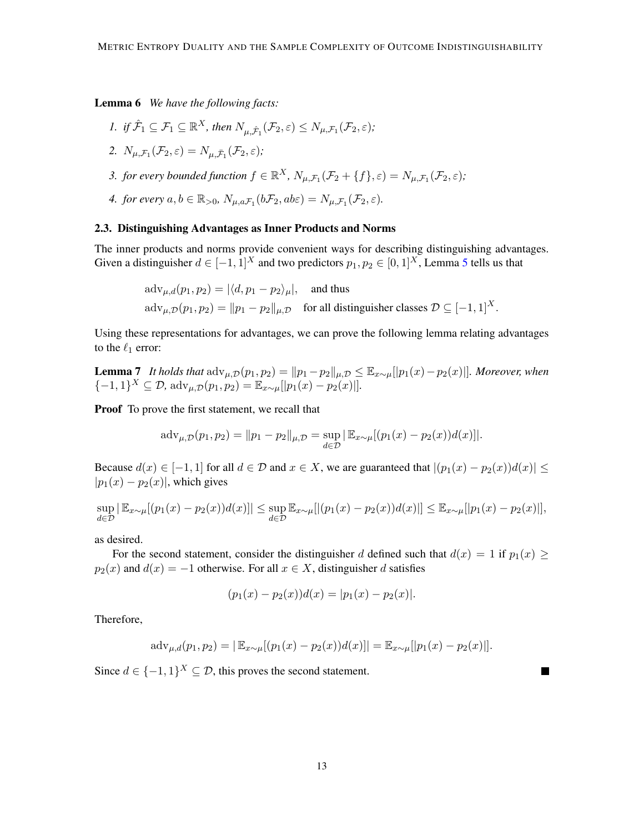<span id="page-12-3"></span>Lemma 6 *We have the following facts:*

- *1. if*  $\hat{\mathcal{F}}_1 \subseteq \mathcal{F}_1 \subseteq \mathbb{R}^X$ , then  $N_{\mu,\hat{\mathcal{F}}_1}(\mathcal{F}_2,\varepsilon) \leq N_{\mu,\mathcal{F}_1}(\mathcal{F}_2,\varepsilon)$ ;
- <span id="page-12-4"></span>2.  $N_{\mu,\mathcal{F}_1}(\mathcal{F}_2,\varepsilon)=N_{\mu,\bar{\mathcal{F}}_1}(\mathcal{F}_2,\varepsilon);$
- <span id="page-12-2"></span>*3. for every bounded function*  $f \in \mathbb{R}^X$ ,  $N_{\mu,\mathcal{F}_1}(\mathcal{F}_2 + \{f\}, \varepsilon) = N_{\mu,\mathcal{F}_1}(\mathcal{F}_2, \varepsilon)$ ;
- <span id="page-12-1"></span>4. *for every*  $a, b \in \mathbb{R}_{>0}$ ,  $N_{\mu,a\mathcal{F}_1}(b\mathcal{F}_2, ab\varepsilon) = N_{\mu,\mathcal{F}_1}(\mathcal{F}_2, \varepsilon)$ .

### 2.3. Distinguishing Advantages as Inner Products and Norms

The inner products and norms provide convenient ways for describing distinguishing advantages. Given a distinguisher  $d \in [-1, 1]^X$  and two predictors  $p_1, p_2 \in [0, 1]^X$ , Lemma [5](#page-10-1) tells us that

> <span id="page-12-0"></span> $\text{adv}_{u,d}(p_1, p_2) = |\langle d, p_1 - p_2 \rangle_{\mu}|,$  and thus  $\text{adv}_{\mu,\mathcal{D}}(p_1, p_2) = ||p_1 - p_2||_{\mu,\mathcal{D}}$  for all distinguisher classes  $\mathcal{D} \subseteq [-1, 1]^X$ .

Using these representations for advantages, we can prove the following lemma relating advantages to the  $\ell_1$  error:

**Lemma 7** *It holds that*  $\text{adv}_{\mu,\mathcal{D}}(p_1, p_2) = ||p_1 - p_2||_{\mu,\mathcal{D}} \leq \mathbb{E}_{x \sim \mu}[[p_1(x) - p_2(x)]]$ *. Moreover, when*  $\{-1,1\}^X \subseteq \mathcal{D}$ , adv<sub> $\mu, \mathcal{D}(p_1, p_2) = \mathbb{E}_{x \sim \mu}[[p_1(x) - p_2(x)]]$ .</sub>

Proof To prove the first statement, we recall that

$$
adv_{\mu,\mathcal{D}}(p_1, p_2) = ||p_1 - p_2||_{\mu,\mathcal{D}} = \sup_{d \in \mathcal{D}} |\mathbb{E}_{x \sim \mu}[(p_1(x) - p_2(x))d(x)]|.
$$

Because  $d(x) \in [-1, 1]$  for all  $d \in \mathcal{D}$  and  $x \in X$ , we are guaranteed that  $|(p_1(x) - p_2(x))d(x)| \le$  $|p_1(x) - p_2(x)|$ , which gives

$$
\sup_{d \in \mathcal{D}} |\mathbb{E}_{x \sim \mu}[(p_1(x) - p_2(x))d(x)]| \leq \sup_{d \in \mathcal{D}} \mathbb{E}_{x \sim \mu}[|(p_1(x) - p_2(x))d(x)|] \leq \mathbb{E}_{x \sim \mu}[|p_1(x) - p_2(x)|],
$$

as desired.

For the second statement, consider the distinguisher d defined such that  $d(x) = 1$  if  $p_1(x) \ge$  $p_2(x)$  and  $d(x) = -1$  otherwise. For all  $x \in X$ , distinguisher d satisfies

$$
(p_1(x) - p_2(x))d(x) = |p_1(x) - p_2(x)|.
$$

Therefore,

$$
adv_{\mu,d}(p_1, p_2) = |\mathbb{E}_{x \sim \mu}[(p_1(x) - p_2(x))d(x)]| = \mathbb{E}_{x \sim \mu}[[p_1(x) - p_2(x)]].
$$

Since  $d \in \{-1, 1\}^X \subseteq \mathcal{D}$ , this proves the second statement.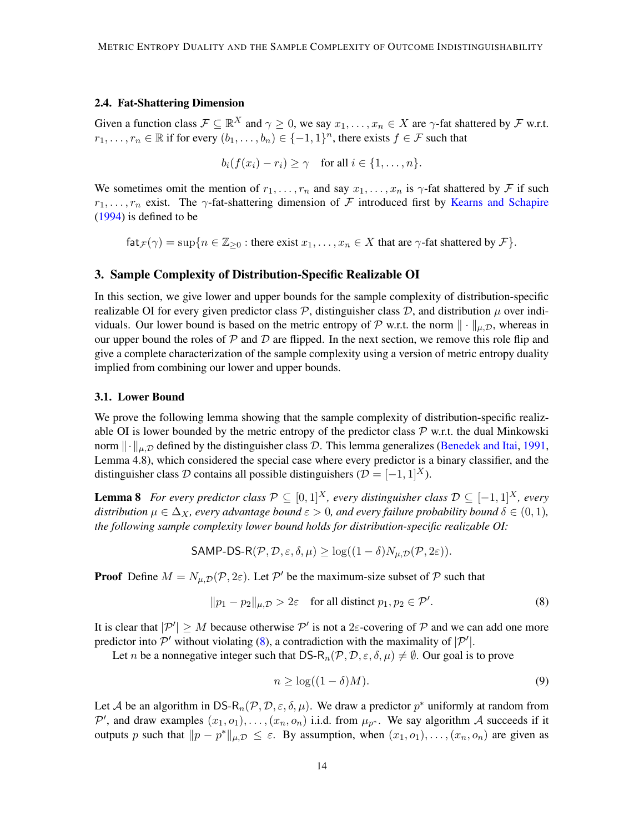### <span id="page-13-0"></span>2.4. Fat-Shattering Dimension

Given a function class  $\mathcal{F} \subseteq \mathbb{R}^X$  and  $\gamma \ge 0$ , we say  $x_1, \dots, x_n \in X$  are  $\gamma$ -fat shattered by  $\mathcal{F}$  w.r.t.  $r_1, \ldots, r_n \in \mathbb{R}$  if for every  $(b_1, \ldots, b_n) \in \{-1, 1\}^n$ , there exists  $f \in \mathcal{F}$  such that

$$
b_i(f(x_i) - r_i) \geq \gamma \quad \text{for all } i \in \{1, \ldots, n\}.
$$

We sometimes omit the mention of  $r_1, \ldots, r_n$  and say  $x_1, \ldots, x_n$  is  $\gamma$ -fat shattered by F if such  $r_1, \ldots, r_n$  exist. The  $\gamma$ -fat-shattering dimension of  $\mathcal F$  introduced first by [Kearns and Schapire](#page-33-3) [\(1994\)](#page-33-3) is defined to be

 $f \text{at}_{\mathcal{F}} (\gamma) = \sup \{ n \in \mathbb{Z}_{\geq 0} : \text{there exist } x_1, \ldots, x_n \in X \text{ that are } \gamma \text{-fat shattered by } \mathcal{F} \}.$ 

### <span id="page-13-1"></span>3. Sample Complexity of Distribution-Specific Realizable OI

In this section, we give lower and upper bounds for the sample complexity of distribution-specific realizable OI for every given predictor class  $P$ , distinguisher class  $D$ , and distribution  $\mu$  over individuals. Our lower bound is based on the metric entropy of P w.r.t. the norm  $\|\cdot\|_{\mu,D}$ , whereas in our upper bound the roles of  $\mathcal P$  and  $\mathcal D$  are flipped. In the next section, we remove this role flip and give a complete characterization of the sample complexity using a version of metric entropy duality implied from combining our lower and upper bounds.

### 3.1. Lower Bound

We prove the following lemma showing that the sample complexity of distribution-specific realizable OI is lower bounded by the metric entropy of the predictor class  $P$  w.r.t. the dual Minkowski norm  $\|\cdot\|_{\mu,\mathcal{D}}$  defined by the distinguisher class D. This lemma generalizes [\(Benedek and Itai,](#page-32-5) [1991,](#page-32-5) Lemma 4.8), which considered the special case where every predictor is a binary classifier, and the distinguisher class D contains all possible distinguishers ( $\mathcal{D} = [-1, 1]^X$ ).

**Lemma 8** *For every predictor class*  $\mathcal{P}$  ⊆ [0, 1]<sup>X</sup>, every distinguisher class  $\mathcal{D}$  ⊆ [-1, 1]<sup>X</sup>, every *distribution*  $\mu \in \Delta_X$ *, every advantage bound*  $\varepsilon > 0$ *, and every failure probability bound*  $\delta \in (0, 1)$ *, the following sample complexity lower bound holds for distribution-specific realizable OI:*

<span id="page-13-4"></span>
$$
\mathsf{SAMP\text{-}DS\text{-}R}(\mathcal{P}, \mathcal{D}, \varepsilon, \delta, \mu) \ge \log((1 - \delta)N_{\mu, \mathcal{D}}(\mathcal{P}, 2\varepsilon)).
$$

**Proof** Define  $M = N_{\mu,D}(\mathcal{P}, 2\varepsilon)$ . Let  $\mathcal{P}'$  be the maximum-size subset of  $\mathcal{P}$  such that

<span id="page-13-2"></span>
$$
||p_1 - p_2||_{\mu, \mathcal{D}} > 2\varepsilon \quad \text{for all distinct } p_1, p_2 \in \mathcal{P}'.
$$
 (8)

It is clear that  $|\mathcal{P}'| \geq M$  because otherwise  $\mathcal{P}'$  is not a  $2\varepsilon$ -covering of  $\mathcal P$  and we can add one more predictor into  $\mathcal{P}'$  without violating [\(8\)](#page-13-2), a contradiction with the maximality of  $|\mathcal{P}'|$ .

Let n be a nonnegative integer such that  $DS-R_n(\mathcal{P}, \mathcal{D}, \varepsilon, \delta, \mu) \neq \emptyset$ . Our goal is to prove

<span id="page-13-3"></span>
$$
n \ge \log((1 - \delta)M). \tag{9}
$$

Let A be an algorithm in DS- $R_n(\mathcal{P}, \mathcal{D}, \varepsilon, \delta, \mu)$ . We draw a predictor  $p^*$  uniformly at random from P', and draw examples  $(x_1, o_1), \ldots, (x_n, o_n)$  i.i.d. from  $\mu_{p^*}$ . We say algorithm A succeeds if it outputs p such that  $||p - p^*||_{\mu, \mathcal{D}} \leq \varepsilon$ . By assumption, when  $(x_1, o_1), \ldots, (x_n, o_n)$  are given as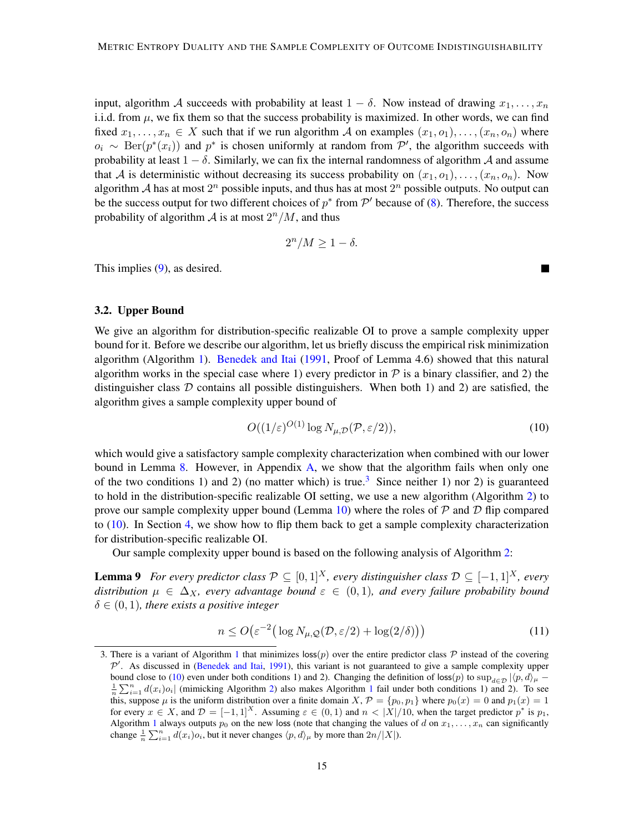input, algorithm A succeeds with probability at least  $1 - \delta$ . Now instead of drawing  $x_1, \ldots, x_n$ i.i.d. from  $\mu$ , we fix them so that the success probability is maximized. In other words, we can find fixed  $x_1, \ldots, x_n \in X$  such that if we run algorithm A on examples  $(x_1, o_1), \ldots, (x_n, o_n)$  where  $o_i \sim \text{Ber}(p^*(x_i))$  and  $p^*$  is chosen uniformly at random from  $\mathcal{P}'$ , the algorithm succeeds with probability at least  $1 - \delta$ . Similarly, we can fix the internal randomness of algorithm A and assume that A is deterministic without decreasing its success probability on  $(x_1, o_1), \ldots, (x_n, o_n)$ . Now algorithm A has at most  $2^n$  possible inputs, and thus has at most  $2^n$  possible outputs. No output can be the success output for two different choices of  $p^*$  from  $\mathcal{P}'$  because of [\(8\)](#page-13-2). Therefore, the success probability of algorithm  $A$  is at most  $2^n/M$ , and thus

$$
2^n/M \ge 1 - \delta.
$$

This implies [\(9\)](#page-13-3), as desired.

### 3.2. Upper Bound

We give an algorithm for distribution-specific realizable OI to prove a sample complexity upper bound for it. Before we describe our algorithm, let us briefly discuss the empirical risk minimization algorithm (Algorithm [1\)](#page-15-0). [Benedek and Itai](#page-32-5) [\(1991,](#page-32-5) Proof of Lemma 4.6) showed that this natural algorithm works in the special case where 1) every predictor in  $P$  is a binary classifier, and 2) the distinguisher class  $D$  contains all possible distinguishers. When both 1) and 2) are satisfied, the algorithm gives a sample complexity upper bound of

<span id="page-14-1"></span>
$$
O((1/\varepsilon)^{O(1)} \log N_{\mu,\mathcal{D}}(\mathcal{P}, \varepsilon/2)),\tag{10}
$$

which would give a satisfactory sample complexity characterization when combined with our lower bound in Lemma [8.](#page-13-4) However, in Appendix [A,](#page-34-3) we show that the algorithm fails when only one of the two conditions 1) and 2) (no matter which) is true.<sup>[3](#page-14-0)</sup> Since neither 1) nor 2) is guaranteed to hold in the distribution-specific realizable OI setting, we use a new algorithm (Algorithm [2\)](#page-15-1) to prove our sample complexity upper bound (Lemma [10\)](#page-16-0) where the roles of  $P$  and  $D$  flip compared to [\(10\)](#page-14-1). In Section [4,](#page-17-2) we show how to flip them back to get a sample complexity characterization for distribution-specific realizable OI.

Our sample complexity upper bound is based on the following analysis of Algorithm [2:](#page-15-1)

**Lemma 9** *For every predictor class*  $\mathcal{P} \subseteq [0,1]^X$ *, every distinguisher class*  $\mathcal{D} \subseteq [-1,1]^X$ *, every distribution*  $\mu \in \Delta_X$ *, every advantage bound*  $\varepsilon \in (0,1)$ *, and every failure probability bound*  $\delta \in (0, 1)$ *, there exists a positive integer* 

<span id="page-14-3"></span>
$$
n \le O\big(\varepsilon^{-2} \big(\log N_{\mu,\mathcal{Q}}(\mathcal{D},\varepsilon/2) + \log(2/\delta)\big)\big) \tag{11}
$$

<span id="page-14-2"></span>

<span id="page-14-0"></span><sup>3.</sup> There is a variant of Algorithm [1](#page-15-0) that minimizes  $\cos(p)$  over the entire predictor class P instead of the covering  $\mathcal{P}'$ . As discussed in [\(Benedek and Itai,](#page-32-5) [1991\)](#page-32-5), this variant is not guaranteed to give a sample complexity upper bound close to [\(10\)](#page-14-1) even under both conditions 1) and 2). Changing the definition of loss(p) to  $\sup_{d\in\mathcal{D}} |\langle p, d \rangle_{\mu}$  −  $\frac{1}{n}\sum_{i=1}^{n} d(x_i) o_i$  $\frac{1}{n}\sum_{i=1}^{n} d(x_i) o_i$  $\frac{1}{n}\sum_{i=1}^{n} d(x_i) o_i$  (mimicking Algorithm [2\)](#page-15-1) also makes Algorithm 1 fail under both conditions 1) and 2). To see this, suppose  $\mu$  is the uniform distribution over a finite domain  $X, \mathcal{P} = \{p_0, p_1\}$  where  $p_0(x) = 0$  and  $p_1(x) = 1$ for every  $x \in X$ , and  $\mathcal{D} = [-1,1]^X$ . Assuming  $\varepsilon \in (0,1)$  and  $n < |X|/10$ , when the target predictor  $p^*$  is  $p_1$ , Algorithm [1](#page-15-0) always outputs  $p_0$  on the new loss (note that changing the values of d on  $x_1, \ldots, x_n$  can significantly change  $\frac{1}{n} \sum_{i=1}^{n} d(x_i) o_i$ , but it never changes  $\langle p, d \rangle_{\mu}$  by more than  $2n/|X|$ ).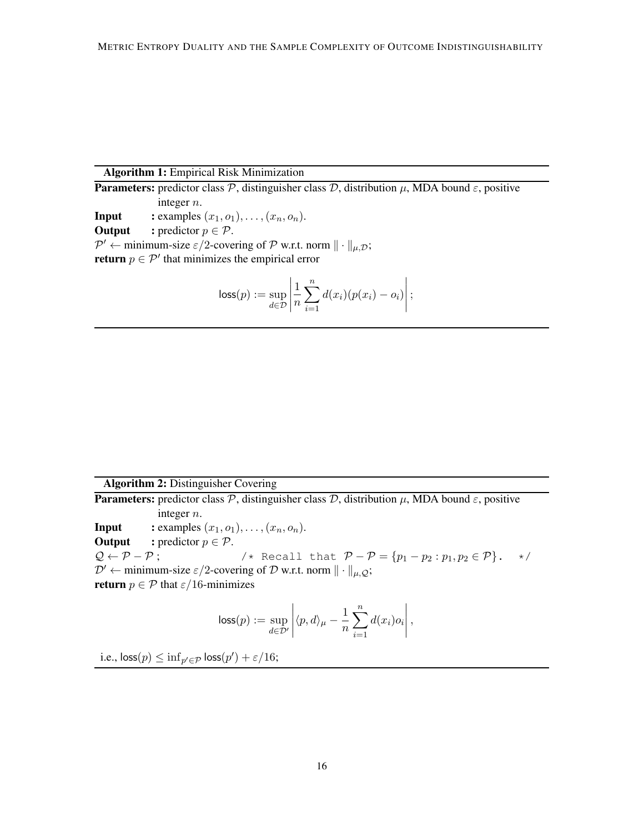# Algorithm 1: Empirical Risk Minimization

**Parameters:** predictor class  $\mathcal{P}$ , distinguisher class  $\mathcal{D}$ , distribution  $\mu$ , MDA bound  $\epsilon$ , positive integer n. **Input** : examples  $(x_1, o_1), \ldots, (x_n, o_n)$ . **Output** : predictor  $p \in \mathcal{P}$ .  $\mathcal{P}' \leftarrow$  minimum-size  $\varepsilon/2$ -covering of  $\mathcal P$  w.r.t. norm  $\|\cdot\|_{\mu,\mathcal{D}}$ ; **return**  $p \in \mathcal{P}'$  that minimizes the empirical error

<span id="page-15-0"></span>
$$
\textsf{loss}(p) := \sup_{d \in \mathcal{D}} \left| \frac{1}{n} \sum_{i=1}^n d(x_i) (p(x_i) - o_i) \right|;
$$

# Algorithm 2: Distinguisher Covering

**Parameters:** predictor class  $\mathcal{P}$ , distinguisher class  $\mathcal{D}$ , distribution  $\mu$ , MDA bound  $\epsilon$ , positive integer n. **Input** : examples  $(x_1, o_1), \ldots, (x_n, o_n)$ . **Output** : predictor  $p \in \mathcal{P}$ .  $Q \leftarrow P - P$ ;  $\left\{ \begin{array}{ll} \neq \in \mathcal{P} - P \text{ is } P - P = \{p_1 - p_2 : p_1, p_2 \in P\} \end{array} \right.$  $\mathcal{D}' \leftarrow$  minimum-size  $\varepsilon/2$ -covering of  $\mathcal D$  w.r.t. norm  $\|\cdot\|_{\mu,Q}$ ; **return**  $p \in \mathcal{P}$  that  $\varepsilon/16$ -minimizes

$$
\text{loss}(p) := \sup_{d \in \mathcal{D}'} \left| \langle p, d \rangle_{\mu} - \frac{1}{n} \sum_{i=1}^{n} d(x_i) o_i \right|,
$$

<span id="page-15-1"></span>i.e.,  $\textsf{loss}(p) \leq \inf_{p' \in \mathcal{P}} \textsf{loss}(p') + \varepsilon/16;$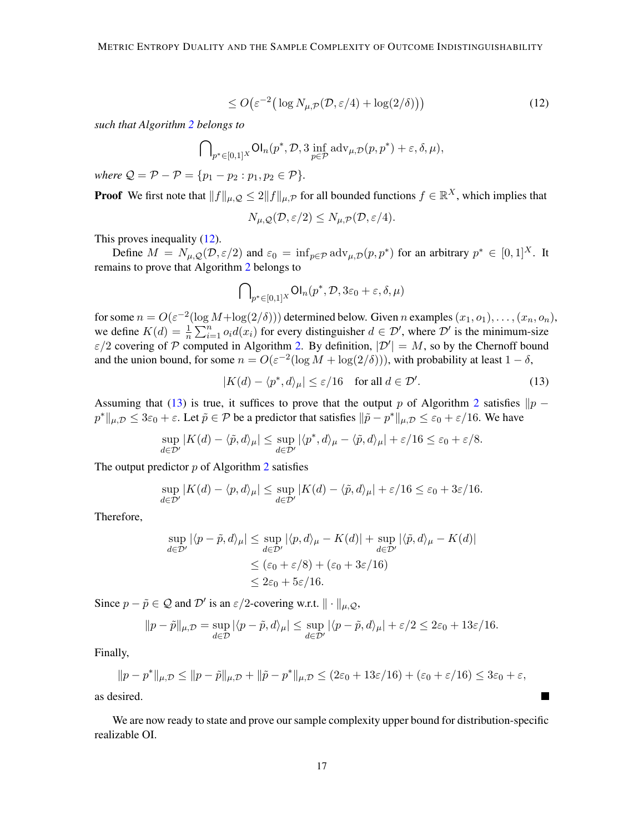<span id="page-16-1"></span>
$$
\leq O\big(\varepsilon^{-2}\big(\log N_{\mu,\mathcal{P}}(\mathcal{D},\varepsilon/4) + \log(2/\delta)\big)\big) \tag{12}
$$

*such that Algorithm [2](#page-15-1) belongs to*

$$
\bigcap\nolimits_{p^*\in[0,1]^X} \mathsf{Ol}_n(p^*, \mathcal{D}, 3\inf_{p\in\mathcal{P}}\mathrm{adv}_{\mu, \mathcal{D}}(p, p^*) + \varepsilon, \delta, \mu),
$$

*where*  $Q = P - P = \{p_1 - p_2 : p_1, p_2 \in P\}.$ 

**Proof** We first note that  $||f||_{\mu,Q} \leq 2||f||_{\mu,P}$  for all bounded functions  $f \in \mathbb{R}^X$ , which implies that

$$
N_{\mu,\mathcal{Q}}(\mathcal{D},\varepsilon/2) \leq N_{\mu,\mathcal{P}}(\mathcal{D},\varepsilon/4).
$$

This proves inequality [\(12\)](#page-16-1).

Define  $M = N_{\mu,Q}(\mathcal{D}, \varepsilon/2)$  and  $\varepsilon_0 = \inf_{p \in \mathcal{P}} \text{adv}_{\mu,\mathcal{D}}(p, p^*)$  for an arbitrary  $p^* \in [0, 1]^X$ . It remains to prove that Algorithm [2](#page-15-1) belongs to

$$
\bigcap\nolimits_{p^*\in[0,1]^X}\mathsf{Ol}_n(p^*,\mathcal{D},3\varepsilon_0+\varepsilon,\delta,\mu)
$$

for some  $n = O(\varepsilon^{-2}(\log M + \log(2/\delta)))$  determined below. Given n examples  $(x_1, o_1), \ldots, (x_n, o_n)$ , we define  $K(d) = \frac{1}{n} \sum_{i=1}^{n} o_i d(x_i)$  for every distinguisher  $d \in \mathcal{D}'$ , where  $\mathcal{D}'$  is the minimum-size  $\varepsilon/2$  covering of P computed in Algorithm [2.](#page-15-1) By definition,  $|\mathcal{D}'| = M$ , so by the Chernoff bound and the union bound, for some  $n = O(\varepsilon^{-2}(\log M + \log(2/\delta)))$ , with probability at least  $1 - \delta$ ,

<span id="page-16-2"></span>
$$
|K(d) - \langle p^*, d \rangle_{\mu}| \le \varepsilon / 16 \quad \text{for all } d \in \mathcal{D}'.
$$
 (13)

**The Co** 

Assuming that [\(13\)](#page-16-2) is true, it suffices to prove that the output p of Algorithm [2](#page-15-1) satisfies  $\|p - p\|$  $p^* \|_{\mu,\mathcal{D}} \leq 3\varepsilon_0 + \varepsilon$ . Let  $\tilde{p} \in \mathcal{P}$  be a predictor that satisfies  $\|\tilde{p} - p^*\|_{\mu,\mathcal{D}} \leq \varepsilon_0 + \varepsilon/16$ . We have

$$
\sup_{d \in \mathcal{D}'} |K(d) - \langle \tilde{p}, d \rangle_{\mu}| \leq \sup_{d \in \mathcal{D}'} |\langle p^*, d \rangle_{\mu} - \langle \tilde{p}, d \rangle_{\mu}| + \varepsilon/16 \leq \varepsilon_0 + \varepsilon/8.
$$

The output predictor  $p$  of Algorithm [2](#page-15-1) satisfies

$$
\sup_{d \in \mathcal{D}'} |K(d) - \langle p, d \rangle_{\mu}| \leq \sup_{d \in \mathcal{D}'} |K(d) - \langle \tilde{p}, d \rangle_{\mu}| + \varepsilon/16 \leq \varepsilon_0 + 3\varepsilon/16.
$$

Therefore,

$$
\sup_{d \in \mathcal{D}'} |\langle p - \tilde{p}, d \rangle_{\mu}| \le \sup_{d \in \mathcal{D}'} |\langle p, d \rangle_{\mu} - K(d)| + \sup_{d \in \mathcal{D}'} |\langle \tilde{p}, d \rangle_{\mu} - K(d)|
$$
  

$$
\le (\varepsilon_0 + \varepsilon/8) + (\varepsilon_0 + 3\varepsilon/16)
$$
  

$$
\le 2\varepsilon_0 + 5\varepsilon/16.
$$

Since  $p - \tilde{p} \in \mathcal{Q}$  and  $\mathcal{D}'$  is an  $\varepsilon/2$ -covering w.r.t.  $\|\cdot\|_{\mu,\mathcal{Q}}$ ,

$$
||p - \tilde{p}||_{\mu, \mathcal{D}} = \sup_{d \in \mathcal{D}} |\langle p - \tilde{p}, d \rangle_{\mu}| \le \sup_{d \in \mathcal{D}'} |\langle p - \tilde{p}, d \rangle_{\mu}| + \varepsilon/2 \le 2\varepsilon_0 + 13\varepsilon/16.
$$

Finally,

$$
||p - p^*||_{\mu, \mathcal{D}} \le ||p - \tilde{p}||_{\mu, \mathcal{D}} + ||\tilde{p} - p^*||_{\mu, \mathcal{D}} \le (2\varepsilon_0 + 13\varepsilon/16) + (\varepsilon_0 + \varepsilon/16) \le 3\varepsilon_0 + \varepsilon,
$$

as desired.

<span id="page-16-0"></span>We are now ready to state and prove our sample complexity upper bound for distribution-specific realizable OI.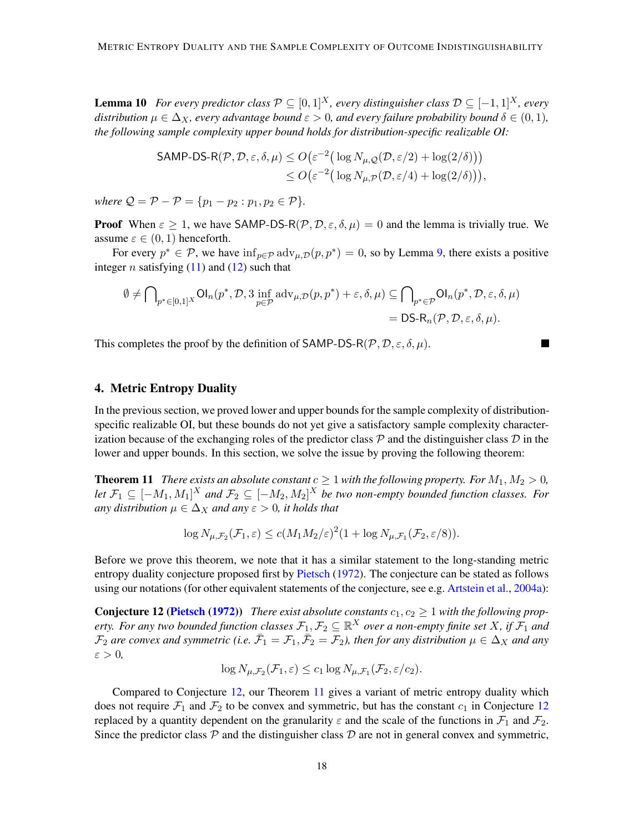**Lemma 10** *For every predictor class*  $\mathcal{P} \subseteq [0, 1]^X$ *, every distinguisher class*  $\mathcal{D} \subseteq [-1, 1]^X$ *, every distribution*  $\mu \in \Delta_X$ *, every advantage bound*  $\varepsilon > 0$ *, and every failure probability bound*  $\delta \in (0, 1)$ *, the following sample complexity upper bound holds for distribution-specific realizable OI:*

$$
\mathsf{SAMP\text{-}DS-R}(P, \mathcal{D}, \varepsilon, \delta, \mu) \le O\big(\varepsilon^{-2} \big(\log N_{\mu, \mathcal{Q}}(\mathcal{D}, \varepsilon/2) + \log(2/\delta)\big)\big) \\ \le O\big(\varepsilon^{-2} \big(\log N_{\mu, \mathcal{P}}(\mathcal{D}, \varepsilon/4) + \log(2/\delta)\big)\big),
$$

*where*  $Q = P - P = \{p_1 - p_2 : p_1, p_2 \in P\}.$ 

**Proof** When  $\varepsilon \ge 1$ , we have SAMP-DS-R( $\mathcal{P}, \mathcal{D}, \varepsilon, \delta, \mu$ ) = 0 and the lemma is trivially true. We assume  $\varepsilon \in (0,1)$  henceforth.

For every  $p^* \in \mathcal{P}$ , we have  $\inf_{p \in \mathcal{P}} \text{adv}_{\mu, \mathcal{D}}(p, p^*) = 0$ , so by Lemma [9,](#page-14-2) there exists a positive integer *n* satisfying  $(11)$  and  $(12)$  such that

$$
\emptyset \neq \bigcap_{p^* \in [0,1]^X} \text{Ol}_n(p^*, \mathcal{D}, 3 \inf_{p \in \mathcal{P}} \text{adv}_{\mu, \mathcal{D}}(p, p^*) + \varepsilon, \delta, \mu) \subseteq \bigcap_{p^* \in \mathcal{P}} \text{Ol}_n(p^*, \mathcal{D}, \varepsilon, \delta, \mu)
$$
  
= DS-R\_n(\mathcal{P}, \mathcal{D}, \varepsilon, \delta, \mu).

This completes the proof by the definition of SAMP-DS-R( $\mathcal{P}, \mathcal{D}, \varepsilon, \delta, \mu$ ).

### <span id="page-17-2"></span>4. Metric Entropy Duality

In the previous section, we proved lower and upper bounds for the sample complexity of distributionspecific realizable OI, but these bounds do not yet give a satisfactory sample complexity characterization because of the exchanging roles of the predictor class  $P$  and the distinguisher class  $D$  in the lower and upper bounds. In this section, we solve the issue by proving the following theorem:

<span id="page-17-1"></span>**Theorem 11** *There exists an absolute constant*  $c \geq 1$  *with the following property. For*  $M_1, M_2 > 0$ *, let*  $\mathcal{F}_1$  ⊆  $[-M_1, M_1]^X$  and  $\mathcal{F}_2$  ⊆  $[-M_2, M_2]^X$  be two non-empty bounded function classes. For *any distribution*  $\mu \in \Delta_X$  *and any*  $\varepsilon > 0$ *, it holds that* 

$$
\log N_{\mu,\mathcal{F}_2}(\mathcal{F}_1,\varepsilon) \le c(M_1M_2/\varepsilon)^2(1+\log N_{\mu,\mathcal{F}_1}(\mathcal{F}_2,\varepsilon/8)).
$$

Before we prove this theorem, we note that it has a similar statement to the long-standing metric entropy duality conjecture proposed first by [Pietsch](#page-34-4) [\(1972\)](#page-34-4). The conjecture can be stated as follows using our notations (for other equivalent statements of the conjecture, see e.g. [Artstein et al.,](#page-32-7) [2004a\)](#page-32-7):

**Conjecture 12 [\(Pietsch](#page-34-4) [\(1972\)](#page-34-4))** *There exist absolute constants*  $c_1$ ,  $c_2 \geq 1$  *with the following property. For any two bounded function classes*  $\mathcal{F}_1, \mathcal{F}_2 \subseteq \mathbb{R}^X$  *over a non-empty finite set* X, if  $\mathcal{F}_1$  *and*  $\mathcal{F}_2$  are convex and symmetric (i.e.  $\bar{\mathcal{F}}_1 = \mathcal{F}_1, \bar{\mathcal{F}}_2 = \mathcal{F}_2$ ), then for any distribution  $\mu \in \Delta_X$  and any  $\varepsilon > 0$ ,

<span id="page-17-0"></span>
$$
\log N_{\mu,\mathcal{F}_2}(\mathcal{F}_1,\varepsilon) \leq c_1 \log N_{\mu,\mathcal{F}_1}(\mathcal{F}_2,\varepsilon/c_2).
$$

Compared to Conjecture [12,](#page-17-0) our Theorem [11](#page-17-1) gives a variant of metric entropy duality which does not require  $\mathcal{F}_1$  and  $\mathcal{F}_2$  to be convex and symmetric, but has the constant  $c_1$  in Conjecture [12](#page-17-0) replaced by a quantity dependent on the granularity  $\varepsilon$  and the scale of the functions in  $\mathcal{F}_1$  and  $\mathcal{F}_2$ . Since the predictor class  $P$  and the distinguisher class  $D$  are not in general convex and symmetric,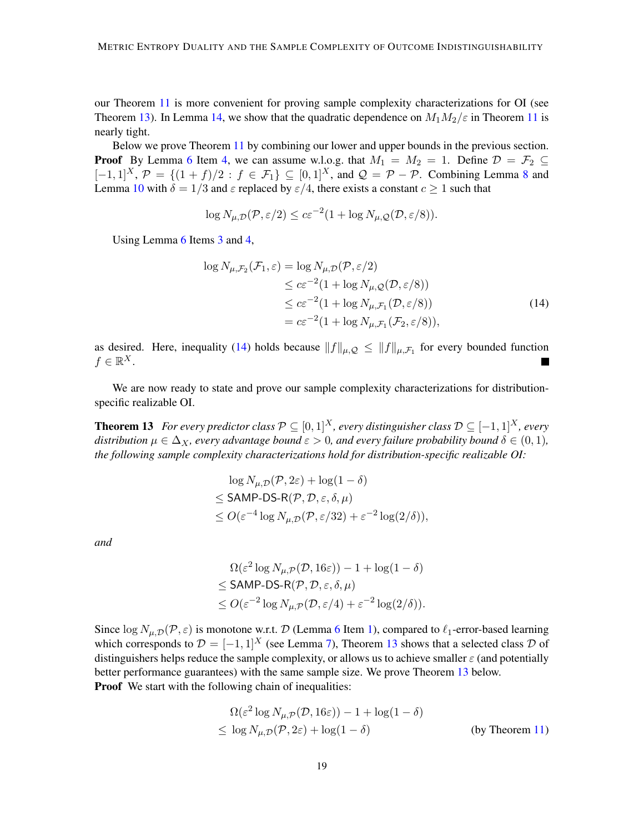our Theorem [11](#page-17-1) is more convenient for proving sample complexity characterizations for OI (see Theorem [13\)](#page-18-0). In Lemma [14,](#page-19-0) we show that the quadratic dependence on  $M_1M_2/\varepsilon$  in Theorem [11](#page-17-1) is nearly tight.

Below we prove Theorem [11](#page-17-1) by combining our lower and upper bounds in the previous section. **Proof** By Lemma [6](#page-11-1) Item [4,](#page-12-1) we can assume w.l.o.g. that  $M_1 = M_2 = 1$ . Define  $\mathcal{D} = \mathcal{F}_2 \subseteq$  $[-1,1]^X$ ,  $\mathcal{P} = \{(1 + f)/2 : f \in \mathcal{F}_1\} \subseteq [0,1]^X$ , and  $\mathcal{Q} = \mathcal{P} - \mathcal{P}$ . Combining Lemma [8](#page-13-4) and Lemma [10](#page-16-0) with  $\delta = 1/3$  and  $\varepsilon$  replaced by  $\varepsilon/4$ , there exists a constant  $c \ge 1$  such that

$$
\log N_{\mu,\mathcal{D}}(\mathcal{P},\varepsilon/2) \le c\varepsilon^{-2} (1 + \log N_{\mu,\mathcal{Q}}(\mathcal{D},\varepsilon/8)).
$$

Using Lemma [6](#page-11-1) Items [3](#page-12-2) and [4,](#page-12-1)

<span id="page-18-1"></span>
$$
\log N_{\mu,\mathcal{F}_2}(\mathcal{F}_1,\varepsilon) = \log N_{\mu,\mathcal{D}}(\mathcal{P},\varepsilon/2)
$$
  
\n
$$
\leq c\varepsilon^{-2}(1 + \log N_{\mu,\mathcal{Q}}(\mathcal{D},\varepsilon/8))
$$
  
\n
$$
\leq c\varepsilon^{-2}(1 + \log N_{\mu,\mathcal{F}_1}(\mathcal{D},\varepsilon/8))
$$
  
\n
$$
= c\varepsilon^{-2}(1 + \log N_{\mu,\mathcal{F}_1}(\mathcal{F}_2,\varepsilon/8)),
$$
\n(14)

as desired. Here, inequality [\(14\)](#page-18-1) holds because  $||f||_{\mu,Q} \le ||f||_{\mu,\mathcal{F}_1}$  for every bounded function  $f \in \mathbb{R}^X$ .

We are now ready to state and prove our sample complexity characterizations for distributionspecific realizable OI.

**Theorem 13** *For every predictor class*  $\mathcal{P} \subseteq [0,1]^X$ *, every distinguisher class*  $\mathcal{D} \subseteq [-1,1]^X$ *, every distribution*  $\mu \in \Delta_X$ , every advantage bound  $\varepsilon > 0$ , and every failure probability bound  $\delta \in (0,1)$ , *the following sample complexity characterizations hold for distribution-specific realizable OI:*

<span id="page-18-0"></span>
$$
\log N_{\mu,\mathcal{D}}(\mathcal{P}, 2\varepsilon) + \log(1 - \delta)
$$
  
\n
$$
\leq \text{SAMP-DS-R}(\mathcal{P}, \mathcal{D}, \varepsilon, \delta, \mu)
$$
  
\n
$$
\leq O(\varepsilon^{-4} \log N_{\mu,\mathcal{D}}(\mathcal{P}, \varepsilon/32) + \varepsilon^{-2} \log(2/\delta)),
$$

*and*

$$
\Omega(\varepsilon^2 \log N_{\mu,\mathcal{P}}(\mathcal{D}, 16\varepsilon)) - 1 + \log(1 - \delta)
$$
  
\n
$$
\leq \text{SAMP-DS-R}(\mathcal{P}, \mathcal{D}, \varepsilon, \delta, \mu)
$$
  
\n
$$
\leq O(\varepsilon^{-2} \log N_{\mu,\mathcal{P}}(\mathcal{D}, \varepsilon/4) + \varepsilon^{-2} \log(2/\delta)).
$$

Since  $\log N_{\mu,\mathcal{D}}(\mathcal{P},\varepsilon)$  is monotone w.r.t. D (Lemma [6](#page-11-1) Item [1\)](#page-12-3), compared to  $\ell_1$ -error-based learning which corresponds to  $\mathcal{D} = [-1, 1]^X$  (see Lemma [7\)](#page-12-0), Theorem [13](#page-18-0) shows that a selected class  $\mathcal{D}$  of distinguishers helps reduce the sample complexity, or allows us to achieve smaller  $\varepsilon$  (and potentially better performance guarantees) with the same sample size. We prove Theorem [13](#page-18-0) below. **Proof** We start with the following chain of inequalities:

$$
\Omega(\varepsilon^2 \log N_{\mu,\mathcal{P}}(\mathcal{D}, 16\varepsilon)) - 1 + \log(1 - \delta)
$$
  
\n
$$
\leq \log N_{\mu,\mathcal{D}}(\mathcal{P}, 2\varepsilon) + \log(1 - \delta)
$$
 (by Theorem 11)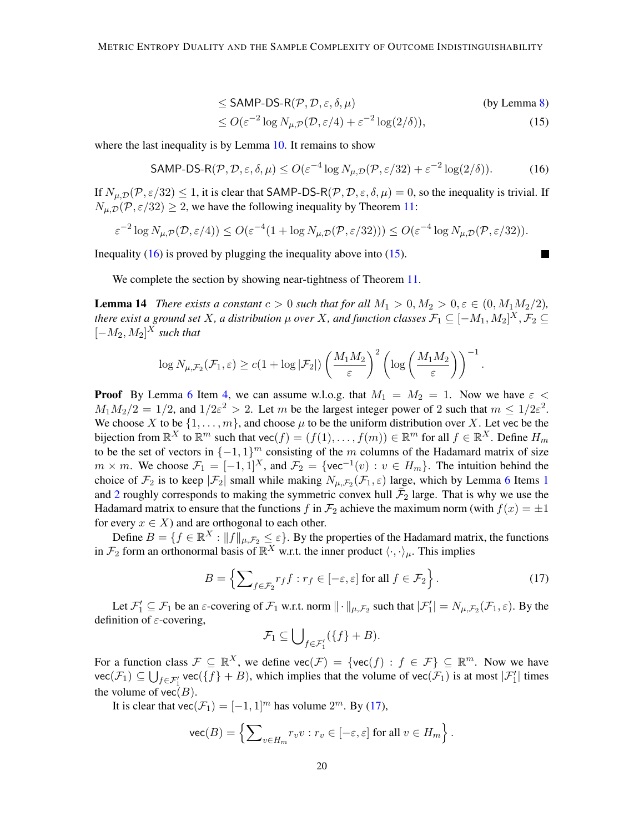$$
\leq \text{SAMP-DS-R}(\mathcal{P}, \mathcal{D}, \varepsilon, \delta, \mu) \tag{by Lemma 8}
$$

$$
\leq O(\varepsilon^{-2} \log N_{\mu,\mathcal{P}}(\mathcal{D}, \varepsilon/4) + \varepsilon^{-2} \log(2/\delta)),\tag{15}
$$

where the last inequality is by Lemma [10.](#page-16-0) It remains to show

<span id="page-19-1"></span>
$$
\mathsf{SAMP\text{-}DS-R}(\mathcal{P}, \mathcal{D}, \varepsilon, \delta, \mu) \le O(\varepsilon^{-4} \log N_{\mu, \mathcal{D}}(\mathcal{P}, \varepsilon/32) + \varepsilon^{-2} \log(2/\delta)).\tag{16}
$$

If  $N_{\mu,\mathcal{D}}(\mathcal{P},\varepsilon/32) \leq 1$ , it is clear that SAMP-DS-R $(\mathcal{P},\mathcal{D},\varepsilon,\delta,\mu) = 0$ , so the inequality is trivial. If  $N_{\mu,\mathcal{D}}(\mathcal{P}, \varepsilon/32) \geq 2$ , we have the following inequality by Theorem [11:](#page-17-1)

$$
\varepsilon^{-2} \log N_{\mu,\mathcal{P}}(\mathcal{D},\varepsilon/4)) \le O(\varepsilon^{-4} (1 + \log N_{\mu,\mathcal{D}}(\mathcal{P},\varepsilon/32))) \le O(\varepsilon^{-4} \log N_{\mu,\mathcal{D}}(\mathcal{P},\varepsilon/32)).
$$

Inequality  $(16)$  is proved by plugging the inequality above into  $(15)$ .

<span id="page-19-2"></span> $\blacksquare$ 

We complete the section by showing near-tightness of Theorem [11.](#page-17-1)

<span id="page-19-0"></span>**Lemma 14** *There exists a constant*  $c > 0$  *such that for all*  $M_1 > 0, M_2 > 0, \varepsilon \in (0, M_1M_2/2)$ *, there exist a ground set*  $X$ *, a distribution*  $\mu$  *over*  $X$ *, and function classes*  $\mathcal{F}_1\subseteq [-M_1,M_2]^X,$  $\mathcal{F}_2\subseteq$  $[-M_2, M_2]^X$  *such that* 

$$
\log N_{\mu,\mathcal{F}_2}(\mathcal{F}_1,\varepsilon) \ge c(1+\log|\mathcal{F}_2|) \left(\frac{M_1M_2}{\varepsilon}\right)^2 \left(\log\left(\frac{M_1M_2}{\varepsilon}\right)\right)^{-1}.
$$

**Proof** By Lemma [6](#page-11-1) Item [4,](#page-12-1) we can assume w.l.o.g. that  $M_1 = M_2 = 1$ . Now we have  $\varepsilon$  <  $M_1 M_2/2 = 1/2$ , and  $1/2\varepsilon^2 > 2$ . Let m be the largest integer power of 2 such that  $m \leq 1/2\varepsilon^2$ . We choose X to be  $\{1, \ldots, m\}$ , and choose  $\mu$  to be the uniform distribution over X. Let vec be the bijection from  $\mathbb{R}^X$  to  $\mathbb{R}^m$  such that  $\text{vec}(f) = (f(1), \dots, f(m)) \in \mathbb{R}^m$  for all  $f \in \mathbb{R}^X$ . Define  $H_m$ to be the set of vectors in  $\{-1, 1\}^m$  consisting of the m columns of the Hadamard matrix of size  $m \times m$ . We choose  $\mathcal{F}_1 = [-1,1]^X$ , and  $\mathcal{F}_2 = \{ \text{vec}^{-1}(v) : v \in H_m \}$ . The intuition behind the choice of  $\mathcal{F}_2$  is to keep  $|\mathcal{F}_2|$  small while making  $N_{\mu,\mathcal{F}_2}(\mathcal{F}_1,\varepsilon)$  $N_{\mu,\mathcal{F}_2}(\mathcal{F}_1,\varepsilon)$  $N_{\mu,\mathcal{F}_2}(\mathcal{F}_1,\varepsilon)$  large, which by Lemma [6](#page-11-1) Items 1 and [2](#page-12-4) roughly corresponds to making the symmetric convex hull  $\bar{F}_2$  large. That is why we use the Hadamard matrix to ensure that the functions f in  $\mathcal{F}_2$  achieve the maximum norm (with  $f(x) = \pm 1$ for every  $x \in X$ ) and are orthogonal to each other.

Define  $B = \{f \in \mathbb{R}^X : ||f||_{\mu, \mathcal{F}_2} \le \varepsilon\}$ . By the properties of the Hadamard matrix, the functions in  $\mathcal{F}_2$  form an orthonormal basis of  $\mathbb{R}^X$  w.r.t. the inner product  $\langle \cdot, \cdot \rangle_{\mu}$ . This implies

<span id="page-19-3"></span>
$$
B = \left\{ \sum_{f \in \mathcal{F}_2} r_f f : r_f \in [-\varepsilon, \varepsilon] \text{ for all } f \in \mathcal{F}_2 \right\}.
$$
 (17)

Let  $\mathcal{F}'_1 \subseteq \mathcal{F}_1$  be an  $\varepsilon$ -covering of  $\mathcal{F}_1$  w.r.t. norm  $\|\cdot\|_{\mu,\mathcal{F}_2}$  such that  $|\mathcal{F}'_1| = N_{\mu,\mathcal{F}_2}(\mathcal{F}_1,\varepsilon)$ . By the definition of  $\varepsilon$ -covering,

$$
\mathcal{F}_1 \subseteq \bigcup\nolimits_{f \in \mathcal{F}_1'} (\{f\} + B).
$$

For a function class  $\mathcal{F} \subseteq \mathbb{R}^X$ , we define  $\text{vec}(\mathcal{F}) = \{\text{vec}(f) : f \in \mathcal{F}\} \subseteq \mathbb{R}^m$ . Now we have  $\mathsf{vec}(\mathcal{F}_1) \subseteq \bigcup_{f \in \mathcal{F}'_1} \mathsf{vec}(\{f\} + B)$ , which implies that the volume of  $\mathsf{vec}(\mathcal{F}_1)$  is at most  $|\mathcal{F}'_1|$  times the volume of  $vec(B)$ .

It is clear that vec( $\mathcal{F}_1 = [-1, 1]^m$  has volume  $2^m$ . By [\(17\)](#page-19-3),

$$
\text{vec}(B) = \left\{ \sum\nolimits_{v \in H_m} r_v v : r_v \in [-\varepsilon, \varepsilon] \text{ for all } v \in H_m \right\}.
$$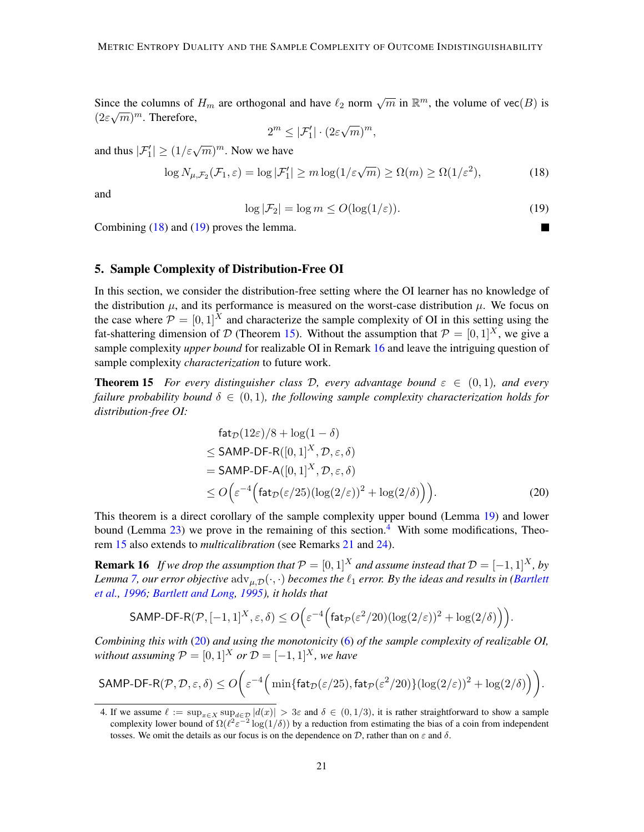Since the columns of  $H_m$  are orthogonal and have  $\ell_2$  norm  $\sqrt{m}$  in  $\mathbb{R}^m$ , the volume of vec $(B)$  is  $(2\varepsilon\sqrt{m})^m$ . Therefore, √

$$
2^m \le |\mathcal{F}'_1| \cdot (2\varepsilon \sqrt{m})^m,
$$

and thus  $|\mathcal{F}'_1| \ge (1/\varepsilon \sqrt{m})^m$ . Now we have

<span id="page-20-2"></span>
$$
\log N_{\mu,\mathcal{F}_2}(\mathcal{F}_1,\varepsilon) = \log |\mathcal{F}'_1| \ge m \log(1/\varepsilon\sqrt{m}) \ge \Omega(m) \ge \Omega(1/\varepsilon^2),\tag{18}
$$

and

<span id="page-20-3"></span>
$$
\log |\mathcal{F}_2| = \log m \le O(\log(1/\varepsilon)).\tag{19}
$$

Combining [\(18\)](#page-20-2) and [\(19\)](#page-20-3) proves the lemma.

### <span id="page-20-0"></span>5. Sample Complexity of Distribution-Free OI

In this section, we consider the distribution-free setting where the OI learner has no knowledge of the distribution  $\mu$ , and its performance is measured on the worst-case distribution  $\mu$ . We focus on the case where  $\mathcal{P} = \begin{bmatrix} 0, 1 \end{bmatrix}^X$  and characterize the sample complexity of OI in this setting using the fat-shattering dimension of D (Theorem [15\)](#page-20-1). Without the assumption that  $P = [0, 1]^X$ , we give a sample complexity *upper bound* for realizable OI in Remark [16](#page-20-4) and leave the intriguing question of sample complexity *characterization* to future work.

**Theorem 15** *For every distinguisher class D, every advantage bound*  $\varepsilon \in (0,1)$ *, and every failure probability bound*  $\delta \in (0,1)$ *, the following sample complexity characterization holds for distribution-free OI:*

<span id="page-20-6"></span><span id="page-20-4"></span><span id="page-20-1"></span>
$$
\begin{aligned}\n\text{fat}_{\mathcal{D}}(12\varepsilon)/8 &+ \log(1-\delta) \\
&\leq \text{SAMP-DF-R}([0,1]^X, \mathcal{D}, \varepsilon, \delta) \\
&= \text{SAMP-DF-A}([0,1]^X, \mathcal{D}, \varepsilon, \delta) \\
&\leq O\left(\varepsilon^{-4}\left(\text{fat}_{\mathcal{D}}(\varepsilon/25)(\log(2/\varepsilon))^2 + \log(2/\delta)\right)\right).\n\end{aligned} \tag{20}
$$

This theorem is a direct corollary of the sample complexity upper bound (Lemma [19\)](#page-21-0) and lower bound (Lemma [23\)](#page-25-0) we prove in the remaining of this section.<sup>[4](#page-20-5)</sup> With some modifications, Theorem [15](#page-20-1) also extends to *multicalibration* (see Remarks [21](#page-24-0) and [24\)](#page-26-0).

**Remark 16** *If we drop the assumption that*  $P = [0, 1]^X$  *and assume instead that*  $D = [-1, 1]^X$ *, by Lemma* [7,](#page-12-0) our error objective  $\text{adv}_{\mu, \mathcal{D}}(\cdot, \cdot)$  becomes the  $\ell_1$  error. By the ideas and results in [\(Bartlett](#page-32-0) *[et al.,](#page-32-0) [1996;](#page-32-0) [Bartlett and Long,](#page-32-3) [1995\)](#page-32-3), it holds that*

$$
\mathsf{SAMP}\text{-}\mathsf{DF-R}(\mathcal{P},[-1,1]^X,\varepsilon,\delta) \le O\Big(\varepsilon^{-4}\Big(\mathsf{fat}_{\mathcal{P}}(\varepsilon^2/20)(\log(2/\varepsilon))^2 + \log(2/\delta)\Big)\Big).
$$

*Combining this with* [\(20\)](#page-20-6) *and using the monotonicity* [\(6\)](#page-10-2) *of the sample complexity of realizable OI, without assuming*  $P = [0, 1]^X$  *or*  $D = [-1, 1]^X$ *, we have* 

$$
\mathsf{SAMP}\text{-}\mathsf{DF-R}(\mathcal{P},\mathcal{D},\varepsilon,\delta) \le O\bigg(\varepsilon^{-4} \Big(\min\{\mathsf{fat}_{\mathcal{D}}(\varepsilon/25),\mathsf{fat}_{\mathcal{P}}(\varepsilon^2/20)\} (\log(2/\varepsilon))^2 + \log(2/\delta)\Big)\bigg).
$$

<span id="page-20-5"></span><sup>4.</sup> If we assume  $\ell := \sup_{x \in X} \sup_{d \in \mathcal{D}} |d(x)| > 3\varepsilon$  and  $\delta \in (0, 1/3)$ , it is rather straightforward to show a sample complexity lower bound of  $\Omega(\ell^2 \varepsilon^{-2} \log(1/\delta))$  by a reduction from estimating the bias of a coin from independent tosses. We omit the details as our focus is on the dependence on  $\mathcal{D}$ , rather than on  $\varepsilon$  and  $\delta$ .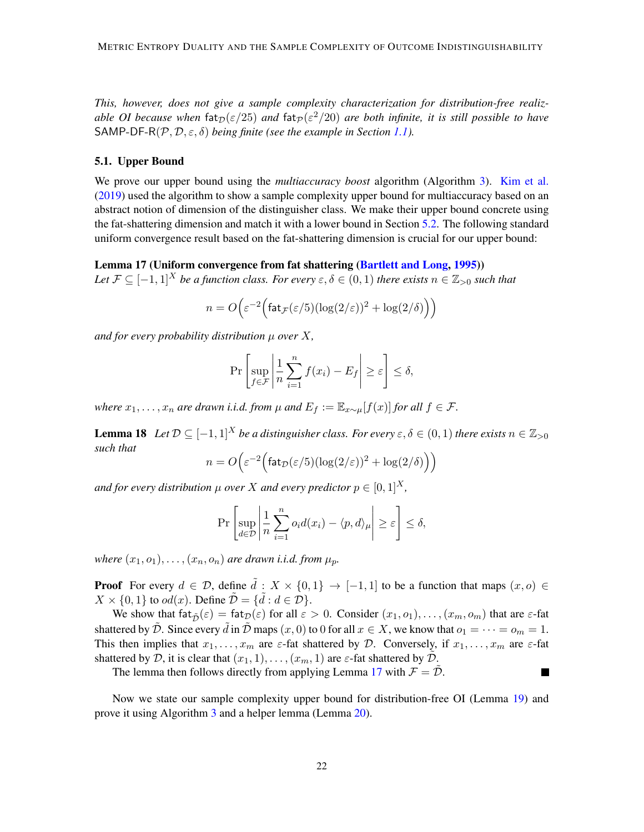*This, however, does not give a sample complexity characterization for distribution-free realizable OI because when*  $\text{fat}_{\mathcal{D}}(\varepsilon/25)$  *and*  $\text{fat}_{\mathcal{P}}(\varepsilon^2/20)$  *are both infinite, it is still possible to have* SAMP-DF-R( $P, D, \varepsilon, \delta$ ) *being finite (see the example in Section [1.1\)](#page-2-0).* 

#### 5.1. Upper Bound

We prove our upper bound using the *multiaccuracy boost* algorithm (Algorithm [3\)](#page-22-0). [Kim et al.](#page-33-7) [\(2019\)](#page-33-7) used the algorithm to show a sample complexity upper bound for multiaccuracy based on an abstract notion of dimension of the distinguisher class. We make their upper bound concrete using the fat-shattering dimension and match it with a lower bound in Section [5.2.](#page-25-1) The following standard uniform convergence result based on the fat-shattering dimension is crucial for our upper bound:

<span id="page-21-1"></span>Lemma 17 (Uniform convergence from fat shattering [\(Bartlett and Long,](#page-32-3) [1995\)](#page-32-3))

*Let*  $\mathcal{F} \subseteq [-1,1]^X$  *be a function class. For every*  $\varepsilon, \delta \in (0,1)$  *there exists*  $n \in \mathbb{Z}_{>0}$  *such that* 

$$
n = O\left(\varepsilon^{-2} \Big( \text{fat}_{\mathcal{F}}(\varepsilon/5) (\log(2/\varepsilon))^2 + \log(2/\delta) \Big) \right)
$$

*and for every probability distribution* µ *over* X*,*

$$
\Pr\left[\sup_{f\in\mathcal{F}}\left|\frac{1}{n}\sum_{i=1}^n f(x_i) - E_f\right| \geq \varepsilon\right] \leq \delta,
$$

*where*  $x_1, \ldots, x_n$  *are drawn i.i.d. from*  $\mu$  *and*  $E_f := \mathbb{E}_{x \sim \mu}[f(x)]$  *for all*  $f \in \mathcal{F}$ *.* 

<span id="page-21-2"></span>**Lemma 18** *Let*  $D \subseteq [-1, 1]^X$  *be a distinguisher class. For every*  $\varepsilon, \delta \in (0, 1)$  *there exists*  $n \in \mathbb{Z}_{>0}$ *such that*

$$
n = O\left(\varepsilon^{-2} \left( \frac{\operatorname{fat}_{\mathcal{D}}(\varepsilon/5) (\log(2/\varepsilon))^2 + \log(2/\delta)}{\varepsilon^2} \right) \right)
$$

*and for every distribution*  $\mu$  *over* X *and every predictor*  $p \in [0, 1]^{X}$ *,* 

$$
\Pr\left[\sup_{d\in\mathcal{D}}\left|\frac{1}{n}\sum_{i=1}^n o_i d(x_i) - \langle p, d\rangle_\mu\right| \ge \varepsilon\right] \le \delta,
$$

*where*  $(x_1, o_1), \ldots, (x_n, o_n)$  *are drawn i.i.d. from*  $\mu_p$ *.* 

**Proof** For every  $d \in \mathcal{D}$ , define  $\tilde{d} : X \times \{0,1\} \to [-1,1]$  to be a function that maps  $(x, o) \in$  $X \times \{0, 1\}$  to  $od(x)$ . Define  $\tilde{\mathcal{D}} = \{\tilde{d} : d \in \mathcal{D}\}.$ 

We show that  $f \text{at}_{\tilde{D}}(\varepsilon) = \text{fat}_{\mathcal{D}}(\varepsilon)$  for all  $\varepsilon > 0$ . Consider  $(x_1, o_1), \ldots, (x_m, o_m)$  that are  $\varepsilon$ -fat shattered by  $\mathcal{D}$ . Since every  $\tilde{d}$  in  $\tilde{\mathcal{D}}$  maps  $(x, 0)$  to 0 for all  $x \in X$ , we know that  $o_1 = \cdots = o_m = 1$ . This then implies that  $x_1, \ldots, x_m$  are  $\varepsilon$ -fat shattered by D. Conversely, if  $x_1, \ldots, x_m$  are  $\varepsilon$ -fat shattered by D, it is clear that  $(x_1, 1), \ldots, (x_m, 1)$  are  $\varepsilon$ -fat shattered by  $\tilde{\mathcal{D}}$ .

<span id="page-21-0"></span>П

The lemma then follows directly from applying Lemma [17](#page-21-1) with  $\mathcal{F} = \tilde{\mathcal{D}}$ .

Now we state our sample complexity upper bound for distribution-free OI (Lemma [19\)](#page-21-0) and prove it using Algorithm [3](#page-22-0) and a helper lemma (Lemma [20\)](#page-22-1).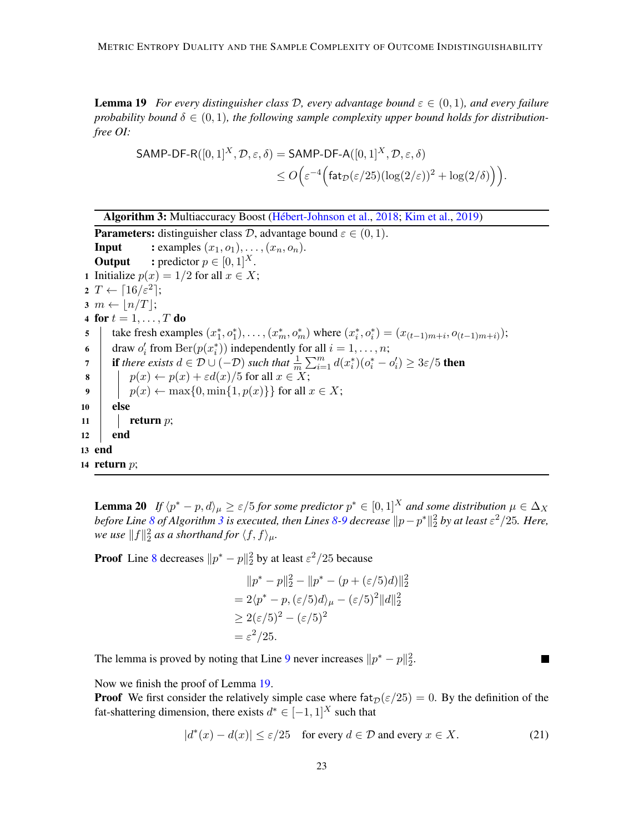**Lemma 19** *For every distinguisher class D, every advantage bound*  $\varepsilon \in (0,1)$ *, and every failure probability bound*  $\delta \in (0,1)$ *, the following sample complexity upper bound holds for distributionfree OI:*

$$
\begin{aligned} \mathsf{SAMP}\text{-}\mathsf{DF-R}([0,1]^X,\mathcal{D},\varepsilon,\delta) &= \mathsf{SAMP}\text{-}\mathsf{DF-A}([0,1]^X,\mathcal{D},\varepsilon,\delta) \\ &\le O\Big(\varepsilon^{-4}\Big(\mathsf{fat}_{\mathcal{D}}(\varepsilon/25)(\log(2/\varepsilon))^2 + \log(2/\delta)\Big)\Big). \end{aligned}
$$

```
2018;Kim et al.,2019)
   Parameters: distinguisher class D, advantage bound \varepsilon \in (0, 1).
   Input : examples (x_1, o_1), \ldots, (x_n, o_n).
   Output : predictor p \in [0, 1]^X.
 1 Initialize p(x) = 1/2 for all x \in X;
 2 T \leftarrow \lceil 16/\varepsilon^2 \rceil;
3 \, m \leftarrow \lfloor n/T \rfloor;4 for t = 1, \ldots, T do
 5 | take fresh examples (x_1^*, o_1^*), \ldots, (x_m^*, o_m^*) where (x_i^*, o_i^*) = (x_{(t-1)m+i}, o_{(t-1)m+i});
 6 draw o'_i from \text{Ber}(p(x_i^*)) independently for all i = 1, \ldots, n;
 if there exists d \in \mathcal{D} \cup (-\mathcal{D}) such that \frac{1}{m} \sum_{i=1}^{m} d(x_i^*)(o_i^* - o_i') \geq 3\varepsilon/5 then
 \mathbf{8} | p(x) \leftarrow p(x) + \varepsilon d(x)/5 for all x \in X;
 9 | p(x) \leftarrow \max\{0, \min\{1, p(x)\}\}\for all x \in X;
10 else
11 return p;
12 end
13 end
14 return p;
```
<span id="page-22-6"></span><span id="page-22-5"></span><span id="page-22-3"></span><span id="page-22-2"></span><span id="page-22-1"></span><span id="page-22-0"></span>**Lemma 20** If  $\langle p^* - p, d \rangle_{\mu} \ge \varepsilon/5$  for some predictor  $p^* \in [0, 1]^X$  and some distribution  $\mu \in \Delta_X$ before Line  $8$  of Algorithm  $3$  is executed, then Lines  $8$ [-9](#page-22-3) decrease  $\|p-p^*\|_2^2$  by at least  $\varepsilon^2/25.$  Here, *we use*  $||f||_2^2$  as a shorthand for  $\langle f, f \rangle_{\mu}$ .

**Proof** Line [8](#page-22-2) decreases  $||p^* - p||_2^2$  by at least  $\varepsilon^2/25$  because

$$
||p^* - p||_2^2 - ||p^* - (p + (\varepsilon/5)d)||_2^2
$$
  
= 2\langle p^\* - p, (\varepsilon/5)d \rangle\_{\mu} - (\varepsilon/5)^2 ||d||\_2^2  
\ge 2(\varepsilon/5)^2 - (\varepsilon/5)^2  
= \varepsilon^2/25.

The lemma is proved by noting that Line [9](#page-22-3) never increases  $||p^* - p||_2^2$ .

Now we finish the proof of Lemma [19.](#page-21-0)

**Proof** We first consider the relatively simple case where  $fat_{\mathcal{D}}(\varepsilon/25) = 0$ . By the definition of the fat-shattering dimension, there exists  $d^* \in [-1,1]^X$  such that

$$
|d^*(x) - d(x)| \le \varepsilon/25 \quad \text{for every } d \in \mathcal{D} \text{ and every } x \in X. \tag{21}
$$

 $\blacksquare$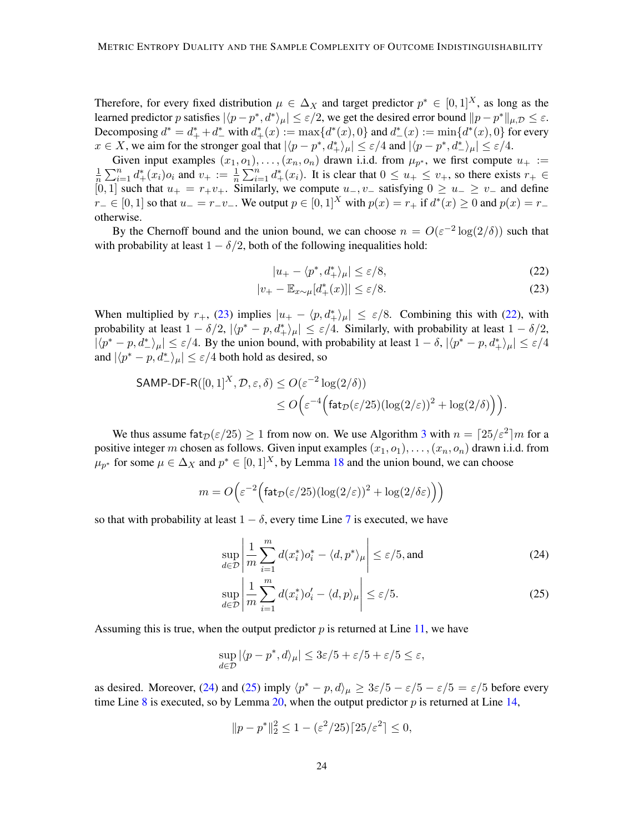Therefore, for every fixed distribution  $\mu \in \Delta_X$  and target predictor  $p^* \in [0,1]^X$ , as long as the learned predictor p satisfies  $|\langle p - p^*, d^* \rangle_{\mu}| \leq \varepsilon/2$ , we get the desired error bound  $\|p - p^*\|_{\mu,\mathcal{D}} \leq \varepsilon$ . Decomposing  $d^* = d^* + d^*$  with  $d^* + (x) := \max\{d^*(x), 0\}$  and  $d^* - (x) := \min\{d^*(x), 0\}$  for every  $x \in X$ , we aim for the stronger goal that  $|\langle p - p^*, d^* \rangle_{\mu}| \leq \varepsilon/4$  and  $|\langle p - p^*, d^* \rangle_{\mu}| \leq \varepsilon/4$ .

Given input examples  $(x_1, o_1), \ldots, (x_n, o_n)$  drawn i.i.d. from  $\mu_{p^*}$ , we first compute  $u_+ :=$ <br> $\frac{1}{2} \sum_{i=1}^n d^*(x_i)$  and  $v_+ := \frac{1}{2} \sum_{i=1}^n d^*(x_i)$ . It is clear that  $0 \le u_+ \le v_+$  so there exists  $x_i \in$  $\frac{1}{n}\sum_{i=1}^n d^*_+(x_i)o_i$  and  $v_+ := \frac{1}{n}\sum_{i=1}^n d^*_+(x_i)$ . It is clear that  $0 \le u_+ \le v_+$ , so there exists  $r_+ \in$  $[0, 1]$  such that  $u_{+} = r_{+}v_{+}$ . Similarly, we compute  $u_{-}$ ,  $v_{-}$  satisfying  $0 \ge u_{-} \ge v_{-}$  and define  $r_-\in [0,1]$  so that  $u_-=r_-v_-\$ . We output  $p\in [0,1]^X$  with  $p(x)=r_+$  if  $d^*(x)\geq 0$  and  $p(x)=r_$ otherwise.

By the Chernoff bound and the union bound, we can choose  $n = O(\varepsilon^{-2} \log(2/\delta))$  such that with probability at least  $1 - \delta/2$ , both of the following inequalities hold:

<span id="page-23-1"></span><span id="page-23-0"></span>
$$
|u_{+} - \langle p^*, d^*_{+} \rangle_{\mu}| \le \varepsilon/8, \tag{22}
$$

$$
|v_{+} - \mathbb{E}_{x \sim \mu}[d_{+}^{*}(x)]| \le \varepsilon/8. \tag{23}
$$

When multiplied by  $r_+$ , [\(23\)](#page-23-0) implies  $|u_+ - \langle p, d_+^* \rangle_{\mu}| \leq \varepsilon/8$ . Combining this with [\(22\)](#page-23-1), with probability at least  $1 - \delta/2$ ,  $|\langle p^* - p, d^* + \rangle_{\mu}| \leq \varepsilon/4$ . Similarly, with probability at least  $1 - \delta/2$ ,  $|\langle p^* - p, d^* \rangle_\mu| \leq \varepsilon/4$ . By the union bound, with probability at least  $1 - \delta$ ,  $|\langle p^* - p, d^* \rangle_\mu| \leq \varepsilon/4$ and  $|\langle p^* - p, d^* \rangle_{\mu}| \leq \varepsilon/4$  both hold as desired, so

$$
\begin{aligned} \mathsf{SAMP}\text{-}\mathsf{DF-R}([0,1]^X,\mathcal{D},\varepsilon,\delta) &\leq O(\varepsilon^{-2}\log(2/\delta)) \\ &\leq O\Big(\varepsilon^{-4}\Big(\mathsf{fat}_{\mathcal{D}}(\varepsilon/25)(\log(2/\varepsilon))^2+\log(2/\delta)\Big)\Big). \end{aligned}
$$

We thus assume fat  $p(\varepsilon/25) \ge 1$  from now on. We use Algorithm [3](#page-22-0) with  $n = \lceil 25/\varepsilon^2 \rceil m$  for a positive integer m chosen as follows. Given input examples  $(x_1, o_1), \ldots, (x_n, o_n)$  drawn i.i.d. from  $\mu_{p^*}$  for some  $\mu \in \Delta_X$  and  $p^* \in [0,1]^X$ , by Lemma [18](#page-21-2) and the union bound, we can choose

$$
m = O\left(\varepsilon^{-2} \Big( \text{fat}_{\mathcal{D}}(\varepsilon/25) (\log(2/\varepsilon))^2 + \log(2/\delta \varepsilon) \Big) \right)
$$

so that with probability at least  $1 - \delta$ , every time Line [7](#page-22-4) is executed, we have

<span id="page-23-2"></span>
$$
\sup_{d \in \mathcal{D}} \left| \frac{1}{m} \sum_{i=1}^{m} d(x_i^*) o_i^* - \langle d, p^* \rangle_{\mu} \right| \le \varepsilon / 5, \text{and}
$$
 (24)

<span id="page-23-3"></span>
$$
\sup_{d\in\mathcal{D}}\left|\frac{1}{m}\sum_{i=1}^{m}d(x_{i}^{*})o_{i}' - \langle d, p\rangle_{\mu}\right| \leq \varepsilon/5.
$$
\n(25)

Assuming this is true, when the output predictor  $p$  is returned at Line [11,](#page-22-5) we have

$$
\sup_{d\in\mathcal{D}}|\langle p-p^*,d\rangle_\mu|\leq 3\varepsilon/5+\varepsilon/5+\varepsilon/5\leq\varepsilon,
$$

as desired. Moreover, [\(24\)](#page-23-2) and [\(25\)](#page-23-3) imply  $\langle p^* - p, d \rangle_{\mu} \geq 3\varepsilon/5 - \varepsilon/5 - \varepsilon/5 = \varepsilon/5$  before every time Line [8](#page-22-2) is executed, so by Lemma [20,](#page-22-1) when the output predictor  $p$  is returned at Line [14,](#page-22-6)

$$
||p - p^*||_2^2 \le 1 - (\varepsilon^2 / 25) [25/\varepsilon^2] \le 0,
$$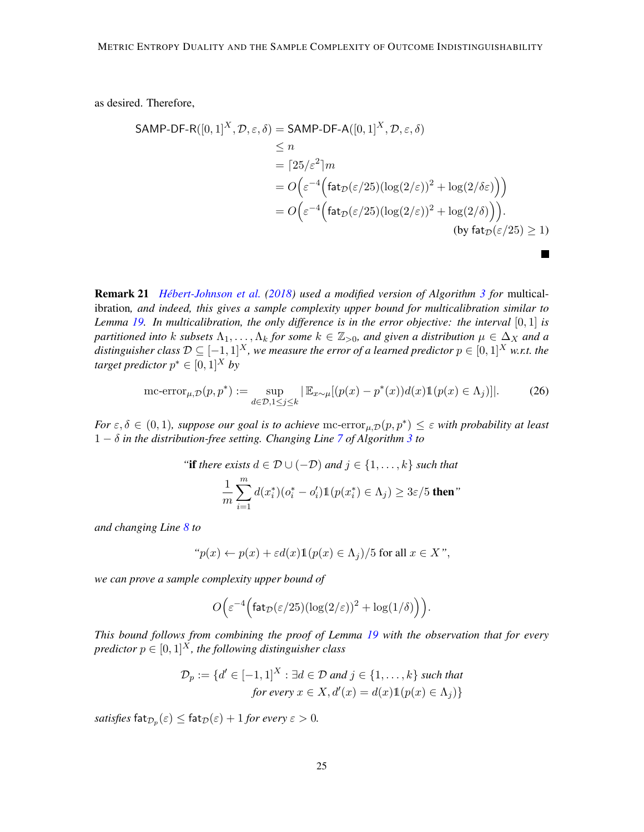as desired. Therefore,

$$
\begin{aligned}\n\mathsf{SAMP-DF-R}([0,1]^X, \mathcal{D}, \varepsilon, \delta) &= \mathsf{SAMP-DF-A}([0,1]^X, \mathcal{D}, \varepsilon, \delta) \\
&\le n \\
&= \lceil 25/\varepsilon^2 \rceil m \\
&= O\Big(\varepsilon^{-4} \Big(\operatorname{fat}_{\mathcal{D}}(\varepsilon/25)(\log(2/\varepsilon))^2 + \log(2/\delta\varepsilon)\Big)\Big) \\
&= O\Big(\varepsilon^{-4} \Big(\operatorname{fat}_{\mathcal{D}}(\varepsilon/25)(\log(2/\varepsilon))^2 + \log(2/\delta)\Big)\Big).\n\big(\text{by fat}_{\mathcal{D}}(\varepsilon/25) \ge 1)\n\end{aligned}
$$

<span id="page-24-0"></span>Remark 21 *[Hebert-Johnson et al.](#page-33-1) ´ [\(2018\)](#page-33-1) used a modified version of Algorithm [3](#page-22-0) for* multicalibration*, and indeed, this gives a sample complexity upper bound for multicalibration similar to Lemma [19.](#page-21-0) In multicalibration, the only difference is in the error objective: the interval* [0, 1] *is partitioned into* k *subsets*  $\Lambda_1, \ldots, \Lambda_k$  *for some*  $k \in \mathbb{Z}_{>0}$ *, and given a distribution*  $\mu \in \Delta_X$  *and a distinguisher class*  $\mathcal{D} \subseteq [-1,1]^X$ , we measure the error of a learned predictor  $p \in [0,1]^X$  w.r.t. the *target predictor*  $p^* \in [0,1]^X$  *by* 

<span id="page-24-1"></span>
$$
\text{mc-error}_{\mu,\mathcal{D}}(p,p^*) := \sup_{d \in \mathcal{D}, 1 \le j \le k} |\mathbb{E}_{x \sim \mu}[(p(x) - p^*(x))d(x)\mathbb{1}(p(x) \in \Lambda_j)]|.
$$
 (26)

*For*  $\varepsilon, \delta \in (0, 1)$ , suppose our goal is to achieve mc-error<sub> $\mu, \mathcal{D}(p, p^*) \leq \varepsilon$  with probability at least</sub> 1 − δ *in the distribution-free setting. Changing Line [7](#page-22-4) of Algorithm [3](#page-22-0) to*

"if there exists 
$$
d \in \mathcal{D} \cup (-\mathcal{D})
$$
 and  $j \in \{1, ..., k\}$  such that  

$$
\frac{1}{m} \sum_{i=1}^{m} d(x_i^*)(o_i^* - o_i') \mathbb{1}(p(x_i^*) \in \Lambda_j) \geq 3\varepsilon/5
$$
 then"

*and changing Line [8](#page-22-2) to*

"
$$
p(x) \leftarrow p(x) + \varepsilon d(x) \mathbb{1}(p(x) \in \Lambda_j)/5
$$
 for all  $x \in X$ ",

*we can prove a sample complexity upper bound of*

$$
O\Big(\varepsilon^{-4}\Big(\mathsf{fat}_{\mathcal{D}}(\varepsilon/25)(\log(2/\varepsilon))^2 + \log(1/\delta)\Big)\Big).
$$

*This bound follows from combining the proof of Lemma [19](#page-21-0) with the observation that for every predictor*  $p \in [0, 1]^X$ *, the following distinguisher class* 

$$
\mathcal{D}_p := \{ d' \in [-1,1]^X : \exists d \in \mathcal{D} \text{ and } j \in \{1,\dots,k\} \text{ such that}
$$
  
for every  $x \in X$ ,  $d'(x) = d(x) \mathbb{1}(p(x) \in \Lambda_j)$ 

 $satisfies$   $\mathsf{fat}_{\mathcal{D}_p}(\varepsilon) \leq \mathsf{fat}_{\mathcal{D}}(\varepsilon) + 1$  *for every*  $\varepsilon > 0$ *.*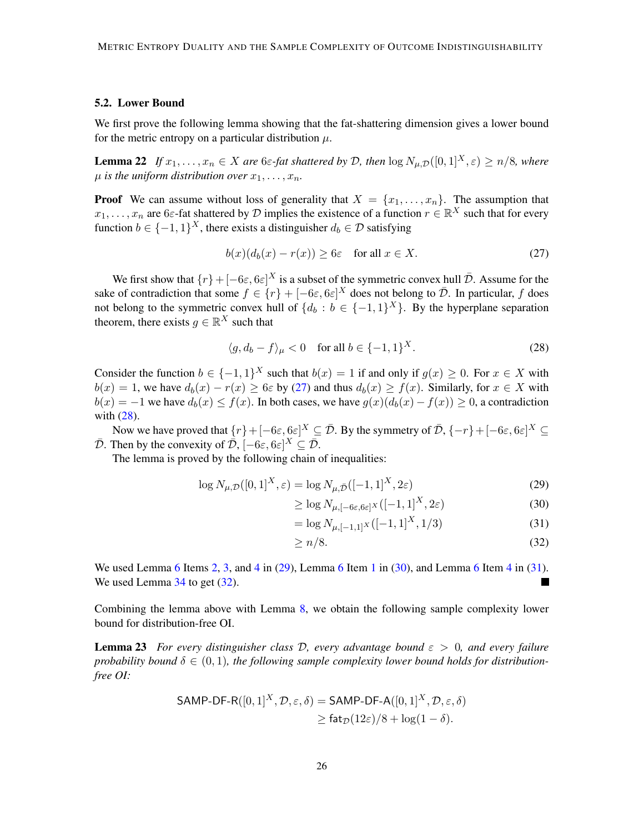### <span id="page-25-1"></span>5.2. Lower Bound

We first prove the following lemma showing that the fat-shattering dimension gives a lower bound for the metric entropy on a particular distribution  $\mu$ .

**Lemma 22** *If*  $x_1, \ldots, x_n \in X$  *are* 6 $\varepsilon$ -fat shattered by D, then  $\log N_{\mu,D}([0,1]^X, \varepsilon) \ge n/8$ *, where*  $\mu$  *is the uniform distribution over*  $x_1, \ldots, x_n$ .

**Proof** We can assume without loss of generality that  $X = \{x_1, \ldots, x_n\}$ . The assumption that  $x_1, \ldots, x_n$  are 6 $\varepsilon$ -fat shattered by  $\mathcal D$  implies the existence of a function  $r \in \mathbb R^X$  such that for every function  $b \in \{-1, 1\}^X$ , there exists a distinguisher  $d_b \in \mathcal{D}$  satisfying

<span id="page-25-8"></span><span id="page-25-2"></span>
$$
b(x)(d_b(x) - r(x)) \ge 6\varepsilon \quad \text{for all } x \in X. \tag{27}
$$

We first show that  $\{r\}+[-6\varepsilon, 6\varepsilon]^X$  is a subset of the symmetric convex hull  $\bar{\mathcal{D}}$ . Assume for the sake of contradiction that some  $f \in \{r\} + [-6\varepsilon, 6\varepsilon]^X$  does not belong to  $\overline{\mathcal{D}}$ . In particular, f does not belong to the symmetric convex hull of  $\{d_b : b \in \{-1,1\}^X\}$ . By the hyperplane separation theorem, there exists  $g \in \mathbb{R}^X$  such that

<span id="page-25-3"></span>
$$
\langle g, d_b - f \rangle_{\mu} < 0 \quad \text{for all } b \in \{-1, 1\}^X. \tag{28}
$$

Consider the function  $b \in \{-1,1\}^X$  such that  $b(x) = 1$  if and only if  $g(x) \ge 0$ . For  $x \in X$  with  $b(x) = 1$ , we have  $d_b(x) - r(x) \ge 6\varepsilon$  by [\(27\)](#page-25-2) and thus  $d_b(x) \ge f(x)$ . Similarly, for  $x \in X$  with  $b(x) = -1$  we have  $d_b(x) \le f(x)$ . In both cases, we have  $g(x)(d_b(x) - f(x)) \ge 0$ , a contradiction with [\(28\)](#page-25-3).

Now we have proved that  $\{r\}+[-6\varepsilon, 6\varepsilon]^X \subseteq \bar{\mathcal{D}}$ . By the symmetry of  $\bar{\mathcal{D}}, \{-r\}+[-6\varepsilon, 6\varepsilon]^X \subseteq$  $\overline{\mathcal{D}}$ . Then by the convexity of  $\overline{\mathcal{D}}$ ,  $[-6\varepsilon, 6\varepsilon]^X \subseteq \overline{\mathcal{D}}$ .

The lemma is proved by the following chain of inequalities:

$$
\log N_{\mu,\mathcal{D}}([0,1]^X,\varepsilon) = \log N_{\mu,\bar{\mathcal{D}}}([-1,1]^X,2\varepsilon)
$$
\n(29)

<span id="page-25-5"></span><span id="page-25-4"></span>
$$
\geq \log N_{\mu, [-6\varepsilon, 6\varepsilon]^X}([-1, 1]^X, 2\varepsilon)
$$
\n(30)

<span id="page-25-6"></span>
$$
= \log N_{\mu, [-1,1]^X} ([-1,1]^X, 1/3)
$$
\n(31)

<span id="page-25-7"></span><span id="page-25-0"></span>
$$
\geq n/8.\tag{32}
$$

We used Lemma [6](#page-11-1) Items [2,](#page-12-4) [3,](#page-12-2) and [4](#page-12-1) in [\(29\)](#page-25-4), Lemma 6 Item [1](#page-12-3) in [\(30\)](#page-25-5), and Lemma 6 Item 4 in [\(31\)](#page-25-6). We used Lemma  $34$  to get  $(32)$ . ٦

Combining the lemma above with Lemma [8,](#page-13-4) we obtain the following sample complexity lower bound for distribution-free OI.

**Lemma 23** *For every distinguisher class D, every advantage bound*  $\varepsilon > 0$ *, and every failure* probability bound  $\delta \in (0,1)$ , the following sample complexity lower bound holds for distribution*free OI:*

$$
\mathsf{SAMP}\text{-}\mathsf{DF-R}([0,1]^X,\mathcal{D},\varepsilon,\delta) = \mathsf{SAMP}\text{-}\mathsf{DF-A}([0,1]^X,\mathcal{D},\varepsilon,\delta) \\
\geq \mathsf{fat}_{\mathcal{D}}(12\varepsilon)/8 + \log(1-\delta).
$$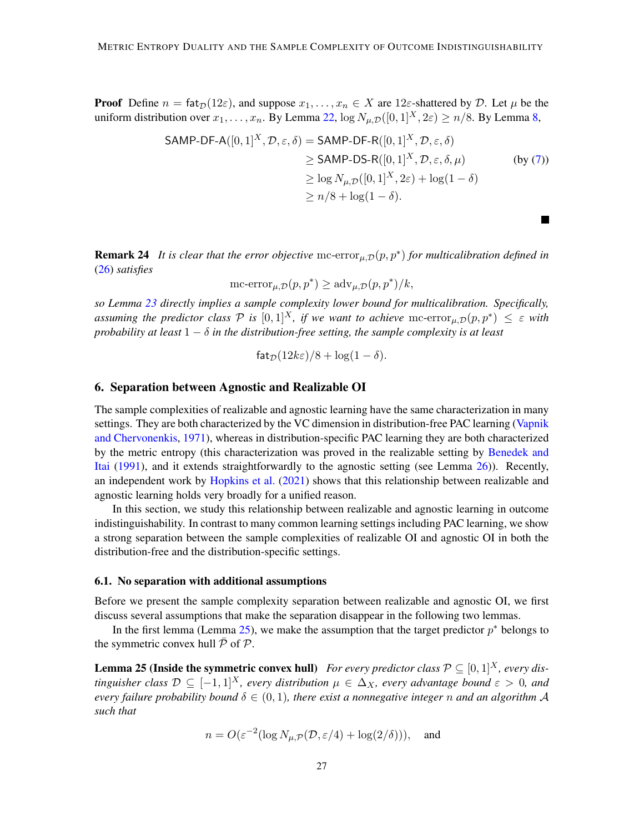**Proof** Define  $n = \text{fat}_\mathcal{D}(12\varepsilon)$ , and suppose  $x_1, \ldots, x_n \in X$  are 12 $\varepsilon$ -shattered by  $\mathcal{D}$ . Let  $\mu$  be the uniform distribution over  $x_1, \ldots, x_n$ . By Lemma [22,](#page-25-8)  $\log N_{\mu, \mathcal{D}}([0, 1]^X, 2\varepsilon) \ge n/8$ . By Lemma [8,](#page-13-4)

$$
\begin{aligned}\n\mathsf{SAMP-DF-A}([0,1]^X, \mathcal{D}, \varepsilon, \delta) &= \mathsf{SAMP-DF-R}([0,1]^X, \mathcal{D}, \varepsilon, \delta) \\
&\geq \mathsf{SAMP-DS-R}([0,1]^X, \mathcal{D}, \varepsilon, \delta, \mu) \\
&\geq \log N_{\mu, \mathcal{D}}([0,1]^X, 2\varepsilon) + \log(1-\delta) \\
&\geq n/8 + \log(1-\delta).\n\end{aligned}
$$
\n(by (7))

 $\blacksquare$ 

<span id="page-26-0"></span>**Remark 24** It is clear that the error objective  $mc\text{-error}_{\mu,\mathcal{D}}(p, p^*)$  for multicalibration defined in [\(26\)](#page-24-1) *satisfies*

mc-error $_{\mu,\mathcal{D}}(p,p^*) \geq \text{adv}_{\mu,\mathcal{D}}(p,p^*)/k$ ,

*so Lemma [23](#page-25-0) directly implies a sample complexity lower bound for multicalibration. Specifically, assuming the predictor class*  $P$  *is*  $[0,1]^X$ *, if we want to achieve*  $\mathrm{mc\text{-}error}_{\mu,\mathcal{D}}(p,p^*) \leq \varepsilon$  with *probability at least*  $1 - \delta$  *in the distribution-free setting, the sample complexity is at least* 

$$
\mathsf{fat}_{\mathcal{D}}(12k\varepsilon)/8 + \log(1-\delta).
$$

# <span id="page-26-2"></span>6. Separation between Agnostic and Realizable OI

The sample complexities of realizable and agnostic learning have the same characterization in many settings. They are both characterized by the VC dimension in distribution-free PAC learning [\(Vapnik](#page-34-0) [and Chervonenkis,](#page-34-0) [1971\)](#page-34-0), whereas in distribution-specific PAC learning they are both characterized by the metric entropy (this characterization was proved in the realizable setting by [Benedek and](#page-32-5) [Itai](#page-32-5) [\(1991\)](#page-32-5), and it extends straightforwardly to the agnostic setting (see Lemma [26\)](#page-27-0)). Recently, an independent work by [Hopkins et al.](#page-33-8) [\(2021\)](#page-33-8) shows that this relationship between realizable and agnostic learning holds very broadly for a unified reason.

In this section, we study this relationship between realizable and agnostic learning in outcome indistinguishability. In contrast to many common learning settings including PAC learning, we show a strong separation between the sample complexities of realizable OI and agnostic OI in both the distribution-free and the distribution-specific settings.

#### 6.1. No separation with additional assumptions

Before we present the sample complexity separation between realizable and agnostic OI, we first discuss several assumptions that make the separation disappear in the following two lemmas.

In the first lemma (Lemma [25\)](#page-26-1), we make the assumption that the target predictor  $p^*$  belongs to the symmetric convex hull  $\bar{P}$  of  $\mathcal{P}$ .

<span id="page-26-1"></span>**Lemma 25 (Inside the symmetric convex hull)** *For every predictor class*  $\mathcal{P} \subseteq [0,1]^X$ *, every distinguisher class*  $\mathcal{D} \subseteq [-1,1]^X$ , every distribution  $\mu \in \Delta_X$ , every advantage bound  $\varepsilon > 0$ , and *every failure probability bound*  $\delta \in (0, 1)$ *, there exist a nonnegative integer* n *and an algorithm* A *such that*

$$
n = O(\varepsilon^{-2} (\log N_{\mu,\mathcal{P}}(\mathcal{D}, \varepsilon/4) + \log(2/\delta))), \text{ and}
$$

−<br>2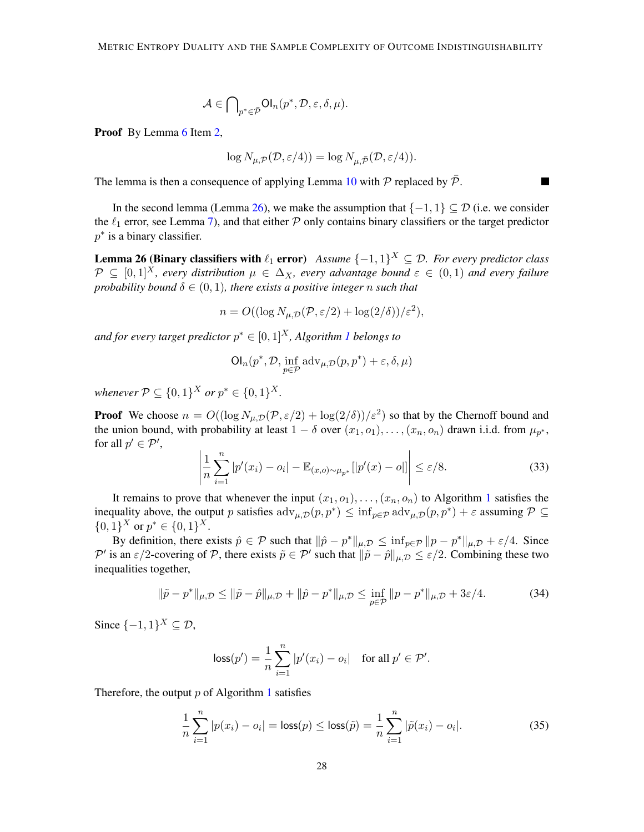$$
\mathcal{A}\in{\bigcap}_{p^*\in\bar{\mathcal{P}}}{\sf Ol}_n(p^*,\mathcal{D},\varepsilon,\delta,\mu).
$$

Proof By Lemma [6](#page-11-1) Item [2,](#page-12-4)

<span id="page-27-0"></span>
$$
\log N_{\mu,\mathcal{P}}(\mathcal{D},\varepsilon/4)) = \log N_{\mu,\bar{\mathcal{P}}}(\mathcal{D},\varepsilon/4)).
$$

The lemma is then a consequence of applying Lemma [10](#page-16-0) with  $P$  replaced by  $\overline{P}$ .

In the second lemma (Lemma [26\)](#page-27-0), we make the assumption that  $\{-1, 1\} \subseteq \mathcal{D}$  (i.e. we consider the  $\ell_1$  error, see Lemma [7\)](#page-12-0), and that either  $P$  only contains binary classifiers or the target predictor  $p^*$  is a binary classifier.

**Lemma 26 (Binary classifiers with**  $\ell_1$  **error**) Assume  $\{-1,1\}^X \subseteq \mathcal{D}$ . For every predictor class  $\mathcal{P} \subseteq [0,1]^X$ , every distribution  $\mu \in \Delta_X$ , every advantage bound  $\varepsilon \in (0,1)$  and every failure *probability bound*  $\delta \in (0,1)$ *, there exists a positive integer n such that* 

$$
n = O((\log N_{\mu,\mathcal{D}}(\mathcal{P}, \varepsilon/2) + \log(2/\delta))/\varepsilon^2),
$$

and for every target predictor  $p^* \in [0,1]^X$  $p^* \in [0,1]^X$  $p^* \in [0,1]^X$ , Algorithm 1 belongs to

$$
\text{Ol}_n(p^*, \mathcal{D}, \inf_{p \in \mathcal{P}} \text{adv}_{\mu, \mathcal{D}}(p, p^*) + \varepsilon, \delta, \mu)
$$

*whenever*  $P \subseteq \{0,1\}^X$  *or*  $p^* \in \{0,1\}^X$ *.* 

**Proof** We choose  $n = O((\log N_{\mu,\mathcal{D}}(\mathcal{P},\varepsilon/2) + \log(2/\delta))/\varepsilon^2)$  so that by the Chernoff bound and the union bound, with probability at least  $1 - \delta$  over  $(x_1, o_1), \ldots, (x_n, o_n)$  drawn i.i.d. from  $\mu_{p^*}$ , for all  $p' \in \mathcal{P}'$ ,

<span id="page-27-1"></span>
$$
\left| \frac{1}{n} \sum_{i=1}^{n} |p'(x_i) - o_i| - \mathbb{E}_{(x,o)\sim\mu_{p^*}}[|p'(x) - o|] \right| \le \varepsilon/8.
$$
 (33)

It remains to prove that whenever the input  $(x_1, o_1), \ldots, (x_n, o_n)$  $(x_1, o_1), \ldots, (x_n, o_n)$  $(x_1, o_1), \ldots, (x_n, o_n)$  to Algorithm 1 satisfies the inequality above, the output p satisfies  $\text{adv}_{\mu,D}(p,p^*) \leq \inf_{p \in \mathcal{P}} \text{adv}_{\mu,D}(p,p^*) + \varepsilon$  assuming  $\mathcal{P} \subseteq$  ${0,1}<sup>X</sup>$  or  $p^* \in {0,1}<sup>X</sup>$ .

By definition, there exists  $\hat{p} \in \mathcal{P}$  such that  $\|\hat{p} - p^*\|_{\mu,\mathcal{D}} \leq \inf_{p \in \mathcal{P}} \|p - p^*\|_{\mu,\mathcal{D}} + \varepsilon/4$ . Since P' is an  $\varepsilon/2$ -covering of P, there exists  $\tilde{p} \in \mathcal{P}'$  such that  $\|\tilde{p} - \hat{p}\|_{\mu,\mathcal{D}} \leq \varepsilon/2$ . Combining these two inequalities together,

<span id="page-27-3"></span>
$$
\|\tilde{p} - p^*\|_{\mu,\mathcal{D}} \le \|\tilde{p} - \hat{p}\|_{\mu,\mathcal{D}} + \|\hat{p} - p^*\|_{\mu,\mathcal{D}} \le \inf_{p \in \mathcal{P}} \|p - p^*\|_{\mu,\mathcal{D}} + 3\varepsilon/4.
$$
 (34)

Since  $\{-1,1\}^X \subseteq \mathcal{D}$ ,

$$
\text{loss}(p') = \frac{1}{n} \sum_{i=1}^{n} |p'(x_i) - o_i| \quad \text{for all } p' \in \mathcal{P}'.
$$

Therefore, the output  $p$  of Algorithm [1](#page-15-0) satisfies

<span id="page-27-2"></span>
$$
\frac{1}{n}\sum_{i=1}^{n}|p(x_i) - o_i| = \text{loss}(p) \le \text{loss}(\tilde{p}) = \frac{1}{n}\sum_{i=1}^{n}|\tilde{p}(x_i) - o_i|.
$$
 (35)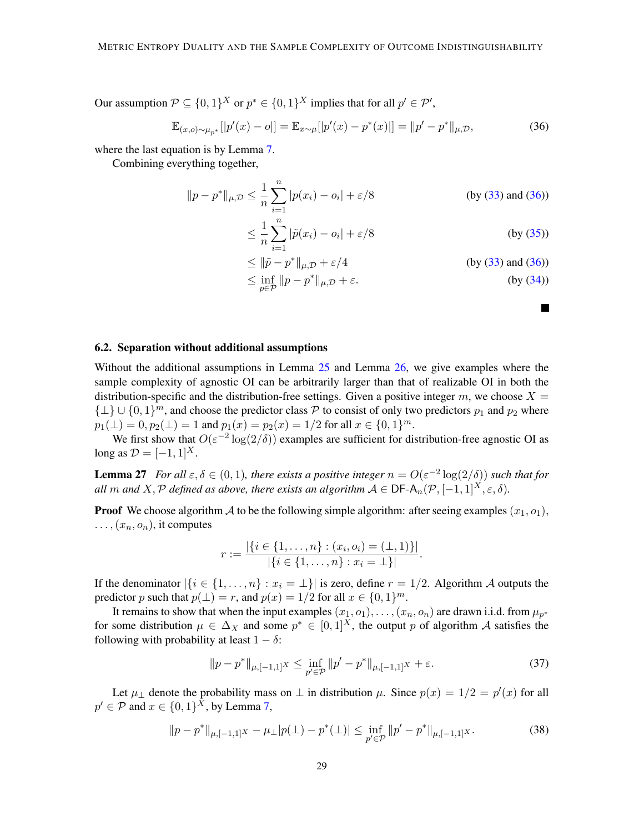Our assumption  $P \subseteq \{0,1\}^X$  or  $p^* \in \{0,1\}^X$  implies that for all  $p' \in \mathcal{P}'$ ,

<span id="page-28-1"></span>
$$
\mathbb{E}_{(x,o)\sim\mu_{p^*}}[|p'(x)-o|] = \mathbb{E}_{x\sim\mu}[|p'(x)-p^*(x)|] = ||p'-p^*||_{\mu,\mathcal{D}},\tag{36}
$$

where the last equation is by Lemma [7.](#page-12-0)

Combining everything together,

$$
||p - p^*||_{\mu, \mathcal{D}} \le \frac{1}{n} \sum_{i=1}^n |p(x_i) - o_i| + \varepsilon/8
$$
 (by (33) and (36))  

$$
\le \frac{1}{n} \sum_{i=1}^n |\tilde{p}(x_i) - o_i| + \varepsilon/8
$$
 (by (35))

$$
\leq \|\tilde{p} - p^*\|_{\mu, \mathcal{D}} + \varepsilon/4
$$
 (by (33) and (36))  

$$
\leq \inf_{p \in \mathcal{P}} \|p - p^*\|_{\mu, \mathcal{D}} + \varepsilon.
$$
 (by (34))

■

### <span id="page-28-0"></span>6.2. Separation without additional assumptions

Without the additional assumptions in Lemma [25](#page-26-1) and Lemma [26,](#page-27-0) we give examples where the sample complexity of agnostic OI can be arbitrarily larger than that of realizable OI in both the distribution-specific and the distribution-free settings. Given a positive integer m, we choose  $X =$  $\{\perp\} \cup \{0,1\}^m$ , and choose the predictor class P to consist of only two predictors  $p_1$  and  $p_2$  where  $p_1(\perp) = 0, p_2(\perp) = 1$  and  $p_1(x) = p_2(x) = 1/2$  for all  $x \in \{0, 1\}^m$ .

We first show that  $O(\varepsilon^{-2} \log(2/\delta))$  examples are sufficient for distribution-free agnostic OI as long as  $\mathcal{D} = [-1, 1]^{X}$ .

**Lemma 27** For all  $\varepsilon, \delta \in (0, 1)$ , there exists a positive integer  $n = O(\varepsilon^{-2} \log(2/\delta))$  such that for *all* m and X, P defined as above, there exists an algorithm  $A \in \text{DF-A}_n(\mathcal{P}, [-1, 1]^X, \varepsilon, \delta)$ .

**Proof** We choose algorithm A to be the following simple algorithm: after seeing examples  $(x_1, o_1)$ ,  $\ldots$ ,  $(x_n, o_n)$ , it computes

$$
r := \frac{|\{i \in \{1, ..., n\} : (x_i, o_i) = (\perp, 1)\}|}{|\{i \in \{1, ..., n\} : x_i = \perp\}|}.
$$

If the denominator  $|\{i \in \{1, \ldots, n\} : x_i = \perp\}|$  is zero, define  $r = 1/2$ . Algorithm A outputs the predictor p such that  $p(\perp) = r$ , and  $p(x) = 1/2$  for all  $x \in \{0, 1\}^m$ .

It remains to show that when the input examples  $(x_1, o_1), \ldots, (x_n, o_n)$  are drawn i.i.d. from  $\mu_{p^*}$ for some distribution  $\mu \in \Delta_X$  and some  $p^* \in [0,1]^X$ , the output p of algorithm A satisfies the following with probability at least  $1 - \delta$ :

<span id="page-28-3"></span>
$$
||p - p^*||_{\mu, [-1,1]^X} \le \inf_{p' \in \mathcal{P}} ||p' - p^*||_{\mu, [-1,1]^X} + \varepsilon. \tag{37}
$$

Let  $\mu_{\perp}$  denote the probability mass on  $\perp$  in distribution  $\mu$ . Since  $p(x) = 1/2 = p'(x)$  for all  $p' \in \mathcal{P}$  and  $x \in \{0,1\}^X$ , by Lemma [7,](#page-12-0)

<span id="page-28-2"></span>
$$
||p - p^*||_{\mu, [-1,1]^X} - \mu_\perp |p(\perp) - p^*(\perp)| \le \inf_{p' \in \mathcal{P}} ||p' - p^*||_{\mu, [-1,1]^X}.
$$
 (38)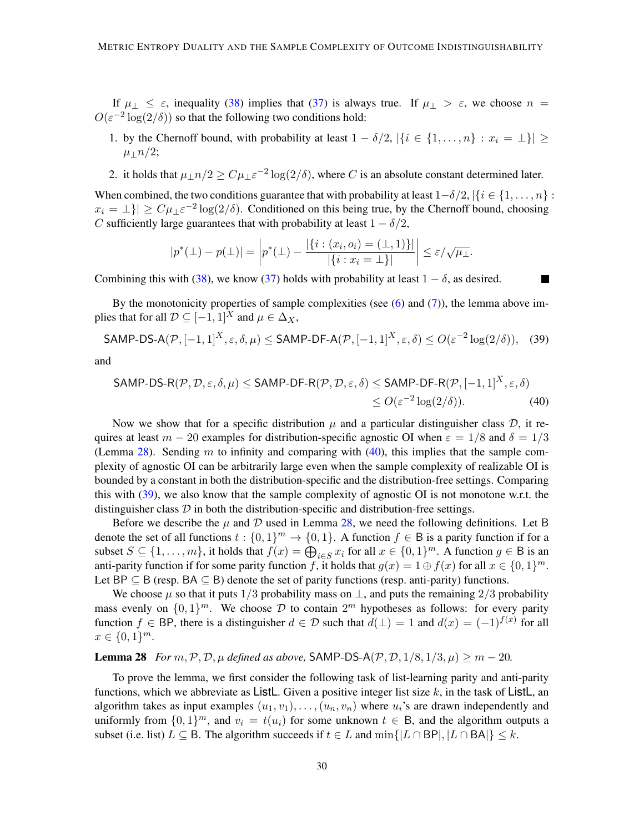If  $\mu_{\perp} \leq \varepsilon$ , inequality [\(38\)](#page-28-2) implies that [\(37\)](#page-28-3) is always true. If  $\mu_{\perp} > \varepsilon$ , we choose  $n =$  $O(\varepsilon^{-2} \log(2/\delta))$  so that the following two conditions hold:

- 1. by the Chernoff bound, with probability at least  $1 \delta/2$ ,  $|\{i \in \{1, ..., n\} : x_i = \bot\}| \ge$  $\mu_{\perp}n/2$ ;
- 2. it holds that  $\mu_{\perp} n/2 \geq C \mu_{\perp} \varepsilon^{-2} \log(2/\delta)$ , where C is an absolute constant determined later.

When combined, the two conditions guarantee that with probability at least  $1-\delta/2$ ,  $\{i \in \{1, \ldots, n\}$ :  $x_i = \perp$ }  $\geq C \mu_{\perp} \varepsilon^{-2} \log(2/\delta)$ . Conditioned on this being true, by the Chernoff bound, choosing C sufficiently large guarantees that with probability at least  $1 - \delta/2$ ,

<span id="page-29-1"></span>
$$
|p^*(\bot) - p(\bot)| = \left| p^*(\bot) - \frac{|\{i : (x_i, o_i) = (\bot, 1)\}|}{|\{i : x_i = \bot\}|} \right| \le \varepsilon / \sqrt{\mu_{\bot}}.
$$

Combining this with [\(38\)](#page-28-2), we know [\(37\)](#page-28-3) holds with probability at least  $1 - \delta$ , as desired.

By the monotonicity properties of sample complexities (see  $(6)$  and  $(7)$ ), the lemma above implies that for all  $\mathcal{D} \subseteq [-1,1]^X$  and  $\mu \in \Delta_X$ ,

<span id="page-29-2"></span>
$$
\mathsf{SAMP-DS-A}(\mathcal{P}, [-1,1]^X, \varepsilon, \delta, \mu) \le \mathsf{SAMP-DF-A}(\mathcal{P}, [-1,1]^X, \varepsilon, \delta) \le O(\varepsilon^{-2} \log(2/\delta)), \quad (39)
$$

and

$$
\mathsf{SAMP\text{-}DS-R}(\mathcal{P}, \mathcal{D}, \varepsilon, \delta, \mu) \leq \mathsf{SAMP\text{-}DF-R}(\mathcal{P}, \mathcal{D}, \varepsilon, \delta) \leq \mathsf{SAMP\text{-}DF-R}(\mathcal{P}, [-1, 1]^X, \varepsilon, \delta)
$$
  
\$\leq O(\varepsilon^{-2} \log(2/\delta)).\n(40)

Now we show that for a specific distribution  $\mu$  and a particular distinguisher class  $\mathcal{D}$ , it requires at least  $m - 20$  examples for distribution-specific agnostic OI when  $\varepsilon = 1/8$  and  $\delta = 1/3$ (Lemma [28\)](#page-29-0). Sending m to infinity and comparing with  $(40)$ , this implies that the sample complexity of agnostic OI can be arbitrarily large even when the sample complexity of realizable OI is bounded by a constant in both the distribution-specific and the distribution-free settings. Comparing this with [\(39\)](#page-29-2), we also know that the sample complexity of agnostic OI is not monotone w.r.t. the distinguisher class  $\mathcal D$  in both the distribution-specific and distribution-free settings.

Before we describe the  $\mu$  and  $\mathcal D$  used in Lemma [28,](#page-29-0) we need the following definitions. Let B denote the set of all functions  $t : \{0,1\}^m \to \{0,1\}$ . A function  $f \in B$  is a parity function if for a subset  $S \subseteq \{1, \ldots, m\}$ , it holds that  $f(x) = \bigoplus_{i \in S} x_i$  for all  $x \in \{0, 1\}^m$ . A function  $g \in B$  is an anti-parity function if for some parity function f, it holds that  $g(x) = 1 \oplus f(x)$  for all  $x \in \{0, 1\}^m$ . Let BP  $\subseteq$  B (resp. BA  $\subseteq$  B) denote the set of parity functions (resp. anti-parity) functions.

We choose  $\mu$  so that it puts 1/3 probability mass on  $\perp$ , and puts the remaining 2/3 probability mass evenly on  $\{0,1\}^m$ . We choose D to contain  $2^m$  hypotheses as follows: for every parity function  $f \in BP$ , there is a distinguisher  $d \in \mathcal{D}$  such that  $d(\perp) = 1$  and  $d(x) = (-1)^{f(x)}$  for all  $x \in \{0, 1\}^m$ .

### <span id="page-29-0"></span>**Lemma 28** *For*  $m, \mathcal{P}, \mathcal{D}, \mu$  *defined as above,* SAMP-DS-A( $\mathcal{P}, \mathcal{D}, 1/8, 1/3, \mu$ )  $\geq m - 20$ .

<span id="page-29-3"></span>To prove the lemma, we first consider the following task of list-learning parity and anti-parity functions, which we abbreviate as ListL. Given a positive integer list size  $k$ , in the task of ListL, an algorithm takes as input examples  $(u_1, v_1), \ldots, (u_n, v_n)$  where  $u_i$ 's are drawn independently and uniformly from  $\{0,1\}^m$ , and  $v_i = t(u_i)$  for some unknown  $t \in B$ , and the algorithm outputs a subset (i.e. list)  $L \subseteq B$ . The algorithm succeeds if  $t \in L$  and  $\min\{|L \cap BP|, |L \cap BA|\} \leq k$ .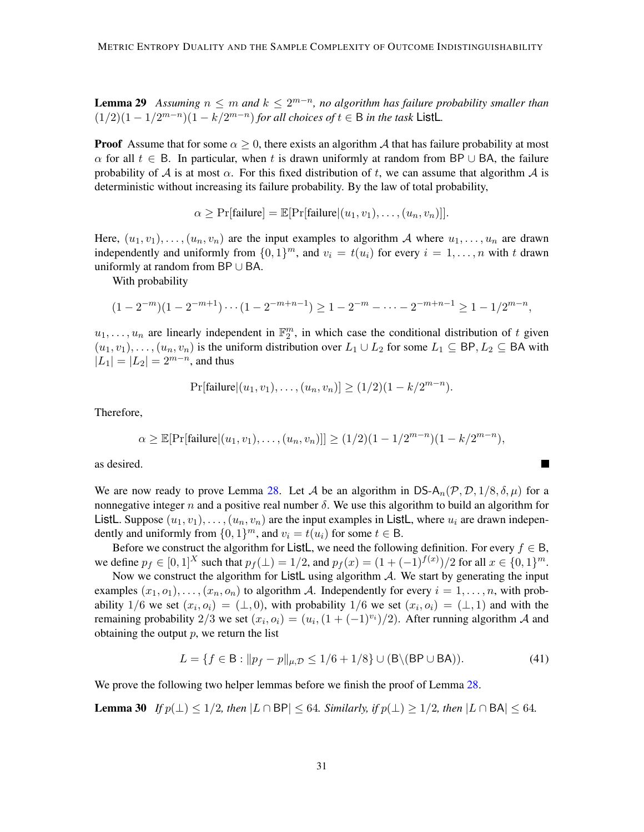**Lemma 29** Assuming  $n \leq m$  and  $k \leq 2^{m-n}$ , no algorithm has failure probability smaller than  $(1/2)(1 - 1/2^{m-n})(1 - k/2^{m-n})$  *for all choices of*  $t \in B$  *in the task* ListL.

**Proof** Assume that for some  $\alpha \geq 0$ , there exists an algorithm A that has failure probability at most  $\alpha$  for all  $t \in B$ . In particular, when t is drawn uniformly at random from BP ∪ BA, the failure probability of A is at most  $\alpha$ . For this fixed distribution of t, we can assume that algorithm A is deterministic without increasing its failure probability. By the law of total probability,

$$
\alpha \geq \Pr[\text{failure}] = \mathbb{E}[\Pr[\text{failure} | (u_1, v_1), \dots, (u_n, v_n)]].
$$

Here,  $(u_1, v_1), \ldots, (u_n, v_n)$  are the input examples to algorithm A where  $u_1, \ldots, u_n$  are drawn independently and uniformly from  $\{0, 1\}^m$ , and  $v_i = t(u_i)$  for every  $i = 1, ..., n$  with t drawn uniformly at random from BP ∪ BA.

With probability

$$
(1 - 2^{-m})(1 - 2^{-m+1})\cdots(1 - 2^{-m+n-1}) \ge 1 - 2^{-m} - \cdots - 2^{-m+n-1} \ge 1 - 1/2^{m-n},
$$

 $u_1, \ldots, u_n$  are linearly independent in  $\mathbb{F}_2^m$ , in which case the conditional distribution of t given  $(u_1, v_1), \ldots, (u_n, v_n)$  is the uniform distribution over  $L_1 \cup L_2$  for some  $L_1 \subseteq \mathsf{BP}, L_2 \subseteq \mathsf{BA}$  with  $|L_1| = |L_2| = 2^{m-n}$ , and thus

$$
Pr[failure|(u_1, v_1), \dots, (u_n, v_n)] \ge (1/2)(1 - k/2^{m-n}).
$$

Therefore,

$$
\alpha \geq \mathbb{E}[\Pr[\text{failure} | (u_1, v_1), \dots, (u_n, v_n)]] \geq (1/2)(1 - 1/2^{m-n})(1 - k/2^{m-n}),
$$

as desired.

We are now ready to prove Lemma [28.](#page-29-0) Let A be an algorithm in DS- $A_n(\mathcal{P}, \mathcal{D}, 1/8, \delta, \mu)$  for a nonnegative integer n and a positive real number  $\delta$ . We use this algorithm to build an algorithm for ListL. Suppose  $(u_1, v_1), \ldots, (u_n, v_n)$  are the input examples in ListL, where  $u_i$  are drawn independently and uniformly from  $\{0, 1\}^m$ , and  $v_i = t(u_i)$  for some  $t \in \mathsf{B}$ .

Before we construct the algorithm for ListL, we need the following definition. For every  $f \in B$ , we define  $p_f \in [0,1]^X$  such that  $p_f(\perp) = 1/2$ , and  $p_f(x) = (1 + (-1)^{f(x)})/2$  for all  $x \in \{0,1\}^m$ .

Now we construct the algorithm for ListL using algorithm  $A$ . We start by generating the input examples  $(x_1, o_1), \ldots, (x_n, o_n)$  to algorithm A. Independently for every  $i = 1, \ldots, n$ , with probability 1/6 we set  $(x_i, o_i) = (\perp, 0)$ , with probability 1/6 we set  $(x_i, o_i) = (\perp, 1)$  and with the remaining probability 2/3 we set  $(x_i, o_i) = (u_i, (1 + (-1)^{v_i})/2)$ . After running algorithm A and obtaining the output  $p$ , we return the list

<span id="page-30-0"></span>
$$
L = \{ f \in \mathsf{B} : ||p_f - p||_{\mu, \mathcal{D}} \le 1/6 + 1/8 \} \cup (\mathsf{B} \setminus (\mathsf{BP} \cup \mathsf{BA})). \tag{41}
$$

<span id="page-30-1"></span>**In the Second** 

We prove the following two helper lemmas before we finish the proof of Lemma [28.](#page-29-0)

**Lemma 30** *If*  $p(\perp) \leq 1/2$ *, then*  $|L \cap BP| \leq 64$ *. Similarly, if*  $p(\perp) \geq 1/2$ *, then*  $|L \cap BA| \leq 64$ *.*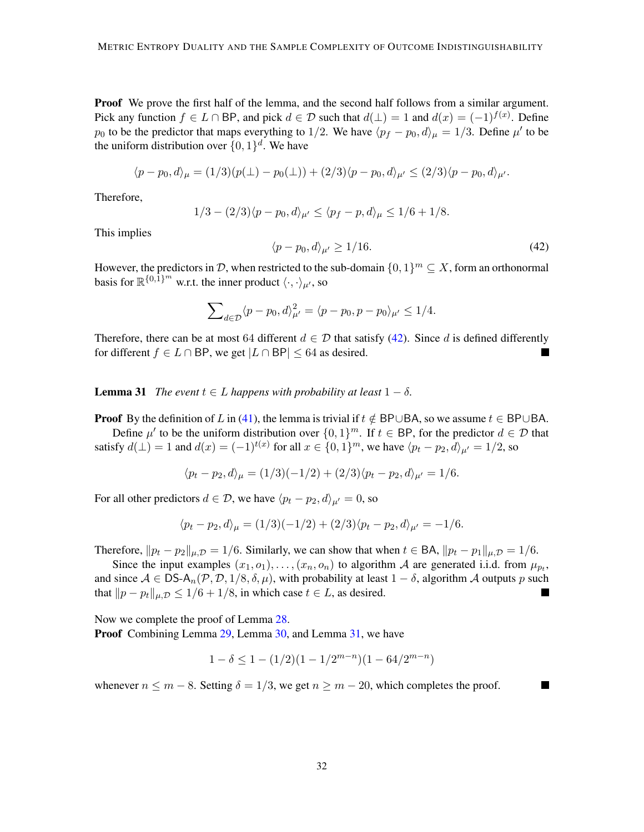**Proof** We prove the first half of the lemma, and the second half follows from a similar argument. Pick any function  $f \in L \cap \text{BP}$ , and pick  $d \in \mathcal{D}$  such that  $d(\perp) = 1$  and  $d(x) = (-1)^{f(x)}$ . Define  $p_0$  to be the predictor that maps everything to 1/2. We have  $\langle p_f - p_0, d \rangle_{\mu} = 1/3$ . Define  $\mu'$  to be the uniform distribution over  $\{0, 1\}^d$ . We have

$$
\langle p - p_0, d \rangle_{\mu} = (1/3)(p(\perp) - p_0(\perp)) + (2/3)\langle p - p_0, d \rangle_{\mu'} \le (2/3)\langle p - p_0, d \rangle_{\mu'}.
$$

Therefore,

$$
1/3 - (2/3)\langle p - p_0, d \rangle_{\mu'} \le \langle p_f - p, d \rangle_{\mu} \le 1/6 + 1/8.
$$

This implies

<span id="page-31-0"></span>
$$
\langle p - p_0, d \rangle_{\mu'} \ge 1/16. \tag{42}
$$

П

However, the predictors in D, when restricted to the sub-domain  $\{0,1\}^m \subseteq X$ , form an orthonormal basis for  $\mathbb{R}^{\{0,\overline{1}\}^m}$  w.r.t. the inner product  $\langle \cdot, \cdot \rangle_{\mu}$ , so

$$
\sum_{d \in \mathcal{D}} \langle p - p_0, d \rangle_{\mu'}^2 = \langle p - p_0, p - p_0 \rangle_{\mu'} \le 1/4.
$$

Therefore, there can be at most 64 different  $d \in \mathcal{D}$  that satisfy [\(42\)](#page-31-0). Since d is defined differently for different  $f \in L \cap BP$ , we get  $|L \cap BP| \leq 64$  as desired.

<span id="page-31-1"></span>**Lemma 31** *The event*  $t \in L$  *happens with probability at least*  $1 - \delta$ *.* 

**Proof** By the definition of L in [\(41\)](#page-30-0), the lemma is trivial if  $t \notin BP \cup BA$ , so we assume  $t \in BP \cup BA$ . Define  $\mu'$  to be the uniform distribution over  $\{0,1\}^m$ . If  $t \in BP$ , for the predictor  $d \in \mathcal{D}$  that

satisfy  $d(\perp) = 1$  and  $d(x) = (-1)^{t(x)}$  for all  $x \in \{0, 1\}^m$ , we have  $\langle p_t - p_2, d \rangle_{\mu'} = 1/2$ , so

$$
\langle p_t - p_2, d \rangle_{\mu} = (1/3)(-1/2) + (2/3)\langle p_t - p_2, d \rangle_{\mu'} = 1/6.
$$

For all other predictors  $d \in \mathcal{D}$ , we have  $\langle p_t - p_2, d \rangle_{\mu'} = 0$ , so

$$
\langle p_t - p_2, d \rangle_{\mu} = (1/3)(-1/2) + (2/3)\langle p_t - p_2, d \rangle_{\mu'} = -1/6.
$$

Therefore,  $||p_t - p_2||_{\mu, \mathcal{D}} = 1/6$ . Similarly, we can show that when  $t \in BA$ ,  $||p_t - p_1||_{\mu, \mathcal{D}} = 1/6$ .

Since the input examples  $(x_1, o_1), \ldots, (x_n, o_n)$  to algorithm A are generated i.i.d. from  $\mu_{p_t}$ , and since  $A \in \text{DS-A}_n(\mathcal{P}, \mathcal{D}, 1/8, \delta, \mu)$ , with probability at least  $1 - \delta$ , algorithm A outputs p such that  $||p - p_t||_{\mu, \mathcal{D}} \leq 1/6 + 1/8$ , in which case  $t \in L$ , as desired.

Now we complete the proof of Lemma [28.](#page-29-0) Proof Combining Lemma [29,](#page-29-3) Lemma [30,](#page-30-1) and Lemma [31,](#page-31-1) we have

$$
1 - \delta \le 1 - (1/2)(1 - 1/2^{m-n})(1 - 64/2^{m-n})
$$

whenever  $n \leq m - 8$ . Setting  $\delta = 1/3$ , we get  $n \geq m - 20$ , which completes the proof.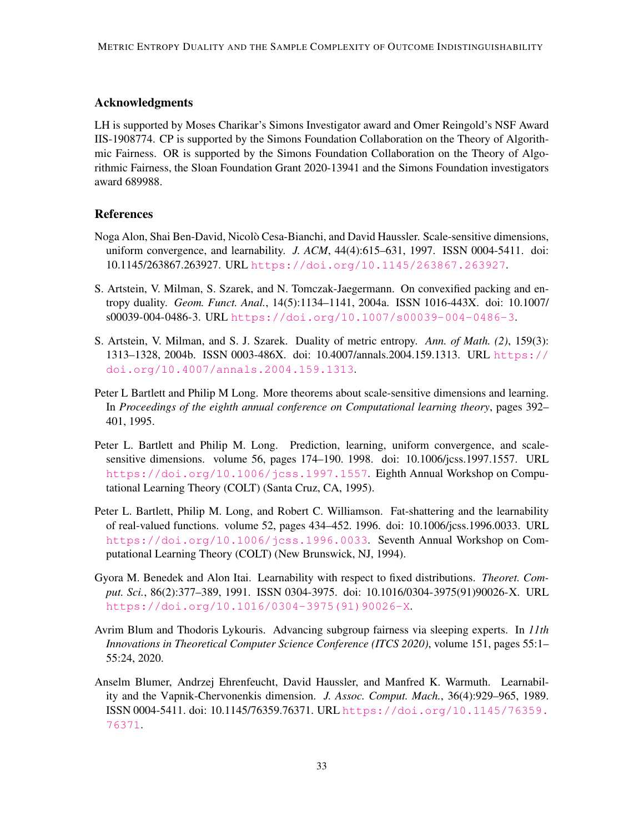# Acknowledgments

LH is supported by Moses Charikar's Simons Investigator award and Omer Reingold's NSF Award IIS-1908774. CP is supported by the Simons Foundation Collaboration on the Theory of Algorithmic Fairness. OR is supported by the Simons Foundation Collaboration on the Theory of Algorithmic Fairness, the Sloan Foundation Grant 2020-13941 and the Simons Foundation investigators award 689988.

# **References**

- <span id="page-32-2"></span>Noga Alon, Shai Ben-David, Nicolo Cesa-Bianchi, and David Haussler. Scale-sensitive dimensions, ` uniform convergence, and learnability. *J. ACM*, 44(4):615–631, 1997. ISSN 0004-5411. doi: 10.1145/263867.263927. URL <https://doi.org/10.1145/263867.263927>.
- <span id="page-32-7"></span>S. Artstein, V. Milman, S. Szarek, and N. Tomczak-Jaegermann. On convexified packing and entropy duality. *Geom. Funct. Anal.*, 14(5):1134–1141, 2004a. ISSN 1016-443X. doi: 10.1007/ s00039-004-0486-3. URL <https://doi.org/10.1007/s00039-004-0486-3>.
- <span id="page-32-6"></span>S. Artstein, V. Milman, and S. J. Szarek. Duality of metric entropy. *Ann. of Math. (2)*, 159(3): 1313–1328, 2004b. ISSN 0003-486X. doi: 10.4007/annals.2004.159.1313. URL [https://](https://doi.org/10.4007/annals.2004.159.1313) [doi.org/10.4007/annals.2004.159.1313](https://doi.org/10.4007/annals.2004.159.1313).
- <span id="page-32-3"></span>Peter L Bartlett and Philip M Long. More theorems about scale-sensitive dimensions and learning. In *Proceedings of the eighth annual conference on Computational learning theory*, pages 392– 401, 1995.
- <span id="page-32-4"></span>Peter L. Bartlett and Philip M. Long. Prediction, learning, uniform convergence, and scalesensitive dimensions. volume 56, pages 174–190. 1998. doi: 10.1006/jcss.1997.1557. URL <https://doi.org/10.1006/jcss.1997.1557>. Eighth Annual Workshop on Computational Learning Theory (COLT) (Santa Cruz, CA, 1995).
- <span id="page-32-0"></span>Peter L. Bartlett, Philip M. Long, and Robert C. Williamson. Fat-shattering and the learnability of real-valued functions. volume 52, pages 434–452. 1996. doi: 10.1006/jcss.1996.0033. URL <https://doi.org/10.1006/jcss.1996.0033>. Seventh Annual Workshop on Computational Learning Theory (COLT) (New Brunswick, NJ, 1994).
- <span id="page-32-5"></span>Gyora M. Benedek and Alon Itai. Learnability with respect to fixed distributions. *Theoret. Comput. Sci.*, 86(2):377–389, 1991. ISSN 0304-3975. doi: 10.1016/0304-3975(91)90026-X. URL [https://doi.org/10.1016/0304-3975\(91\)90026-X](https://doi.org/10.1016/0304-3975(91)90026-X).
- <span id="page-32-8"></span>Avrim Blum and Thodoris Lykouris. Advancing subgroup fairness via sleeping experts. In *11th Innovations in Theoretical Computer Science Conference (ITCS 2020)*, volume 151, pages 55:1– 55:24, 2020.
- <span id="page-32-1"></span>Anselm Blumer, Andrzej Ehrenfeucht, David Haussler, and Manfred K. Warmuth. Learnability and the Vapnik-Chervonenkis dimension. *J. Assoc. Comput. Mach.*, 36(4):929–965, 1989. ISSN 0004-5411. doi: 10.1145/76359.76371. URL [https://doi.org/10.1145/76359.](https://doi.org/10.1145/76359.76371) [76371](https://doi.org/10.1145/76359.76371).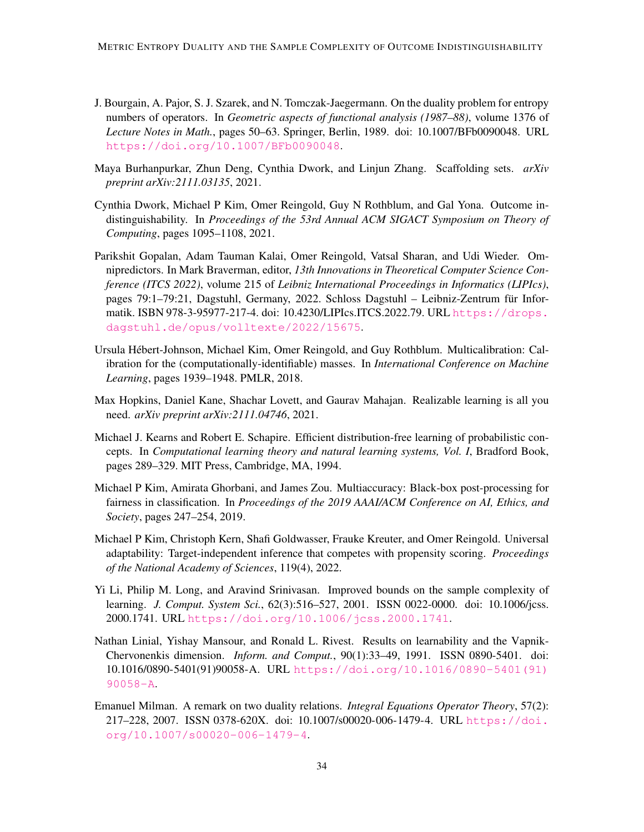- <span id="page-33-5"></span>J. Bourgain, A. Pajor, S. J. Szarek, and N. Tomczak-Jaegermann. On the duality problem for entropy numbers of operators. In *Geometric aspects of functional analysis (1987–88)*, volume 1376 of *Lecture Notes in Math.*, pages 50–63. Springer, Berlin, 1989. doi: 10.1007/BFb0090048. URL <https://doi.org/10.1007/BFb0090048>.
- <span id="page-33-11"></span>Maya Burhanpurkar, Zhun Deng, Cynthia Dwork, and Linjun Zhang. Scaffolding sets. *arXiv preprint arXiv:2111.03135*, 2021.
- <span id="page-33-0"></span>Cynthia Dwork, Michael P Kim, Omer Reingold, Guy N Rothblum, and Gal Yona. Outcome indistinguishability. In *Proceedings of the 53rd Annual ACM SIGACT Symposium on Theory of Computing*, pages 1095–1108, 2021.
- <span id="page-33-9"></span>Parikshit Gopalan, Adam Tauman Kalai, Omer Reingold, Vatsal Sharan, and Udi Wieder. Omnipredictors. In Mark Braverman, editor, *13th Innovations in Theoretical Computer Science Conference (ITCS 2022)*, volume 215 of *Leibniz International Proceedings in Informatics (LIPIcs)*, pages 79:1–79:21, Dagstuhl, Germany, 2022. Schloss Dagstuhl – Leibniz-Zentrum fur Infor- ¨ matik. ISBN 978-3-95977-217-4. doi: 10.4230/LIPIcs.ITCS.2022.79. URL [https://drops.](https://drops.dagstuhl.de/opus/volltexte/2022/15675) [dagstuhl.de/opus/volltexte/2022/15675](https://drops.dagstuhl.de/opus/volltexte/2022/15675).
- <span id="page-33-1"></span>Ursula Hebert-Johnson, Michael Kim, Omer Reingold, and Guy Rothblum. Multicalibration: Cal- ´ ibration for the (computationally-identifiable) masses. In *International Conference on Machine Learning*, pages 1939–1948. PMLR, 2018.
- <span id="page-33-8"></span>Max Hopkins, Daniel Kane, Shachar Lovett, and Gaurav Mahajan. Realizable learning is all you need. *arXiv preprint arXiv:2111.04746*, 2021.
- <span id="page-33-3"></span>Michael J. Kearns and Robert E. Schapire. Efficient distribution-free learning of probabilistic concepts. In *Computational learning theory and natural learning systems, Vol. I*, Bradford Book, pages 289–329. MIT Press, Cambridge, MA, 1994.
- <span id="page-33-7"></span>Michael P Kim, Amirata Ghorbani, and James Zou. Multiaccuracy: Black-box post-processing for fairness in classification. In *Proceedings of the 2019 AAAI/ACM Conference on AI, Ethics, and Society*, pages 247–254, 2019.
- <span id="page-33-10"></span>Michael P Kim, Christoph Kern, Shafi Goldwasser, Frauke Kreuter, and Omer Reingold. Universal adaptability: Target-independent inference that competes with propensity scoring. *Proceedings of the National Academy of Sciences*, 119(4), 2022.
- <span id="page-33-4"></span>Yi Li, Philip M. Long, and Aravind Srinivasan. Improved bounds on the sample complexity of learning. *J. Comput. System Sci.*, 62(3):516–527, 2001. ISSN 0022-0000. doi: 10.1006/jcss. 2000.1741. URL <https://doi.org/10.1006/jcss.2000.1741>.
- <span id="page-33-2"></span>Nathan Linial, Yishay Mansour, and Ronald L. Rivest. Results on learnability and the Vapnik-Chervonenkis dimension. *Inform. and Comput.*, 90(1):33–49, 1991. ISSN 0890-5401. doi: 10.1016/0890-5401(91)90058-A. URL [https://doi.org/10.1016/0890-5401\(91\)](https://doi.org/10.1016/0890-5401(91)90058-A) [90058-A](https://doi.org/10.1016/0890-5401(91)90058-A).
- <span id="page-33-6"></span>Emanuel Milman. A remark on two duality relations. *Integral Equations Operator Theory*, 57(2): 217–228, 2007. ISSN 0378-620X. doi: 10.1007/s00020-006-1479-4. URL [https://doi.](https://doi.org/10.1007/s00020-006-1479-4) [org/10.1007/s00020-006-1479-4](https://doi.org/10.1007/s00020-006-1479-4).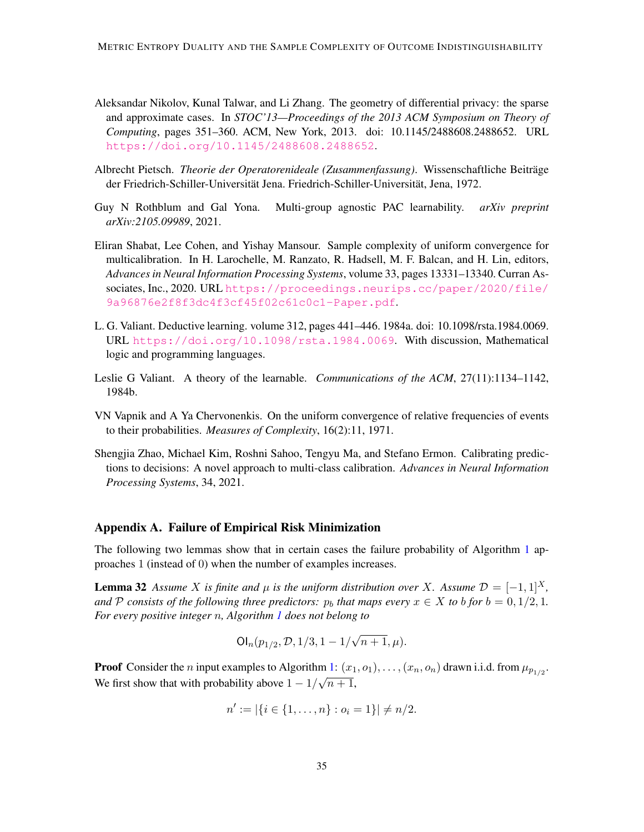- <span id="page-34-8"></span>Aleksandar Nikolov, Kunal Talwar, and Li Zhang. The geometry of differential privacy: the sparse and approximate cases. In *STOC'13—Proceedings of the 2013 ACM Symposium on Theory of Computing*, pages 351–360. ACM, New York, 2013. doi: 10.1145/2488608.2488652. URL <https://doi.org/10.1145/2488608.2488652>.
- <span id="page-34-4"></span>Albrecht Pietsch. *Theorie der Operatorenideale (Zusammenfassung)*. Wissenschaftliche Beitrage ¨ der Friedrich-Schiller-Universität Jena. Friedrich-Schiller-Universität, Jena, 1972.
- <span id="page-34-5"></span>Guy N Rothblum and Gal Yona. Multi-group agnostic PAC learnability. *arXiv preprint arXiv:2105.09989*, 2021.
- <span id="page-34-7"></span>Eliran Shabat, Lee Cohen, and Yishay Mansour. Sample complexity of uniform convergence for multicalibration. In H. Larochelle, M. Ranzato, R. Hadsell, M. F. Balcan, and H. Lin, editors, *Advances in Neural Information Processing Systems*, volume 33, pages 13331–13340. Curran Associates, Inc., 2020. URL [https://proceedings.neurips.cc/paper/2020/file/](https://proceedings.neurips.cc/paper/2020/file/9a96876e2f8f3dc4f3cf45f02c61c0c1-Paper.pdf) [9a96876e2f8f3dc4f3cf45f02c61c0c1-Paper.pdf](https://proceedings.neurips.cc/paper/2020/file/9a96876e2f8f3dc4f3cf45f02c61c0c1-Paper.pdf).
- <span id="page-34-2"></span>L. G. Valiant. Deductive learning. volume 312, pages 441–446. 1984a. doi: 10.1098/rsta.1984.0069. URL <https://doi.org/10.1098/rsta.1984.0069>. With discussion, Mathematical logic and programming languages.
- <span id="page-34-1"></span>Leslie G Valiant. A theory of the learnable. *Communications of the ACM*, 27(11):1134–1142, 1984b.
- <span id="page-34-0"></span>VN Vapnik and A Ya Chervonenkis. On the uniform convergence of relative frequencies of events to their probabilities. *Measures of Complexity*, 16(2):11, 1971.
- <span id="page-34-6"></span>Shengjia Zhao, Michael Kim, Roshni Sahoo, Tengyu Ma, and Stefano Ermon. Calibrating predictions to decisions: A novel approach to multi-class calibration. *Advances in Neural Information Processing Systems*, 34, 2021.

### <span id="page-34-3"></span>Appendix A. Failure of Empirical Risk Minimization

The following two lemmas show that in certain cases the failure probability of Algorithm [1](#page-15-0) approaches 1 (instead of 0) when the number of examples increases.

**Lemma 32** Assume X is finite and  $\mu$  is the uniform distribution over X. Assume  $\mathcal{D} = [-1, 1]^{X}$ , *and* P consists of the following three predictors:  $p_b$  that maps every  $x \in X$  to b for  $b = 0, 1/2, 1$ . *For every positive integer* n*, Algorithm [1](#page-15-0) does not belong to*

$$
Ol_n(p_{1/2}, \mathcal{D}, 1/3, 1-1/\sqrt{n+1}, \mu).
$$

**Proof** Consider the *n* input examples to Algorithm [1:](#page-15-0)  $(x_1, o_1), \ldots, (x_n, o_n)$  drawn i.i.d. from  $\mu_{p_{1/2}}$ . We first show that with probability above  $1 - 1/\sqrt{n+1}$ ,

$$
n' := |\{i \in \{1, \ldots, n\} : o_i = 1\}| \neq n/2.
$$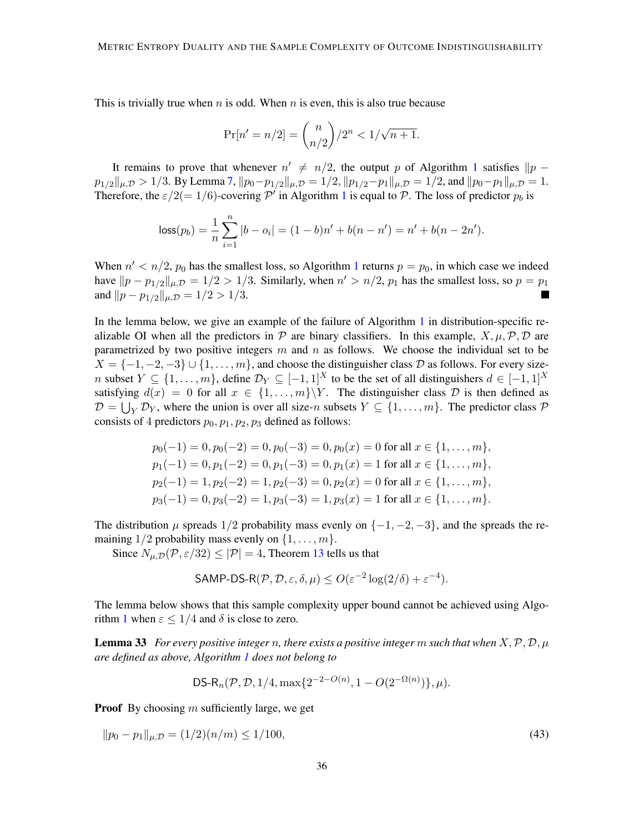This is trivially true when  $n$  is odd. When  $n$  is even, this is also true because

$$
\Pr[n'=n/2]=\binom{n}{n/2}/2^n<1/\sqrt{n+1}.
$$

It remains to prove that whenever  $n' \neq n/2$ , the output p of Algorithm [1](#page-15-0) satisfies  $||p - p||$  $p_{1/2}||_{\mu,\mathcal{D}} > 1/3$ . By Lemma [7,](#page-12-0)  $||p_0-p_{1/2}||_{\mu,\mathcal{D}} = 1/2$ ,  $||p_{1/2}-p_1||_{\mu,\mathcal{D}} = 1/2$ , and  $||p_0-p_1||_{\mu,\mathcal{D}} = 1$ . Therefore, the  $\varepsilon/2(=1/6)$  $\varepsilon/2(=1/6)$  $\varepsilon/2(=1/6)$ -covering  $\mathcal{P}'$  in Algorithm 1 is equal to  $\mathcal{P}$ . The loss of predictor  $p_b$  is

$$
loss(p_b) = \frac{1}{n} \sum_{i=1}^{n} |b - o_i| = (1 - b)n' + b(n - n') = n' + b(n - 2n').
$$

When  $n' < n/2$ ,  $p_0$  has the smallest loss, so Algorithm [1](#page-15-0) returns  $p = p_0$ , in which case we indeed have  $||p - p_{1/2}||_{\mu, \mathcal{D}} = 1/2 > 1/3$ . Similarly, when  $n' > n/2$ ,  $p_1$  has the smallest loss, so  $p = p_1$ and  $||p - p_{1/2}||_{\mu, \mathcal{D}} = 1/2 > 1/3$ . a sa

In the lemma below, we give an example of the failure of Algorithm [1](#page-15-0) in distribution-specific realizable OI when all the predictors in  $\mathcal P$  are binary classifiers. In this example,  $X, \mu, \mathcal P, \mathcal D$  are parametrized by two positive integers  $m$  and  $n$  as follows. We choose the individual set to be  $X = \{-1, -2, -3\} \cup \{1, \ldots, m\}$ , and choose the distinguisher class D as follows. For every sizen subset  $Y \subseteq \{1, \ldots, m\}$ , define  $\mathcal{D}_Y \subseteq [-1, 1]^X$  to be the set of all distinguishers  $d \in [-1, 1]^X$ satisfying  $d(x) = 0$  for all  $x \in \{1, ..., m\} \backslash Y$ . The distinguisher class  $D$  is then defined as  $\mathcal{D} = \bigcup_Y \mathcal{D}_Y$ , where the union is over all size-n subsets  $Y \subseteq \{1, ..., m\}$ . The predictor class  $\mathcal{P}$ consists of 4 predictors  $p_0, p_1, p_2, p_3$  defined as follows:

$$
p_0(-1) = 0, p_0(-2) = 0, p_0(-3) = 0, p_0(x) = 0 \text{ for all } x \in \{1, ..., m\},
$$
  
\n
$$
p_1(-1) = 0, p_1(-2) = 0, p_1(-3) = 0, p_1(x) = 1 \text{ for all } x \in \{1, ..., m\},
$$
  
\n
$$
p_2(-1) = 1, p_2(-2) = 1, p_2(-3) = 0, p_2(x) = 0 \text{ for all } x \in \{1, ..., m\},
$$
  
\n
$$
p_3(-1) = 0, p_3(-2) = 1, p_3(-3) = 1, p_3(x) = 1 \text{ for all } x \in \{1, ..., m\}.
$$

The distribution  $\mu$  spreads 1/2 probability mass evenly on  $\{-1, -2, -3\}$ , and the spreads the remaining  $1/2$  probability mass evenly on  $\{1, \ldots, m\}$ .

Since  $N_{\mu,\mathcal{D}}(\mathcal{P}, \varepsilon/32) \leq |\mathcal{P}| = 4$ , Theorem [13](#page-18-0) tells us that

<span id="page-35-0"></span>
$$
\mathsf{SAMP\text{-}DS\text{-}R}(\mathcal{P}, \mathcal{D}, \varepsilon, \delta, \mu) \le O(\varepsilon^{-2} \log(2/\delta) + \varepsilon^{-4}).
$$

The lemma below shows that this sample complexity upper bound cannot be achieved using Algo-rithm [1](#page-15-0) when  $\varepsilon \leq 1/4$  and  $\delta$  is close to zero.

**Lemma 33** *For every positive integer n, there exists a positive integer m such that when*  $X, \mathcal{P}, \mathcal{D}, \mu$ *are defined as above, Algorithm [1](#page-15-0) does not belong to*

<span id="page-35-1"></span>DS-R<sub>n</sub>(
$$
\mathcal{P}
$$
,  $\mathcal{D}$ , 1/4, max{2<sup>-2-O(n)</sup>, 1 –  $O(2^{-\Omega(n)})$ },  $\mu$ ).

**Proof** By choosing  $m$  sufficiently large, we get

$$
||p_0 - p_1||_{\mu, \mathcal{D}} = (1/2)(n/m) \le 1/100,
$$
\n(43)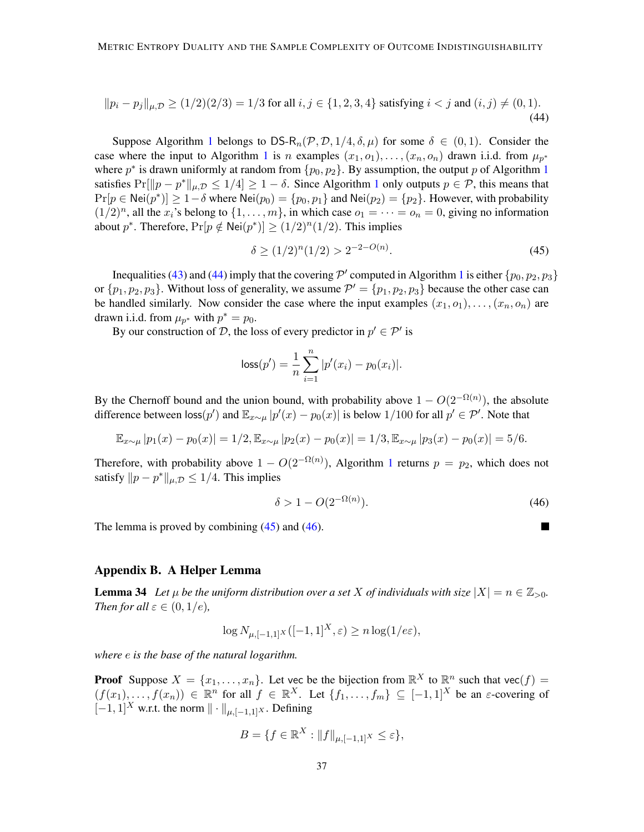$$
||p_i - p_j||_{\mu, \mathcal{D}} \ge (1/2)(2/3) = 1/3 \text{ for all } i, j \in \{1, 2, 3, 4\} \text{ satisfying } i < j \text{ and } (i, j) \ne (0, 1). \tag{44}
$$

Suppose Algorithm [1](#page-15-0) belongs to DS-R<sub>n</sub>(P, D, 1/4,  $\delta$ ,  $\mu$ ) for some  $\delta \in (0,1)$ . Consider the case where the input to Algorithm [1](#page-15-0) is n examples  $(x_1, o_1), \ldots, (x_n, o_n)$  drawn i.i.d. from  $\mu_{p^*}$ where  $p^*$  is drawn uniformly at random from  $\{p_0, p_2\}$ . By assumption, the output p of Algorithm [1](#page-15-0) satisfies  $Pr[||p - p^*||_{\mu, \mathcal{D}} \le 1/4] \ge 1 - \delta$  $Pr[||p - p^*||_{\mu, \mathcal{D}} \le 1/4] \ge 1 - \delta$  $Pr[||p - p^*||_{\mu, \mathcal{D}} \le 1/4] \ge 1 - \delta$ . Since Algorithm 1 only outputs  $p \in \mathcal{P}$ , this means that  $Pr[p \in Nei(p^*)] \ge 1-\delta$  where  $Nei(p_0) = \{p_0, p_1\}$  and  $Nei(p_2) = \{p_2\}$ . However, with probability  $(1/2)^n$ , all the  $x_i$ 's belong to  $\{1, \ldots, m\}$ , in which case  $o_1 = \cdots = o_n = 0$ , giving no information about  $p^*$ . Therefore,  $Pr[p \notin Nei(p^*)] \ge (1/2)^n (1/2)$ . This implies

<span id="page-36-2"></span><span id="page-36-1"></span>
$$
\delta \ge (1/2)^n (1/2) > 2^{-2 - O(n)}.\tag{45}
$$

Inequalities [\(43\)](#page-35-1) and [\(44\)](#page-36-1) imply that the covering  $\mathcal{P}'$  computed in Algorithm [1](#page-15-0) is either  $\{p_0, p_2, p_3\}$ or  $\{p_1, p_2, p_3\}$ . Without loss of generality, we assume  $\mathcal{P}' = \{p_1, p_2, p_3\}$  because the other case can be handled similarly. Now consider the case where the input examples  $(x_1, o_1), \ldots, (x_n, o_n)$  are drawn i.i.d. from  $\mu_{p^*}$  with  $p^* = p_0$ .

By our construction of D, the loss of every predictor in  $p' \in \mathcal{P}'$  is

$$
loss(p') = \frac{1}{n} \sum_{i=1}^{n} |p'(x_i) - p_0(x_i)|.
$$

By the Chernoff bound and the union bound, with probability above  $1 - O(2^{-\Omega(n)})$ , the absolute difference between  $\text{loss}(p')$  and  $\mathbb{E}_{x\sim \mu}|p'(x)-p_0(x)|$  is below 1/100 for all  $p'\in \mathcal{P}'$ . Note that

$$
\mathbb{E}_{x \sim \mu} |p_1(x) - p_0(x)| = 1/2, \mathbb{E}_{x \sim \mu} |p_2(x) - p_0(x)| = 1/3, \mathbb{E}_{x \sim \mu} |p_3(x) - p_0(x)| = 5/6.
$$

Therefore, with probability above  $1 - O(2^{-\Omega(n)})$  $1 - O(2^{-\Omega(n)})$ , Algorithm 1 returns  $p = p_2$ , which does not satisfy  $||p - p^*||_{\mu, \mathcal{D}} \le 1/4$ . This implies

<span id="page-36-3"></span>
$$
\delta > 1 - O(2^{-\Omega(n)})\tag{46}
$$

The lemma is proved by combining  $(45)$  and  $(46)$ .

#### Appendix B. A Helper Lemma

<span id="page-36-0"></span>**Lemma 34** Let  $\mu$  be the uniform distribution over a set X of individuals with size  $|X| = n \in \mathbb{Z}_{>0}$ . *Then for all*  $\varepsilon \in (0, 1/e)$ *,* 

$$
\log N_{\mu, [-1,1]^X}([-1,1]^X, \varepsilon) \ge n \log(1/e\varepsilon),
$$

*where* e *is the base of the natural logarithm.*

**Proof** Suppose  $X = \{x_1, \ldots, x_n\}$ . Let vec be the bijection from  $\mathbb{R}^X$  to  $\mathbb{R}^n$  such that vec $(f)$  $(f(x_1),..., f(x_n)) \in \mathbb{R}^n$  for all  $f \in \mathbb{R}^X$ . Let  $\{f_1,..., f_m\} \subseteq [-1,1]^X$  be an  $\varepsilon$ -covering of  $[-1, 1]^{X}$  w.r.t. the norm  $\|\cdot\|_{\mu, [-1,1]^{X}}$ . Defining

$$
B = \{ f \in \mathbb{R}^X : ||f||_{\mu, [-1,1]^X} \le \varepsilon \},
$$